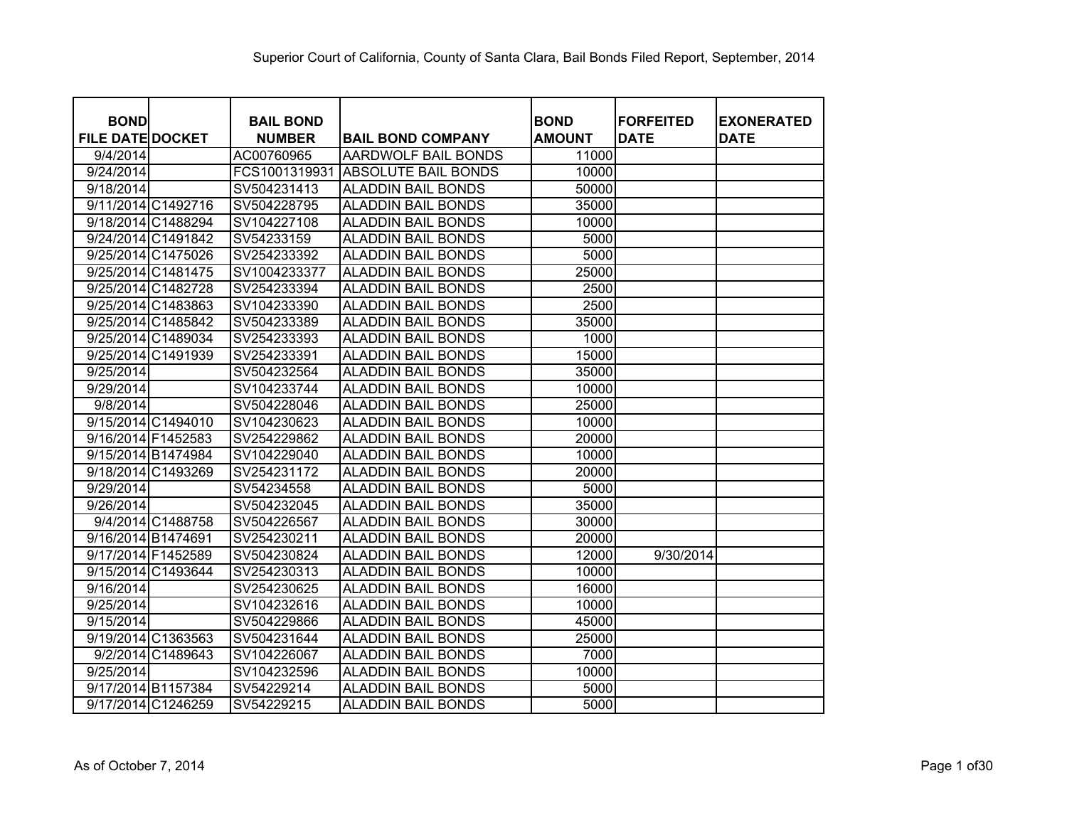| <b>BOND</b>             | <b>BAIL BOND</b> |                            | <b>BOND</b>   | <b>FORFEITED</b> | <b>EXONERATED</b> |
|-------------------------|------------------|----------------------------|---------------|------------------|-------------------|
| <b>FILE DATE DOCKET</b> | <b>NUMBER</b>    | <b>BAIL BOND COMPANY</b>   | <b>AMOUNT</b> | <b>DATE</b>      | <b>DATE</b>       |
| 9/4/2014                | AC00760965       | AARDWOLF BAIL BONDS        | 11000         |                  |                   |
| 9/24/2014               | FCS1001319931    | <b>ABSOLUTE BAIL BONDS</b> | 10000         |                  |                   |
| 9/18/2014               | SV504231413      | <b>ALADDIN BAIL BONDS</b>  | 50000         |                  |                   |
| 9/11/2014 C1492716      | SV504228795      | <b>ALADDIN BAIL BONDS</b>  | 35000         |                  |                   |
| 9/18/2014 C1488294      | SV104227108      | <b>ALADDIN BAIL BONDS</b>  | 10000         |                  |                   |
| 9/24/2014 C1491842      | SV54233159       | <b>ALADDIN BAIL BONDS</b>  | 5000          |                  |                   |
| 9/25/2014 C1475026      | SV254233392      | <b>ALADDIN BAIL BONDS</b>  | 5000          |                  |                   |
| 9/25/2014 C1481475      | SV1004233377     | <b>ALADDIN BAIL BONDS</b>  | 25000         |                  |                   |
| 9/25/2014 C1482728      | SV254233394      | <b>ALADDIN BAIL BONDS</b>  | 2500          |                  |                   |
| 9/25/2014 C1483863      | SV104233390      | <b>ALADDIN BAIL BONDS</b>  | 2500          |                  |                   |
| 9/25/2014 C1485842      | SV504233389      | <b>ALADDIN BAIL BONDS</b>  | 35000         |                  |                   |
| 9/25/2014 C1489034      | SV254233393      | <b>ALADDIN BAIL BONDS</b>  | 1000          |                  |                   |
| 9/25/2014 C1491939      | SV254233391      | <b>ALADDIN BAIL BONDS</b>  | 15000         |                  |                   |
| 9/25/2014               | SV504232564      | <b>ALADDIN BAIL BONDS</b>  | 35000         |                  |                   |
| 9/29/2014               | SV104233744      | <b>ALADDIN BAIL BONDS</b>  | 10000         |                  |                   |
| 9/8/2014                | SV504228046      | <b>ALADDIN BAIL BONDS</b>  | 25000         |                  |                   |
| 9/15/2014 C1494010      | SV104230623      | <b>ALADDIN BAIL BONDS</b>  | 10000         |                  |                   |
| 9/16/2014 F1452583      | SV254229862      | <b>ALADDIN BAIL BONDS</b>  | 20000         |                  |                   |
| 9/15/2014 B1474984      | SV104229040      | <b>ALADDIN BAIL BONDS</b>  | 10000         |                  |                   |
| 9/18/2014 C1493269      | SV254231172      | <b>ALADDIN BAIL BONDS</b>  | 20000         |                  |                   |
| 9/29/2014               | SV54234558       | <b>ALADDIN BAIL BONDS</b>  | 5000          |                  |                   |
| 9/26/2014               | SV504232045      | <b>ALADDIN BAIL BONDS</b>  | 35000         |                  |                   |
| 9/4/2014 C1488758       | SV504226567      | <b>ALADDIN BAIL BONDS</b>  | 30000         |                  |                   |
| 9/16/2014 B1474691      | SV254230211      | <b>ALADDIN BAIL BONDS</b>  | 20000         |                  |                   |
| 9/17/2014 F1452589      | SV504230824      | <b>ALADDIN BAIL BONDS</b>  | 12000         | 9/30/2014        |                   |
| 9/15/2014 C1493644      | SV254230313      | <b>ALADDIN BAIL BONDS</b>  | 10000         |                  |                   |
| 9/16/2014               | SV254230625      | <b>ALADDIN BAIL BONDS</b>  | 16000         |                  |                   |
| 9/25/2014               | SV104232616      | <b>ALADDIN BAIL BONDS</b>  | 10000         |                  |                   |
| 9/15/2014               | SV504229866      | <b>ALADDIN BAIL BONDS</b>  | 45000         |                  |                   |
| 9/19/2014 C1363563      | SV504231644      | <b>ALADDIN BAIL BONDS</b>  | 25000         |                  |                   |
| 9/2/2014 C1489643       | SV104226067      | <b>ALADDIN BAIL BONDS</b>  | 7000          |                  |                   |
| 9/25/2014               | SV104232596      | <b>ALADDIN BAIL BONDS</b>  | 10000         |                  |                   |
| 9/17/2014 B1157384      | SV54229214       | <b>ALADDIN BAIL BONDS</b>  | 5000          |                  |                   |
| 9/17/2014 C1246259      | SV54229215       | <b>ALADDIN BAIL BONDS</b>  | 5000          |                  |                   |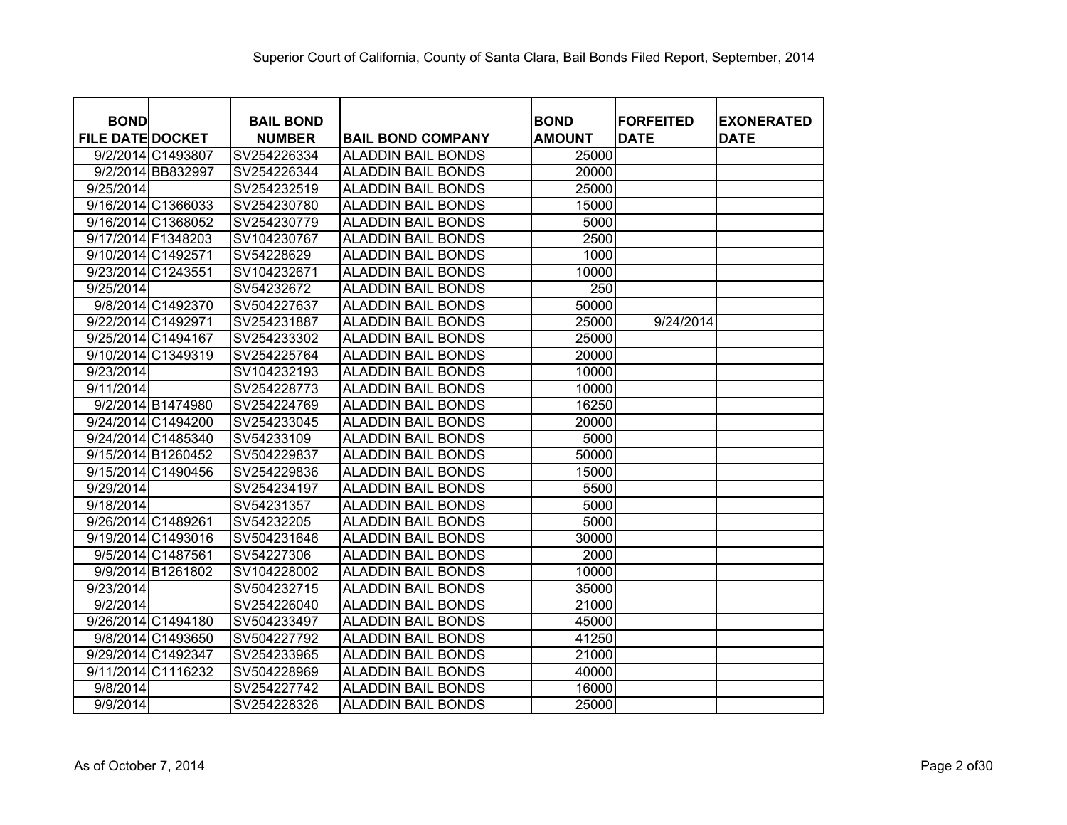| <b>BOND</b>             |                    | <b>BAIL BOND</b> |                           | <b>BOND</b>      | <b>FORFEITED</b> | <b>EXONERATED</b> |
|-------------------------|--------------------|------------------|---------------------------|------------------|------------------|-------------------|
| <b>FILE DATE DOCKET</b> |                    | <b>NUMBER</b>    | <b>BAIL BOND COMPANY</b>  | <b>AMOUNT</b>    | <b>DATE</b>      | <b>DATE</b>       |
|                         | 9/2/2014 C1493807  | SV254226334      | <b>ALADDIN BAIL BONDS</b> | 25000            |                  |                   |
|                         | 9/2/2014 BB832997  | SV254226344      | <b>ALADDIN BAIL BONDS</b> | 20000            |                  |                   |
| 9/25/2014               |                    | SV254232519      | <b>ALADDIN BAIL BONDS</b> | 25000            |                  |                   |
| 9/16/2014 C1366033      |                    | SV254230780      | <b>ALADDIN BAIL BONDS</b> | 15000            |                  |                   |
| 9/16/2014 C1368052      |                    | SV254230779      | <b>ALADDIN BAIL BONDS</b> | 5000             |                  |                   |
| 9/17/2014 F1348203      |                    | SV104230767      | <b>ALADDIN BAIL BONDS</b> | 2500             |                  |                   |
| 9/10/2014 C1492571      |                    | SV54228629       | <b>ALADDIN BAIL BONDS</b> | 1000             |                  |                   |
| 9/23/2014 C1243551      |                    | SV104232671      | <b>ALADDIN BAIL BONDS</b> | 10000            |                  |                   |
| 9/25/2014               |                    | SV54232672       | <b>ALADDIN BAIL BONDS</b> | $\overline{250}$ |                  |                   |
|                         | 9/8/2014 C1492370  | SV504227637      | <b>ALADDIN BAIL BONDS</b> | 50000            |                  |                   |
| 9/22/2014 C1492971      |                    | SV254231887      | <b>ALADDIN BAIL BONDS</b> | 25000            | 9/24/2014        |                   |
| 9/25/2014 C1494167      |                    | SV254233302      | <b>ALADDIN BAIL BONDS</b> | 25000            |                  |                   |
| 9/10/2014 C1349319      |                    | SV254225764      | <b>ALADDIN BAIL BONDS</b> | 20000            |                  |                   |
| 9/23/2014               |                    | SV104232193      | <b>ALADDIN BAIL BONDS</b> | 10000            |                  |                   |
| 9/11/2014               |                    | SV254228773      | <b>ALADDIN BAIL BONDS</b> | 10000            |                  |                   |
|                         | 9/2/2014 B1474980  | SV254224769      | <b>ALADDIN BAIL BONDS</b> | 16250            |                  |                   |
|                         | 9/24/2014 C1494200 | SV254233045      | <b>ALADDIN BAIL BONDS</b> | 20000            |                  |                   |
|                         | 9/24/2014 C1485340 | SV54233109       | <b>ALADDIN BAIL BONDS</b> | 5000             |                  |                   |
| 9/15/2014 B1260452      |                    | SV504229837      | <b>ALADDIN BAIL BONDS</b> | 50000            |                  |                   |
| 9/15/2014 C1490456      |                    | SV254229836      | <b>ALADDIN BAIL BONDS</b> | 15000            |                  |                   |
| 9/29/2014               |                    | SV254234197      | <b>ALADDIN BAIL BONDS</b> | 5500             |                  |                   |
| 9/18/2014               |                    | SV54231357       | <b>ALADDIN BAIL BONDS</b> | 5000             |                  |                   |
| 9/26/2014 C1489261      |                    | SV54232205       | <b>ALADDIN BAIL BONDS</b> | 5000             |                  |                   |
| 9/19/2014 C1493016      |                    | SV504231646      | <b>ALADDIN BAIL BONDS</b> | 30000            |                  |                   |
|                         | 9/5/2014 C1487561  | SV54227306       | <b>ALADDIN BAIL BONDS</b> | 2000             |                  |                   |
|                         | 9/9/2014 B1261802  | SV104228002      | <b>ALADDIN BAIL BONDS</b> | 10000            |                  |                   |
| 9/23/2014               |                    | SV504232715      | <b>ALADDIN BAIL BONDS</b> | 35000            |                  |                   |
| 9/2/2014                |                    | SV254226040      | <b>ALADDIN BAIL BONDS</b> | 21000            |                  |                   |
|                         | 9/26/2014 C1494180 | SV504233497      | <b>ALADDIN BAIL BONDS</b> | 45000            |                  |                   |
|                         | 9/8/2014 C1493650  | SV504227792      | <b>ALADDIN BAIL BONDS</b> | 41250            |                  |                   |
| 9/29/2014 C1492347      |                    | SV254233965      | <b>ALADDIN BAIL BONDS</b> | 21000            |                  |                   |
| 9/11/2014 C1116232      |                    | SV504228969      | <b>ALADDIN BAIL BONDS</b> | 40000            |                  |                   |
| 9/8/2014                |                    | SV254227742      | <b>ALADDIN BAIL BONDS</b> | 16000            |                  |                   |
| 9/9/2014                |                    | SV254228326      | <b>ALADDIN BAIL BONDS</b> | 25000            |                  |                   |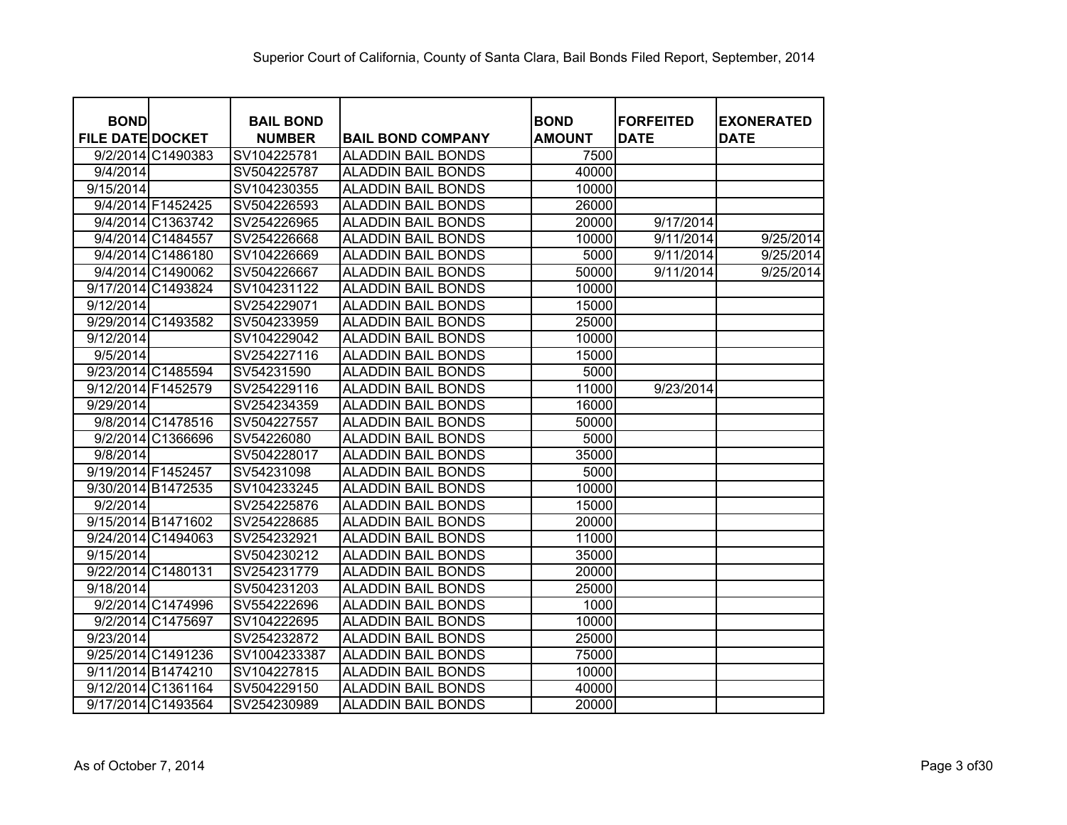| <b>BOND</b>             |                   | <b>BAIL BOND</b> |                           | <b>BOND</b>   | <b>FORFEITED</b> | <b>EXONERATED</b> |
|-------------------------|-------------------|------------------|---------------------------|---------------|------------------|-------------------|
| <b>FILE DATE DOCKET</b> |                   | <b>NUMBER</b>    | <b>BAIL BOND COMPANY</b>  | <b>AMOUNT</b> | <b>DATE</b>      | <b>DATE</b>       |
|                         | 9/2/2014 C1490383 | SV104225781      | <b>ALADDIN BAIL BONDS</b> | 7500          |                  |                   |
| 9/4/2014                |                   | SV504225787      | <b>ALADDIN BAIL BONDS</b> | 40000         |                  |                   |
| 9/15/2014               |                   | SV104230355      | <b>ALADDIN BAIL BONDS</b> | 10000         |                  |                   |
|                         | 9/4/2014 F1452425 | SV504226593      | <b>ALADDIN BAIL BONDS</b> | 26000         |                  |                   |
|                         | 9/4/2014 C1363742 | SV254226965      | <b>ALADDIN BAIL BONDS</b> | 20000         | 9/17/2014        |                   |
|                         | 9/4/2014 C1484557 | SV254226668      | <b>ALADDIN BAIL BONDS</b> | 10000         | 9/11/2014        | 9/25/2014         |
|                         | 9/4/2014 C1486180 | SV104226669      | <b>ALADDIN BAIL BONDS</b> | 5000          | 9/11/2014        | 9/25/2014         |
|                         | 9/4/2014 C1490062 | SV504226667      | <b>ALADDIN BAIL BONDS</b> | 50000         | 9/11/2014        | 9/25/2014         |
| 9/17/2014 C1493824      |                   | SV104231122      | <b>ALADDIN BAIL BONDS</b> | 10000         |                  |                   |
| 9/12/2014               |                   | SV254229071      | <b>ALADDIN BAIL BONDS</b> | 15000         |                  |                   |
| 9/29/2014 C1493582      |                   | SV504233959      | <b>ALADDIN BAIL BONDS</b> | 25000         |                  |                   |
| 9/12/2014               |                   | SV104229042      | <b>ALADDIN BAIL BONDS</b> | 10000         |                  |                   |
| 9/5/2014                |                   | SV254227116      | <b>ALADDIN BAIL BONDS</b> | 15000         |                  |                   |
| 9/23/2014 C1485594      |                   | SV54231590       | <b>ALADDIN BAIL BONDS</b> | 5000          |                  |                   |
| 9/12/2014 F1452579      |                   | SV254229116      | <b>ALADDIN BAIL BONDS</b> | 11000         | 9/23/2014        |                   |
| 9/29/2014               |                   | SV254234359      | <b>ALADDIN BAIL BONDS</b> | 16000         |                  |                   |
|                         | 9/8/2014 C1478516 | SV504227557      | <b>ALADDIN BAIL BONDS</b> | 50000         |                  |                   |
|                         | 9/2/2014 C1366696 | SV54226080       | <b>ALADDIN BAIL BONDS</b> | 5000          |                  |                   |
| 9/8/2014                |                   | SV504228017      | <b>ALADDIN BAIL BONDS</b> | 35000         |                  |                   |
| 9/19/2014 F1452457      |                   | SV54231098       | <b>ALADDIN BAIL BONDS</b> | 5000          |                  |                   |
| 9/30/2014 B1472535      |                   | SV104233245      | <b>ALADDIN BAIL BONDS</b> | 10000         |                  |                   |
| 9/2/2014                |                   | SV254225876      | <b>ALADDIN BAIL BONDS</b> | 15000         |                  |                   |
| 9/15/2014 B1471602      |                   | SV254228685      | <b>ALADDIN BAIL BONDS</b> | 20000         |                  |                   |
| 9/24/2014 C1494063      |                   | SV254232921      | <b>ALADDIN BAIL BONDS</b> | 11000         |                  |                   |
| 9/15/2014               |                   | SV504230212      | <b>ALADDIN BAIL BONDS</b> | 35000         |                  |                   |
| 9/22/2014 C1480131      |                   | SV254231779      | <b>ALADDIN BAIL BONDS</b> | 20000         |                  |                   |
| 9/18/2014               |                   | SV504231203      | <b>ALADDIN BAIL BONDS</b> | 25000         |                  |                   |
|                         | 9/2/2014 C1474996 | SV554222696      | <b>ALADDIN BAIL BONDS</b> | 1000          |                  |                   |
|                         | 9/2/2014 C1475697 | SV104222695      | <b>ALADDIN BAIL BONDS</b> | 10000         |                  |                   |
| 9/23/2014               |                   | SV254232872      | <b>ALADDIN BAIL BONDS</b> | 25000         |                  |                   |
| 9/25/2014 C1491236      |                   | SV1004233387     | <b>ALADDIN BAIL BONDS</b> | 75000         |                  |                   |
| 9/11/2014 B1474210      |                   | SV104227815      | <b>ALADDIN BAIL BONDS</b> | 10000         |                  |                   |
| 9/12/2014 C1361164      |                   | SV504229150      | <b>ALADDIN BAIL BONDS</b> | 40000         |                  |                   |
| 9/17/2014 C1493564      |                   | SV254230989      | <b>ALADDIN BAIL BONDS</b> | 20000         |                  |                   |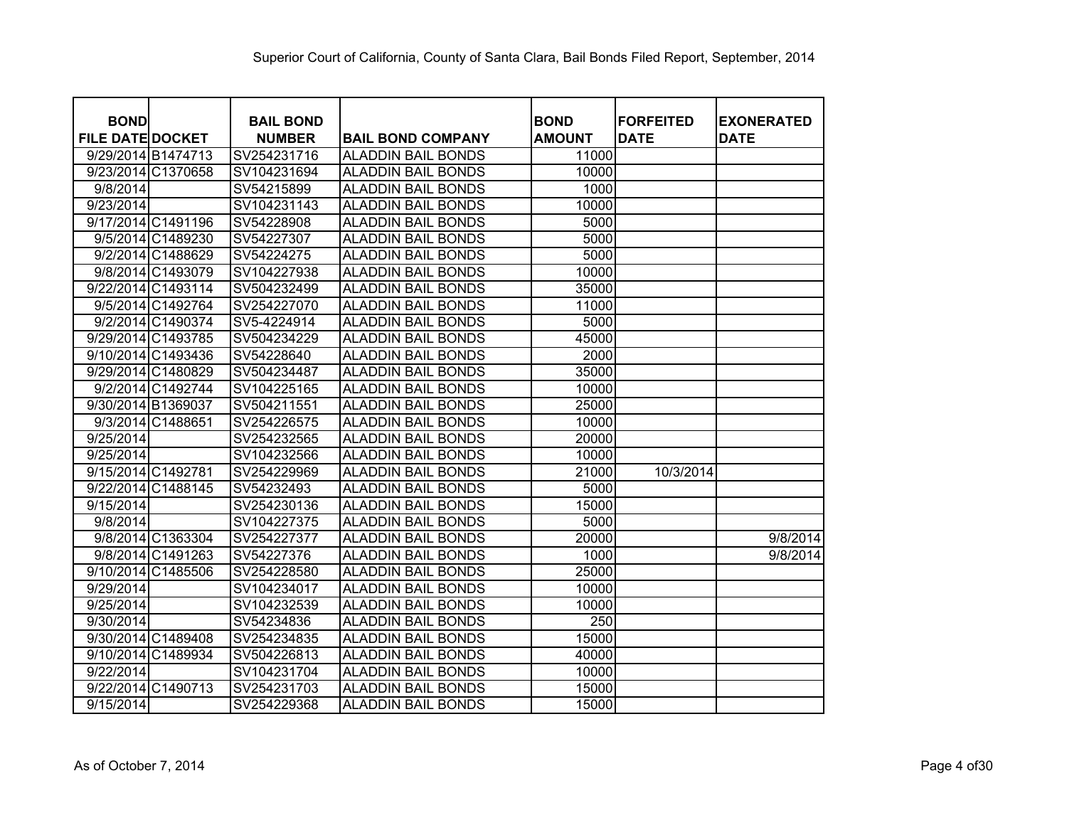| <b>BOND</b>             |                    | <b>BAIL BOND</b> |                           | <b>BOND</b>   | <b>FORFEITED</b> | <b>EXONERATED</b> |
|-------------------------|--------------------|------------------|---------------------------|---------------|------------------|-------------------|
| <b>FILE DATE DOCKET</b> |                    | <b>NUMBER</b>    | <b>BAIL BOND COMPANY</b>  | <b>AMOUNT</b> | <b>DATE</b>      | <b>DATE</b>       |
| 9/29/2014 B1474713      |                    | SV254231716      | <b>ALADDIN BAIL BONDS</b> | 11000         |                  |                   |
| 9/23/2014 C1370658      |                    | SV104231694      | <b>ALADDIN BAIL BONDS</b> | 10000         |                  |                   |
| 9/8/2014                |                    | SV54215899       | <b>ALADDIN BAIL BONDS</b> | 1000          |                  |                   |
| 9/23/2014               |                    | SV104231143      | <b>ALADDIN BAIL BONDS</b> | 10000         |                  |                   |
| 9/17/2014 C1491196      |                    | SV54228908       | <b>ALADDIN BAIL BONDS</b> | 5000          |                  |                   |
|                         | 9/5/2014 C1489230  | SV54227307       | <b>ALADDIN BAIL BONDS</b> | 5000          |                  |                   |
|                         | 9/2/2014 C1488629  | SV54224275       | <b>ALADDIN BAIL BONDS</b> | 5000          |                  |                   |
|                         | 9/8/2014 C1493079  | SV104227938      | <b>ALADDIN BAIL BONDS</b> | 10000         |                  |                   |
|                         | 9/22/2014 C1493114 | SV504232499      | <b>ALADDIN BAIL BONDS</b> | 35000         |                  |                   |
|                         | 9/5/2014 C1492764  | SV254227070      | <b>ALADDIN BAIL BONDS</b> | 11000         |                  |                   |
|                         | 9/2/2014 C1490374  | SV5-4224914      | <b>ALADDIN BAIL BONDS</b> | 5000          |                  |                   |
| 9/29/2014 C1493785      |                    | SV504234229      | <b>ALADDIN BAIL BONDS</b> | 45000         |                  |                   |
| 9/10/2014 C1493436      |                    | SV54228640       | <b>ALADDIN BAIL BONDS</b> | 2000          |                  |                   |
| 9/29/2014 C1480829      |                    | SV504234487      | <b>ALADDIN BAIL BONDS</b> | 35000         |                  |                   |
|                         | 9/2/2014 C1492744  | SV104225165      | <b>ALADDIN BAIL BONDS</b> | 10000         |                  |                   |
| 9/30/2014 B1369037      |                    | SV504211551      | <b>ALADDIN BAIL BONDS</b> | 25000         |                  |                   |
|                         | 9/3/2014 C1488651  | SV254226575      | <b>ALADDIN BAIL BONDS</b> | 10000         |                  |                   |
| 9/25/2014               |                    | SV254232565      | <b>ALADDIN BAIL BONDS</b> | 20000         |                  |                   |
| 9/25/2014               |                    | SV104232566      | <b>ALADDIN BAIL BONDS</b> | 10000         |                  |                   |
| 9/15/2014 C1492781      |                    | SV254229969      | <b>ALADDIN BAIL BONDS</b> | 21000         | 10/3/2014        |                   |
| 9/22/2014 C1488145      |                    | SV54232493       | <b>ALADDIN BAIL BONDS</b> | 5000          |                  |                   |
| 9/15/2014               |                    | SV254230136      | <b>ALADDIN BAIL BONDS</b> | 15000         |                  |                   |
| 9/8/2014                |                    | SV104227375      | <b>ALADDIN BAIL BONDS</b> | 5000          |                  |                   |
|                         | 9/8/2014 C1363304  | SV254227377      | <b>ALADDIN BAIL BONDS</b> | 20000         |                  | 9/8/2014          |
|                         | 9/8/2014 C1491263  | SV54227376       | <b>ALADDIN BAIL BONDS</b> | 1000          |                  | 9/8/2014          |
| 9/10/2014 C1485506      |                    | SV254228580      | <b>ALADDIN BAIL BONDS</b> | 25000         |                  |                   |
| 9/29/2014               |                    | SV104234017      | <b>ALADDIN BAIL BONDS</b> | 10000         |                  |                   |
| 9/25/2014               |                    | SV104232539      | <b>ALADDIN BAIL BONDS</b> | 10000         |                  |                   |
| 9/30/2014               |                    | SV54234836       | <b>ALADDIN BAIL BONDS</b> | 250           |                  |                   |
| 9/30/2014 C1489408      |                    | SV254234835      | <b>ALADDIN BAIL BONDS</b> | 15000         |                  |                   |
| 9/10/2014 C1489934      |                    | SV504226813      | <b>ALADDIN BAIL BONDS</b> | 40000         |                  |                   |
| 9/22/2014               |                    | SV104231704      | <b>ALADDIN BAIL BONDS</b> | 10000         |                  |                   |
| 9/22/2014 C1490713      |                    | SV254231703      | <b>ALADDIN BAIL BONDS</b> | 15000         |                  |                   |
| 9/15/2014               |                    | SV254229368      | <b>ALADDIN BAIL BONDS</b> | 15000         |                  |                   |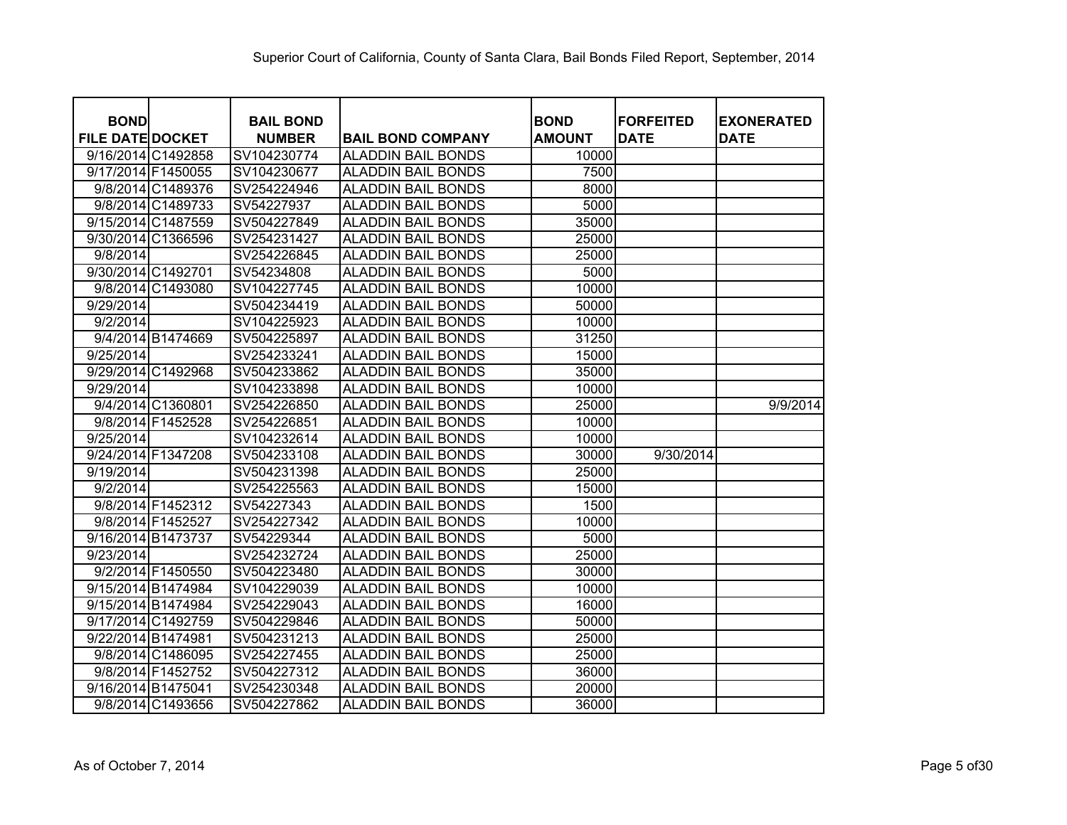| <b>BOND</b>             |                    | <b>BAIL BOND</b> |                           | <b>BOND</b>   | <b>IFORFEITED</b> | <b>EXONERATED</b> |
|-------------------------|--------------------|------------------|---------------------------|---------------|-------------------|-------------------|
| <b>FILE DATE DOCKET</b> |                    | <b>NUMBER</b>    | <b>BAIL BOND COMPANY</b>  | <b>AMOUNT</b> | <b>DATE</b>       | <b>DATE</b>       |
|                         | 9/16/2014 C1492858 | SV104230774      | <b>ALADDIN BAIL BONDS</b> | 10000         |                   |                   |
| 9/17/2014 F1450055      |                    | SV104230677      | <b>ALADDIN BAIL BONDS</b> | 7500          |                   |                   |
|                         | 9/8/2014 C1489376  | SV254224946      | <b>ALADDIN BAIL BONDS</b> | 8000          |                   |                   |
|                         | 9/8/2014 C1489733  | SV54227937       | <b>ALADDIN BAIL BONDS</b> | 5000          |                   |                   |
|                         | 9/15/2014 C1487559 | SV504227849      | <b>ALADDIN BAIL BONDS</b> | 35000         |                   |                   |
|                         | 9/30/2014 C1366596 | SV254231427      | <b>ALADDIN BAIL BONDS</b> | 25000         |                   |                   |
| 9/8/2014                |                    | SV254226845      | <b>ALADDIN BAIL BONDS</b> | 25000         |                   |                   |
| 9/30/2014 C1492701      |                    | SV54234808       | <b>ALADDIN BAIL BONDS</b> | 5000          |                   |                   |
|                         | 9/8/2014 C1493080  | SV104227745      | <b>ALADDIN BAIL BONDS</b> | 10000         |                   |                   |
| 9/29/2014               |                    | SV504234419      | <b>ALADDIN BAIL BONDS</b> | 50000         |                   |                   |
| 9/2/2014                |                    | SV104225923      | <b>ALADDIN BAIL BONDS</b> | 10000         |                   |                   |
|                         | 9/4/2014 B1474669  | SV504225897      | <b>ALADDIN BAIL BONDS</b> | 31250         |                   |                   |
| 9/25/2014               |                    | SV254233241      | <b>ALADDIN BAIL BONDS</b> | 15000         |                   |                   |
|                         | 9/29/2014 C1492968 | SV504233862      | <b>ALADDIN BAIL BONDS</b> | 35000         |                   |                   |
| 9/29/2014               |                    | SV104233898      | <b>ALADDIN BAIL BONDS</b> | 10000         |                   |                   |
|                         | 9/4/2014 C1360801  | SV254226850      | <b>ALADDIN BAIL BONDS</b> | 25000         |                   | 9/9/2014          |
|                         | 9/8/2014 F1452528  | SV254226851      | <b>ALADDIN BAIL BONDS</b> | 10000         |                   |                   |
| 9/25/2014               |                    | SV104232614      | <b>ALADDIN BAIL BONDS</b> | 10000         |                   |                   |
| 9/24/2014 F1347208      |                    | SV504233108      | <b>ALADDIN BAIL BONDS</b> | 30000         | 9/30/2014         |                   |
| 9/19/2014               |                    | SV504231398      | <b>ALADDIN BAIL BONDS</b> | 25000         |                   |                   |
| 9/2/2014                |                    | SV254225563      | <b>ALADDIN BAIL BONDS</b> | 15000         |                   |                   |
|                         | 9/8/2014 F1452312  | SV54227343       | <b>ALADDIN BAIL BONDS</b> | 1500          |                   |                   |
|                         | 9/8/2014 F1452527  | SV254227342      | <b>ALADDIN BAIL BONDS</b> | 10000         |                   |                   |
| 9/16/2014 B1473737      |                    | SV54229344       | <b>ALADDIN BAIL BONDS</b> | 5000          |                   |                   |
| 9/23/2014               |                    | SV254232724      | <b>ALADDIN BAIL BONDS</b> | 25000         |                   |                   |
|                         | 9/2/2014 F1450550  | SV504223480      | <b>ALADDIN BAIL BONDS</b> | 30000         |                   |                   |
| 9/15/2014 B1474984      |                    | SV104229039      | <b>ALADDIN BAIL BONDS</b> | 10000         |                   |                   |
| 9/15/2014 B1474984      |                    | SV254229043      | <b>ALADDIN BAIL BONDS</b> | 16000         |                   |                   |
|                         | 9/17/2014 C1492759 | SV504229846      | <b>ALADDIN BAIL BONDS</b> | 50000         |                   |                   |
| 9/22/2014 B1474981      |                    | SV504231213      | <b>ALADDIN BAIL BONDS</b> | 25000         |                   |                   |
|                         | 9/8/2014 C1486095  | SV254227455      | <b>ALADDIN BAIL BONDS</b> | 25000         |                   |                   |
|                         | 9/8/2014 F1452752  | SV504227312      | <b>ALADDIN BAIL BONDS</b> | 36000         |                   |                   |
| 9/16/2014 B1475041      |                    | SV254230348      | <b>ALADDIN BAIL BONDS</b> | 20000         |                   |                   |
|                         | 9/8/2014 C1493656  | SV504227862      | <b>ALADDIN BAIL BONDS</b> | 36000         |                   |                   |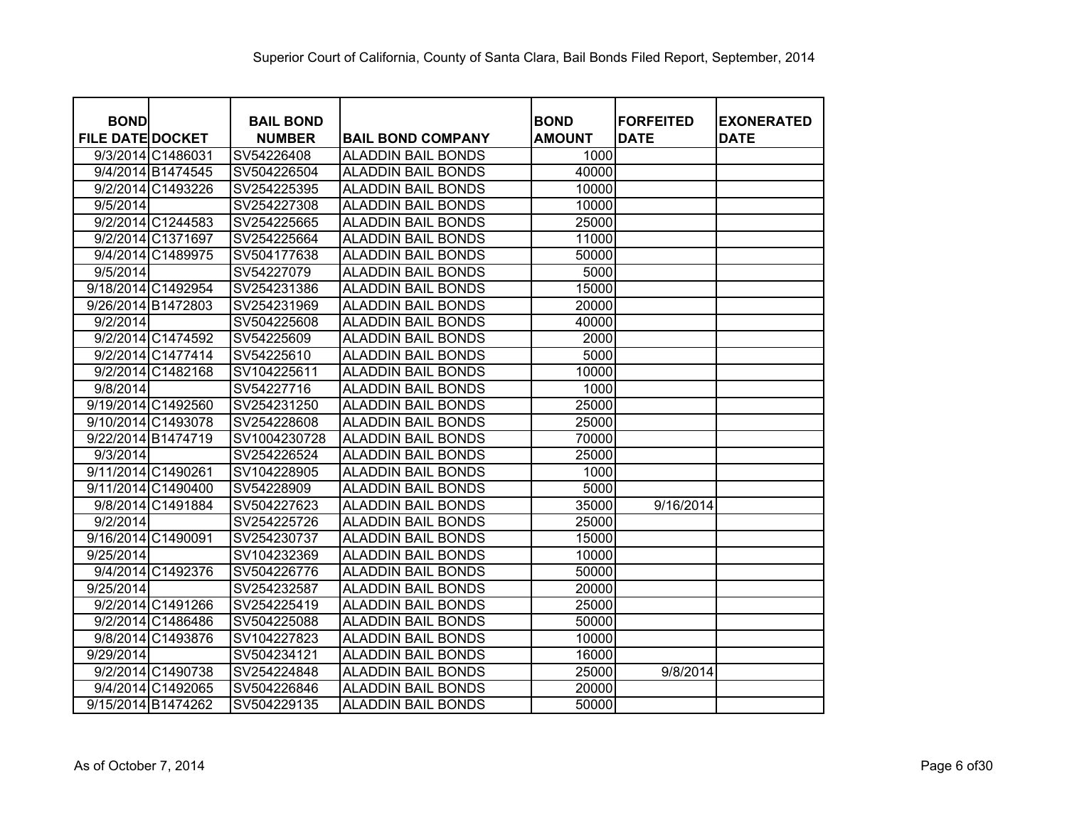| <b>BOND</b>             | <b>BAIL BOND</b> |                           | <b>BOND</b>   | <b>FORFEITED</b> | <b>EXONERATED</b> |
|-------------------------|------------------|---------------------------|---------------|------------------|-------------------|
| <b>FILE DATE DOCKET</b> | <b>NUMBER</b>    | <b>BAIL BOND COMPANY</b>  | <b>AMOUNT</b> | <b>DATE</b>      | <b>DATE</b>       |
| 9/3/2014 C1486031       | SV54226408       | <b>ALADDIN BAIL BONDS</b> | 1000          |                  |                   |
| 9/4/2014 B1474545       | SV504226504      | <b>ALADDIN BAIL BONDS</b> | 40000         |                  |                   |
| 9/2/2014 C1493226       | SV254225395      | <b>ALADDIN BAIL BONDS</b> | 10000         |                  |                   |
| 9/5/2014                | SV254227308      | <b>ALADDIN BAIL BONDS</b> | 10000         |                  |                   |
| 9/2/2014 C1244583       | SV254225665      | <b>ALADDIN BAIL BONDS</b> | 25000         |                  |                   |
| 9/2/2014 C1371697       | SV254225664      | <b>ALADDIN BAIL BONDS</b> | 11000         |                  |                   |
| 9/4/2014 C1489975       | SV504177638      | <b>ALADDIN BAIL BONDS</b> | 50000         |                  |                   |
| 9/5/2014                | SV54227079       | <b>ALADDIN BAIL BONDS</b> | 5000          |                  |                   |
| 9/18/2014 C1492954      | SV254231386      | <b>ALADDIN BAIL BONDS</b> | 15000         |                  |                   |
| 9/26/2014 B1472803      | SV254231969      | <b>ALADDIN BAIL BONDS</b> | 20000         |                  |                   |
| 9/2/2014                | SV504225608      | <b>ALADDIN BAIL BONDS</b> | 40000         |                  |                   |
| 9/2/2014 C1474592       | SV54225609       | <b>ALADDIN BAIL BONDS</b> | 2000          |                  |                   |
| 9/2/2014 C1477414       | SV54225610       | <b>ALADDIN BAIL BONDS</b> | 5000          |                  |                   |
| 9/2/2014 C1482168       | SV104225611      | <b>ALADDIN BAIL BONDS</b> | 10000         |                  |                   |
| 9/8/2014                | SV54227716       | <b>ALADDIN BAIL BONDS</b> | 1000          |                  |                   |
| 9/19/2014 C1492560      | SV254231250      | <b>ALADDIN BAIL BONDS</b> | 25000         |                  |                   |
| 9/10/2014 C1493078      | SV254228608      | <b>ALADDIN BAIL BONDS</b> | 25000         |                  |                   |
| 9/22/2014 B1474719      | SV1004230728     | <b>ALADDIN BAIL BONDS</b> | 70000         |                  |                   |
| 9/3/2014                | SV254226524      | <b>ALADDIN BAIL BONDS</b> | 25000         |                  |                   |
| 9/11/2014 C1490261      | SV104228905      | <b>ALADDIN BAIL BONDS</b> | 1000          |                  |                   |
| 9/11/2014 C1490400      | SV54228909       | <b>ALADDIN BAIL BONDS</b> | 5000          |                  |                   |
| 9/8/2014 C1491884       | SV504227623      | <b>ALADDIN BAIL BONDS</b> | 35000         | 9/16/2014        |                   |
| 9/2/2014                | SV254225726      | <b>ALADDIN BAIL BONDS</b> | 25000         |                  |                   |
| 9/16/2014 C1490091      | SV254230737      | <b>ALADDIN BAIL BONDS</b> | 15000         |                  |                   |
| 9/25/2014               | SV104232369      | <b>ALADDIN BAIL BONDS</b> | 10000         |                  |                   |
| 9/4/2014 C1492376       | SV504226776      | <b>ALADDIN BAIL BONDS</b> | 50000         |                  |                   |
| 9/25/2014               | SV254232587      | <b>ALADDIN BAIL BONDS</b> | 20000         |                  |                   |
| 9/2/2014 C1491266       | SV254225419      | <b>ALADDIN BAIL BONDS</b> | 25000         |                  |                   |
| 9/2/2014 C1486486       | SV504225088      | <b>ALADDIN BAIL BONDS</b> | 50000         |                  |                   |
| 9/8/2014 C1493876       | SV104227823      | <b>ALADDIN BAIL BONDS</b> | 10000         |                  |                   |
| 9/29/2014               | SV504234121      | <b>ALADDIN BAIL BONDS</b> | 16000         |                  |                   |
| 9/2/2014 C1490738       | SV254224848      | <b>ALADDIN BAIL BONDS</b> | 25000         | 9/8/2014         |                   |
| 9/4/2014 C1492065       | SV504226846      | <b>ALADDIN BAIL BONDS</b> | 20000         |                  |                   |
| 9/15/2014 B1474262      | SV504229135      | <b>ALADDIN BAIL BONDS</b> | 50000         |                  |                   |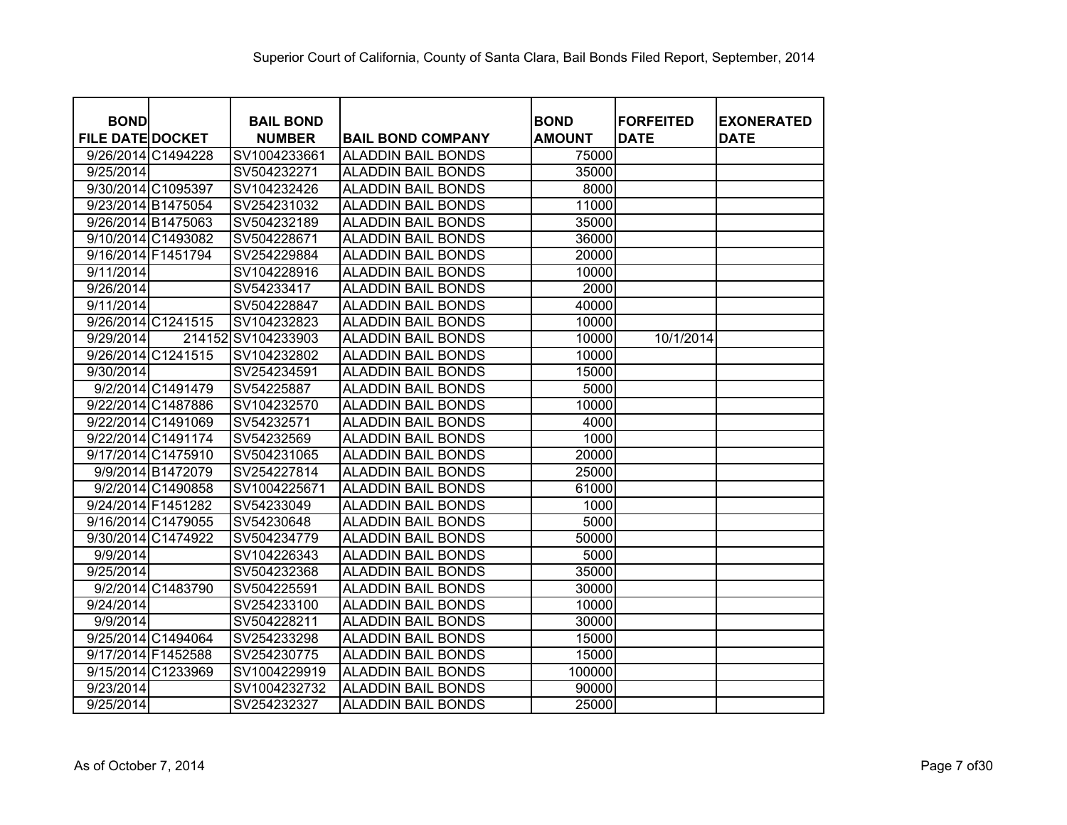| <b>BOND</b>             |                    | <b>BAIL BOND</b>            |                                                        | <b>BOND</b>    | <b>IFORFEITED</b> | <b>EXONERATED</b> |
|-------------------------|--------------------|-----------------------------|--------------------------------------------------------|----------------|-------------------|-------------------|
| <b>FILE DATE DOCKET</b> |                    | <b>NUMBER</b>               | <b>BAIL BOND COMPANY</b>                               | <b>AMOUNT</b>  | <b>DATE</b>       | <b>DATE</b>       |
| 9/25/2014               | 9/26/2014 C1494228 | SV1004233661<br>SV504232271 | <b>ALADDIN BAIL BONDS</b><br><b>ALADDIN BAIL BONDS</b> | 75000<br>35000 |                   |                   |
| 9/30/2014 C1095397      |                    | SV104232426                 | <b>ALADDIN BAIL BONDS</b>                              | 8000           |                   |                   |
|                         |                    |                             |                                                        |                |                   |                   |
| 9/23/2014 B1475054      |                    | SV254231032                 | <b>ALADDIN BAIL BONDS</b>                              | 11000          |                   |                   |
| 9/26/2014 B1475063      |                    | SV504232189                 | <b>ALADDIN BAIL BONDS</b>                              | 35000          |                   |                   |
|                         | 9/10/2014 C1493082 | SV504228671                 | <b>ALADDIN BAIL BONDS</b>                              | 36000          |                   |                   |
| 9/16/2014 F1451794      |                    | SV254229884                 | <b>ALADDIN BAIL BONDS</b>                              | 20000          |                   |                   |
| 9/11/2014               |                    | SV104228916                 | <b>ALADDIN BAIL BONDS</b>                              | 10000          |                   |                   |
| 9/26/2014               |                    | SV54233417                  | <b>ALADDIN BAIL BONDS</b>                              | 2000           |                   |                   |
| 9/11/2014               |                    | SV504228847                 | <b>ALADDIN BAIL BONDS</b>                              | 40000          |                   |                   |
|                         | 9/26/2014 C1241515 | SV104232823                 | <b>ALADDIN BAIL BONDS</b>                              | 10000          |                   |                   |
| 9/29/2014               |                    | 214152 SV104233903          | <b>ALADDIN BAIL BONDS</b>                              | 10000          | 10/1/2014         |                   |
|                         | 9/26/2014 C1241515 | SV104232802                 | <b>ALADDIN BAIL BONDS</b>                              | 10000          |                   |                   |
| 9/30/2014               |                    | SV254234591                 | <b>ALADDIN BAIL BONDS</b>                              | 15000          |                   |                   |
|                         | 9/2/2014 C1491479  | SV54225887                  | <b>ALADDIN BAIL BONDS</b>                              | 5000           |                   |                   |
|                         | 9/22/2014 C1487886 | SV104232570                 | <b>ALADDIN BAIL BONDS</b>                              | 10000          |                   |                   |
|                         | 9/22/2014 C1491069 | SV54232571                  | <b>ALADDIN BAIL BONDS</b>                              | 4000           |                   |                   |
|                         | 9/22/2014 C1491174 | SV54232569                  | <b>ALADDIN BAIL BONDS</b>                              | 1000           |                   |                   |
|                         | 9/17/2014 C1475910 | SV504231065                 | <b>ALADDIN BAIL BONDS</b>                              | 20000          |                   |                   |
|                         | 9/9/2014 B1472079  | SV254227814                 | <b>ALADDIN BAIL BONDS</b>                              | 25000          |                   |                   |
|                         | 9/2/2014 C1490858  | SV1004225671                | <b>ALADDIN BAIL BONDS</b>                              | 61000          |                   |                   |
| 9/24/2014 F1451282      |                    | SV54233049                  | <b>ALADDIN BAIL BONDS</b>                              | 1000           |                   |                   |
|                         | 9/16/2014 C1479055 | SV54230648                  | <b>ALADDIN BAIL BONDS</b>                              | 5000           |                   |                   |
| 9/30/2014 C1474922      |                    | SV504234779                 | <b>ALADDIN BAIL BONDS</b>                              | 50000          |                   |                   |
| 9/9/2014                |                    | SV104226343                 | <b>ALADDIN BAIL BONDS</b>                              | 5000           |                   |                   |
| 9/25/2014               |                    | SV504232368                 | <b>ALADDIN BAIL BONDS</b>                              | 35000          |                   |                   |
|                         | 9/2/2014 C1483790  | SV504225591                 | <b>ALADDIN BAIL BONDS</b>                              | 30000          |                   |                   |
| 9/24/2014               |                    | SV254233100                 | <b>ALADDIN BAIL BONDS</b>                              | 10000          |                   |                   |
| 9/9/2014                |                    | SV504228211                 | <b>ALADDIN BAIL BONDS</b>                              | 30000          |                   |                   |
|                         | 9/25/2014 C1494064 | SV254233298                 | <b>ALADDIN BAIL BONDS</b>                              | 15000          |                   |                   |
| 9/17/2014 F1452588      |                    | SV254230775                 | <b>ALADDIN BAIL BONDS</b>                              | 15000          |                   |                   |
|                         | 9/15/2014 C1233969 | SV1004229919                | <b>ALADDIN BAIL BONDS</b>                              | 100000         |                   |                   |
| 9/23/2014               |                    | SV1004232732                | <b>ALADDIN BAIL BONDS</b>                              | 90000          |                   |                   |
| 9/25/2014               |                    | SV254232327                 | <b>ALADDIN BAIL BONDS</b>                              | 25000          |                   |                   |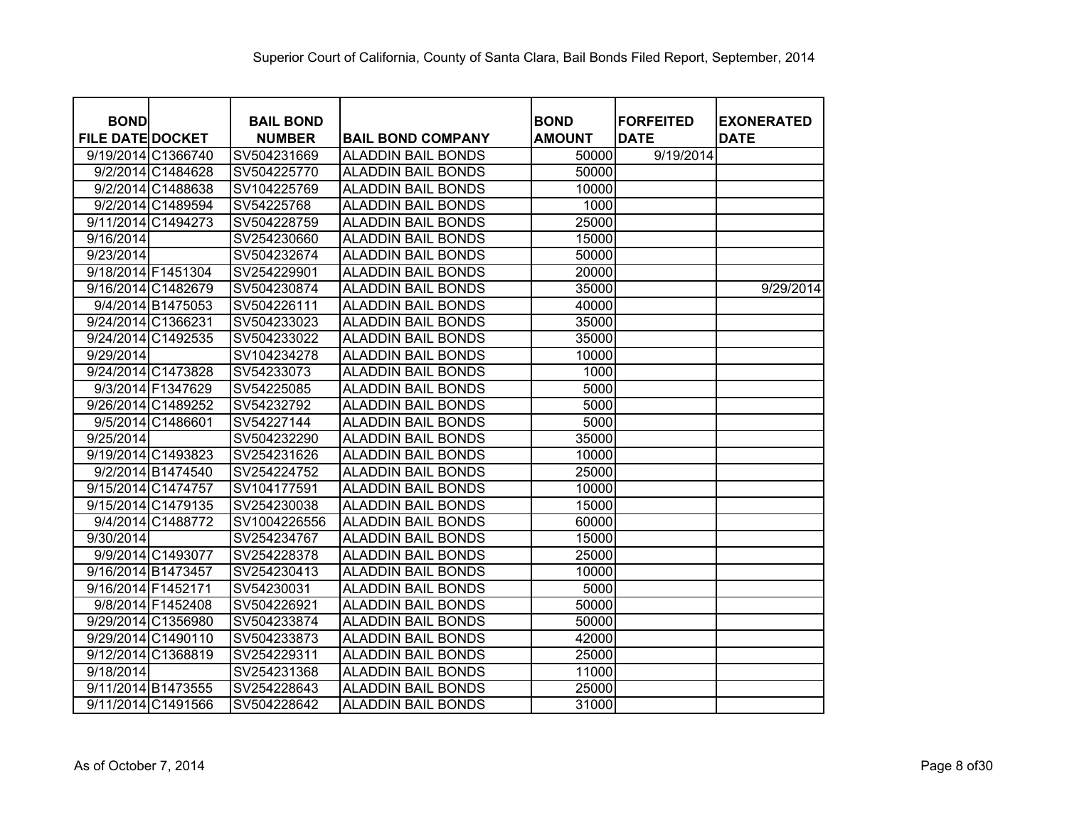| <b>BOND</b>             |                    | <b>BAIL BOND</b> |                           | <b>BOND</b>   | <b>FORFEITED</b> | <b>EXONERATED</b> |
|-------------------------|--------------------|------------------|---------------------------|---------------|------------------|-------------------|
| <b>FILE DATE DOCKET</b> |                    | <b>NUMBER</b>    | <b>BAIL BOND COMPANY</b>  | <b>AMOUNT</b> | <b>DATE</b>      | <b>DATE</b>       |
|                         | 9/19/2014 C1366740 | SV504231669      | <b>ALADDIN BAIL BONDS</b> | 50000         | 9/19/2014        |                   |
|                         | 9/2/2014 C1484628  | SV504225770      | <b>ALADDIN BAIL BONDS</b> | 50000         |                  |                   |
|                         | 9/2/2014 C1488638  | SV104225769      | <b>ALADDIN BAIL BONDS</b> | 10000         |                  |                   |
|                         | 9/2/2014 C1489594  | SV54225768       | <b>ALADDIN BAIL BONDS</b> | 1000          |                  |                   |
|                         | 9/11/2014 C1494273 | SV504228759      | <b>ALADDIN BAIL BONDS</b> | 25000         |                  |                   |
| 9/16/2014               |                    | SV254230660      | <b>ALADDIN BAIL BONDS</b> | 15000         |                  |                   |
| 9/23/2014               |                    | SV504232674      | <b>ALADDIN BAIL BONDS</b> | 50000         |                  |                   |
| 9/18/2014 F1451304      |                    | SV254229901      | <b>ALADDIN BAIL BONDS</b> | 20000         |                  |                   |
|                         | 9/16/2014 C1482679 | SV504230874      | <b>ALADDIN BAIL BONDS</b> | 35000         |                  | 9/29/2014         |
|                         | 9/4/2014 B1475053  | SV504226111      | <b>ALADDIN BAIL BONDS</b> | 40000         |                  |                   |
| 9/24/2014 C1366231      |                    | SV504233023      | <b>ALADDIN BAIL BONDS</b> | 35000         |                  |                   |
| 9/24/2014 C1492535      |                    | SV504233022      | <b>ALADDIN BAIL BONDS</b> | 35000         |                  |                   |
| 9/29/2014               |                    | SV104234278      | <b>ALADDIN BAIL BONDS</b> | 10000         |                  |                   |
|                         | 9/24/2014 C1473828 | SV54233073       | <b>ALADDIN BAIL BONDS</b> | 1000          |                  |                   |
|                         | 9/3/2014 F1347629  | SV54225085       | <b>ALADDIN BAIL BONDS</b> | 5000          |                  |                   |
|                         | 9/26/2014 C1489252 | SV54232792       | <b>ALADDIN BAIL BONDS</b> | 5000          |                  |                   |
|                         | 9/5/2014 C1486601  | SV54227144       | <b>ALADDIN BAIL BONDS</b> | 5000          |                  |                   |
| 9/25/2014               |                    | SV504232290      | <b>ALADDIN BAIL BONDS</b> | 35000         |                  |                   |
|                         | 9/19/2014 C1493823 | SV254231626      | <b>ALADDIN BAIL BONDS</b> | 10000         |                  |                   |
|                         | 9/2/2014 B1474540  | SV254224752      | <b>ALADDIN BAIL BONDS</b> | 25000         |                  |                   |
| 9/15/2014 C1474757      |                    | SV104177591      | <b>ALADDIN BAIL BONDS</b> | 10000         |                  |                   |
|                         | 9/15/2014 C1479135 | SV254230038      | <b>ALADDIN BAIL BONDS</b> | 15000         |                  |                   |
|                         | 9/4/2014 C1488772  | SV1004226556     | <b>ALADDIN BAIL BONDS</b> | 60000         |                  |                   |
| 9/30/2014               |                    | SV254234767      | <b>ALADDIN BAIL BONDS</b> | 15000         |                  |                   |
|                         | 9/9/2014 C1493077  | SV254228378      | <b>ALADDIN BAIL BONDS</b> | 25000         |                  |                   |
| 9/16/2014 B1473457      |                    | SV254230413      | <b>ALADDIN BAIL BONDS</b> | 10000         |                  |                   |
| 9/16/2014 F1452171      |                    | SV54230031       | <b>ALADDIN BAIL BONDS</b> | 5000          |                  |                   |
|                         | 9/8/2014 F1452408  | SV504226921      | <b>ALADDIN BAIL BONDS</b> | 50000         |                  |                   |
|                         | 9/29/2014 C1356980 | SV504233874      | <b>ALADDIN BAIL BONDS</b> | 50000         |                  |                   |
|                         | 9/29/2014 C1490110 | SV504233873      | <b>ALADDIN BAIL BONDS</b> | 42000         |                  |                   |
|                         | 9/12/2014 C1368819 | SV254229311      | <b>ALADDIN BAIL BONDS</b> | 25000         |                  |                   |
| 9/18/2014               |                    | SV254231368      | <b>ALADDIN BAIL BONDS</b> | 11000         |                  |                   |
| 9/11/2014 B1473555      |                    | SV254228643      | <b>ALADDIN BAIL BONDS</b> | 25000         |                  |                   |
|                         | 9/11/2014 C1491566 | SV504228642      | <b>ALADDIN BAIL BONDS</b> | 31000         |                  |                   |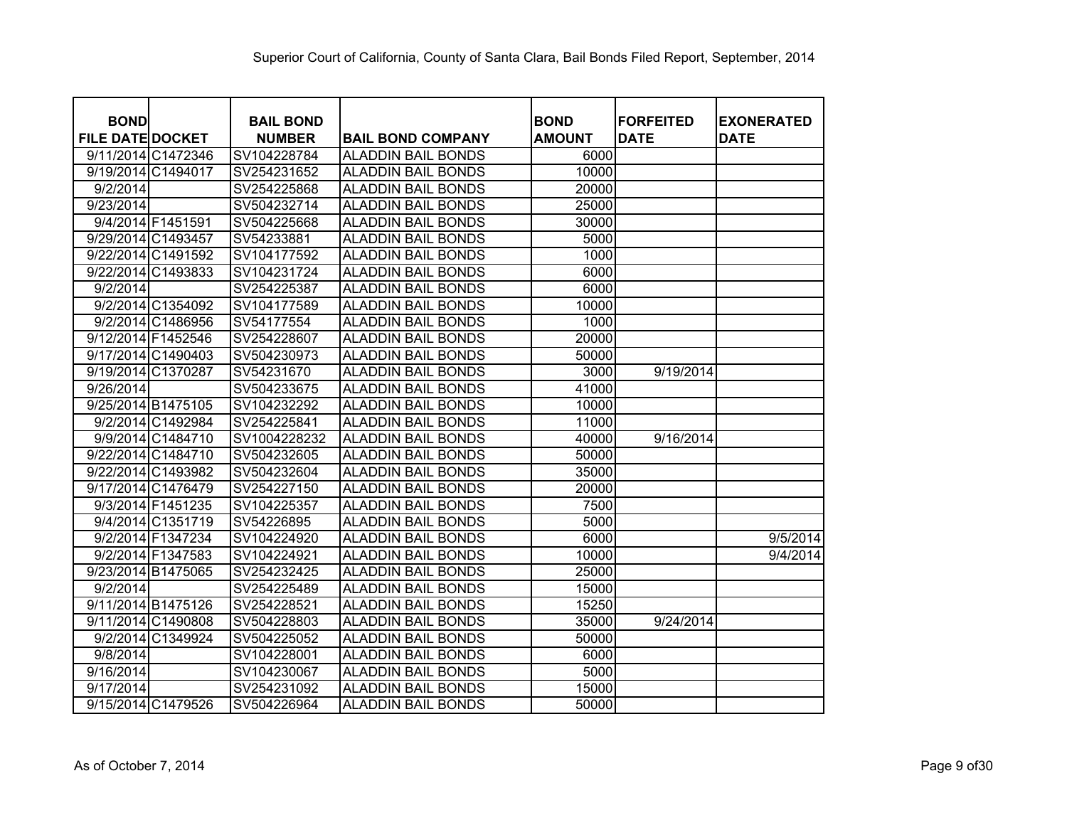| <b>BOND</b>             |                   | <b>BAIL BOND</b> |                           | <b>BOND</b>   | <b>FORFEITED</b> | <b>EXONERATED</b> |
|-------------------------|-------------------|------------------|---------------------------|---------------|------------------|-------------------|
| <b>FILE DATE DOCKET</b> |                   | <b>NUMBER</b>    | <b>BAIL BOND COMPANY</b>  | <b>AMOUNT</b> | <b>DATE</b>      | <b>DATE</b>       |
| 9/11/2014 C1472346      |                   | SV104228784      | <b>ALADDIN BAIL BONDS</b> | 6000          |                  |                   |
| 9/19/2014 C1494017      |                   | SV254231652      | <b>ALADDIN BAIL BONDS</b> | 10000         |                  |                   |
| 9/2/2014                |                   | SV254225868      | <b>ALADDIN BAIL BONDS</b> | 20000         |                  |                   |
| 9/23/2014               |                   | SV504232714      | <b>ALADDIN BAIL BONDS</b> | 25000         |                  |                   |
|                         | 9/4/2014 F1451591 | SV504225668      | <b>ALADDIN BAIL BONDS</b> | 30000         |                  |                   |
| 9/29/2014 C1493457      |                   | SV54233881       | <b>ALADDIN BAIL BONDS</b> | 5000          |                  |                   |
| 9/22/2014 C1491592      |                   | SV104177592      | <b>ALADDIN BAIL BONDS</b> | 1000          |                  |                   |
| 9/22/2014 C1493833      |                   | SV104231724      | <b>ALADDIN BAIL BONDS</b> | 6000          |                  |                   |
| 9/2/2014                |                   | SV254225387      | <b>ALADDIN BAIL BONDS</b> | 6000          |                  |                   |
|                         | 9/2/2014 C1354092 | SV104177589      | <b>ALADDIN BAIL BONDS</b> | 10000         |                  |                   |
|                         | 9/2/2014 C1486956 | SV54177554       | <b>ALADDIN BAIL BONDS</b> | 1000          |                  |                   |
| 9/12/2014 F1452546      |                   | SV254228607      | <b>ALADDIN BAIL BONDS</b> | 20000         |                  |                   |
| 9/17/2014 C1490403      |                   | SV504230973      | <b>ALADDIN BAIL BONDS</b> | 50000         |                  |                   |
| 9/19/2014 C1370287      |                   | SV54231670       | <b>ALADDIN BAIL BONDS</b> | 3000          | 9/19/2014        |                   |
| 9/26/2014               |                   | SV504233675      | <b>ALADDIN BAIL BONDS</b> | 41000         |                  |                   |
| 9/25/2014 B1475105      |                   | SV104232292      | <b>ALADDIN BAIL BONDS</b> | 10000         |                  |                   |
|                         | 9/2/2014 C1492984 | SV254225841      | <b>ALADDIN BAIL BONDS</b> | 11000         |                  |                   |
|                         | 9/9/2014 C1484710 | SV1004228232     | <b>ALADDIN BAIL BONDS</b> | 40000         | 9/16/2014        |                   |
| 9/22/2014 C1484710      |                   | SV504232605      | <b>ALADDIN BAIL BONDS</b> | 50000         |                  |                   |
| 9/22/2014 C1493982      |                   | SV504232604      | <b>ALADDIN BAIL BONDS</b> | 35000         |                  |                   |
| 9/17/2014 C1476479      |                   | SV254227150      | <b>ALADDIN BAIL BONDS</b> | 20000         |                  |                   |
|                         | 9/3/2014 F1451235 | SV104225357      | <b>ALADDIN BAIL BONDS</b> | 7500          |                  |                   |
|                         | 9/4/2014 C1351719 | SV54226895       | <b>ALADDIN BAIL BONDS</b> | 5000          |                  |                   |
|                         | 9/2/2014 F1347234 | SV104224920      | <b>ALADDIN BAIL BONDS</b> | 6000          |                  | 9/5/2014          |
|                         | 9/2/2014 F1347583 | SV104224921      | <b>ALADDIN BAIL BONDS</b> | 10000         |                  | 9/4/2014          |
| 9/23/2014 B1475065      |                   | SV254232425      | <b>ALADDIN BAIL BONDS</b> | 25000         |                  |                   |
| 9/2/2014                |                   | SV254225489      | <b>ALADDIN BAIL BONDS</b> | 15000         |                  |                   |
| 9/11/2014 B1475126      |                   | SV254228521      | <b>ALADDIN BAIL BONDS</b> | 15250         |                  |                   |
| 9/11/2014 C1490808      |                   | SV504228803      | <b>ALADDIN BAIL BONDS</b> | 35000         | 9/24/2014        |                   |
|                         | 9/2/2014 C1349924 | SV504225052      | <b>ALADDIN BAIL BONDS</b> | 50000         |                  |                   |
| 9/8/2014                |                   | SV104228001      | <b>ALADDIN BAIL BONDS</b> | 6000          |                  |                   |
| 9/16/2014               |                   | SV104230067      | <b>ALADDIN BAIL BONDS</b> | 5000          |                  |                   |
| 9/17/2014               |                   | SV254231092      | <b>ALADDIN BAIL BONDS</b> | 15000         |                  |                   |
| 9/15/2014 C1479526      |                   | SV504226964      | <b>ALADDIN BAIL BONDS</b> | 50000         |                  |                   |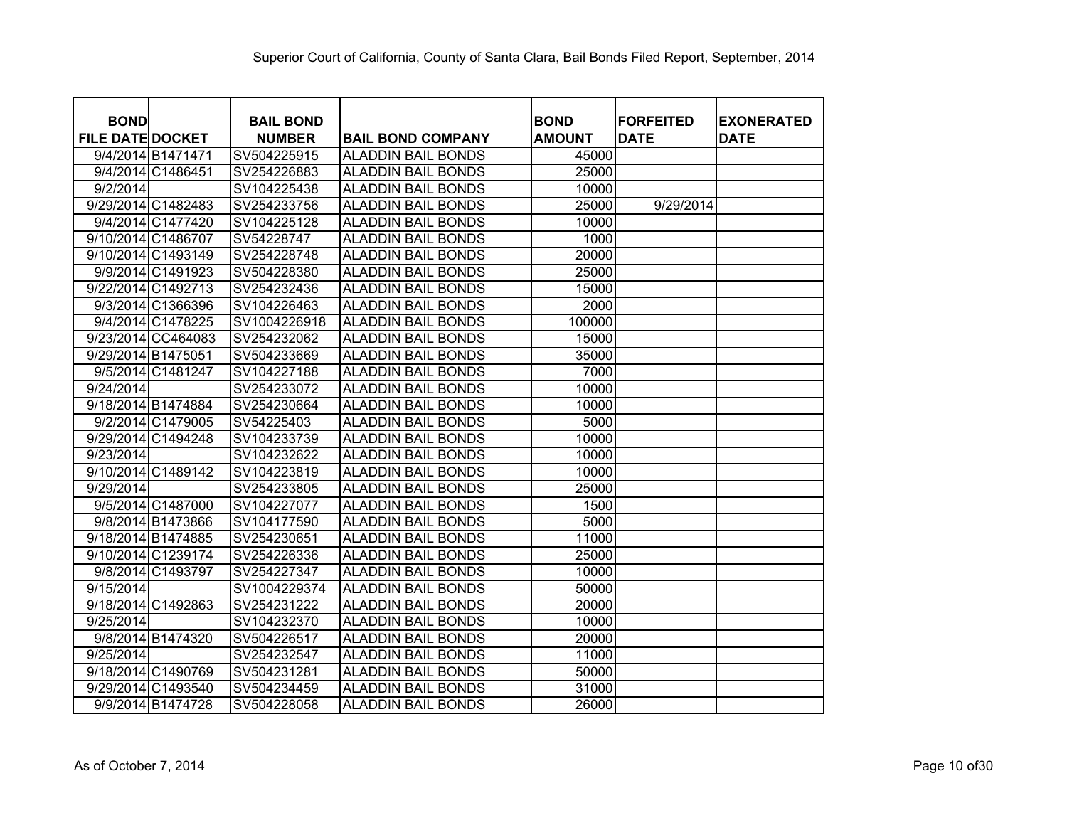| <b>BOND</b>             |                    | <b>BAIL BOND</b> |                           | <b>BOND</b>   | <b>FORFEITED</b> | <b>EXONERATED</b> |
|-------------------------|--------------------|------------------|---------------------------|---------------|------------------|-------------------|
| <b>FILE DATE DOCKET</b> |                    | <b>NUMBER</b>    | <b>BAIL BOND COMPANY</b>  | <b>AMOUNT</b> | <b>DATE</b>      | <b>DATE</b>       |
|                         | 9/4/2014 B1471471  | SV504225915      | <b>ALADDIN BAIL BONDS</b> | 45000         |                  |                   |
|                         | 9/4/2014 C1486451  | SV254226883      | <b>ALADDIN BAIL BONDS</b> | 25000         |                  |                   |
| 9/2/2014                |                    | SV104225438      | <b>ALADDIN BAIL BONDS</b> | 10000         |                  |                   |
|                         | 9/29/2014 C1482483 | SV254233756      | <b>ALADDIN BAIL BONDS</b> | 25000         | 9/29/2014        |                   |
|                         | 9/4/2014 C1477420  | SV104225128      | <b>ALADDIN BAIL BONDS</b> | 10000         |                  |                   |
|                         | 9/10/2014 C1486707 | SV54228747       | <b>ALADDIN BAIL BONDS</b> | 1000          |                  |                   |
|                         | 9/10/2014 C1493149 | SV254228748      | <b>ALADDIN BAIL BONDS</b> | 20000         |                  |                   |
|                         | 9/9/2014 C1491923  | SV504228380      | <b>ALADDIN BAIL BONDS</b> | 25000         |                  |                   |
|                         | 9/22/2014 C1492713 | SV254232436      | <b>ALADDIN BAIL BONDS</b> | 15000         |                  |                   |
|                         | 9/3/2014 C1366396  | SV104226463      | <b>ALADDIN BAIL BONDS</b> | 2000          |                  |                   |
|                         | 9/4/2014 C1478225  | SV1004226918     | <b>ALADDIN BAIL BONDS</b> | 100000        |                  |                   |
|                         | 9/23/2014 CC464083 | SV254232062      | <b>ALADDIN BAIL BONDS</b> | 15000         |                  |                   |
| 9/29/2014 B1475051      |                    | SV504233669      | <b>ALADDIN BAIL BONDS</b> | 35000         |                  |                   |
|                         | 9/5/2014 C1481247  | SV104227188      | <b>ALADDIN BAIL BONDS</b> | 7000          |                  |                   |
| 9/24/2014               |                    | SV254233072      | <b>ALADDIN BAIL BONDS</b> | 10000         |                  |                   |
|                         | 9/18/2014 B1474884 | SV254230664      | <b>ALADDIN BAIL BONDS</b> | 10000         |                  |                   |
|                         | 9/2/2014 C1479005  | SV54225403       | <b>ALADDIN BAIL BONDS</b> | 5000          |                  |                   |
|                         | 9/29/2014 C1494248 | SV104233739      | <b>ALADDIN BAIL BONDS</b> | 10000         |                  |                   |
| 9/23/2014               |                    | SV104232622      | <b>ALADDIN BAIL BONDS</b> | 10000         |                  |                   |
|                         | 9/10/2014 C1489142 | SV104223819      | <b>ALADDIN BAIL BONDS</b> | 10000         |                  |                   |
| 9/29/2014               |                    | SV254233805      | <b>ALADDIN BAIL BONDS</b> | 25000         |                  |                   |
|                         | 9/5/2014 C1487000  | SV104227077      | <b>ALADDIN BAIL BONDS</b> | 1500          |                  |                   |
|                         | 9/8/2014 B1473866  | SV104177590      | <b>ALADDIN BAIL BONDS</b> | 5000          |                  |                   |
|                         | 9/18/2014 B1474885 | SV254230651      | <b>ALADDIN BAIL BONDS</b> | 11000         |                  |                   |
|                         | 9/10/2014 C1239174 | SV254226336      | <b>ALADDIN BAIL BONDS</b> | 25000         |                  |                   |
|                         | 9/8/2014 C1493797  | SV254227347      | <b>ALADDIN BAIL BONDS</b> | 10000         |                  |                   |
| 9/15/2014               |                    | SV1004229374     | <b>ALADDIN BAIL BONDS</b> | 50000         |                  |                   |
|                         | 9/18/2014 C1492863 | SV254231222      | <b>ALADDIN BAIL BONDS</b> | 20000         |                  |                   |
| 9/25/2014               |                    | SV104232370      | <b>ALADDIN BAIL BONDS</b> | 10000         |                  |                   |
|                         | 9/8/2014 B1474320  | SV504226517      | <b>ALADDIN BAIL BONDS</b> | 20000         |                  |                   |
| 9/25/2014               |                    | SV254232547      | <b>ALADDIN BAIL BONDS</b> | 11000         |                  |                   |
|                         | 9/18/2014 C1490769 | SV504231281      | <b>ALADDIN BAIL BONDS</b> | 50000         |                  |                   |
|                         | 9/29/2014 C1493540 | SV504234459      | <b>ALADDIN BAIL BONDS</b> | 31000         |                  |                   |
|                         | 9/9/2014 B1474728  | SV504228058      | <b>ALADDIN BAIL BONDS</b> | 26000         |                  |                   |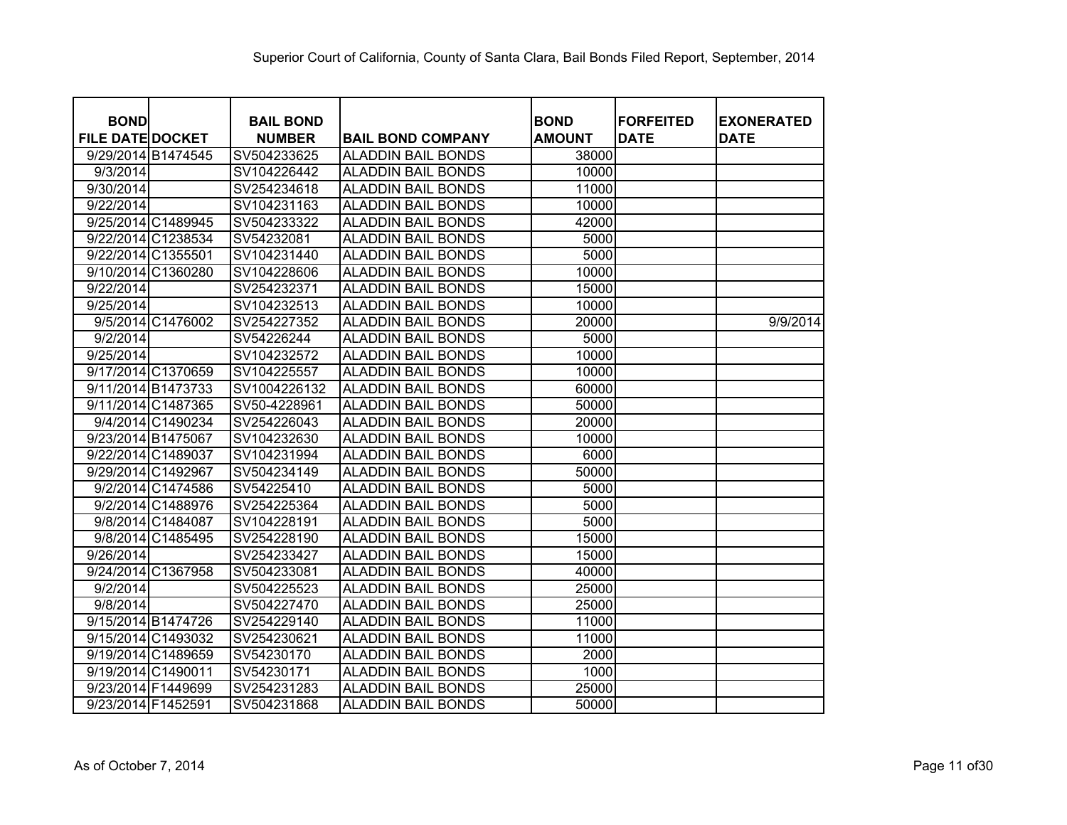| <b>BOND</b><br><b>FILE DATE DOCKET</b> | <b>BAIL BOND</b><br><b>NUMBER</b> | <b>BAIL BOND COMPANY</b>  | <b>BOND</b><br><b>AMOUNT</b> | <b>FORFEITED</b><br><b>DATE</b> | <b>EXONERATED</b><br><b>DATE</b> |
|----------------------------------------|-----------------------------------|---------------------------|------------------------------|---------------------------------|----------------------------------|
| 9/29/2014 B1474545                     | SV504233625                       | <b>ALADDIN BAIL BONDS</b> | 38000                        |                                 |                                  |
| 9/3/2014                               | SV104226442                       | <b>ALADDIN BAIL BONDS</b> | 10000                        |                                 |                                  |
| 9/30/2014                              | SV254234618                       | <b>ALADDIN BAIL BONDS</b> | 11000                        |                                 |                                  |
| 9/22/2014                              | SV104231163                       | <b>ALADDIN BAIL BONDS</b> | 10000                        |                                 |                                  |
| 9/25/2014 C1489945                     | SV504233322                       | <b>ALADDIN BAIL BONDS</b> | 42000                        |                                 |                                  |
| 9/22/2014 C1238534                     | SV54232081                        | <b>ALADDIN BAIL BONDS</b> | 5000                         |                                 |                                  |
| 9/22/2014 C1355501                     | SV104231440                       | <b>ALADDIN BAIL BONDS</b> | 5000                         |                                 |                                  |
| 9/10/2014 C1360280                     | SV104228606                       | <b>ALADDIN BAIL BONDS</b> | 10000                        |                                 |                                  |
| 9/22/2014                              | SV254232371                       | <b>ALADDIN BAIL BONDS</b> | 15000                        |                                 |                                  |
| 9/25/2014                              | SV104232513                       | <b>ALADDIN BAIL BONDS</b> | 10000                        |                                 |                                  |
| 9/5/2014 C1476002                      | SV254227352                       | <b>ALADDIN BAIL BONDS</b> | 20000                        |                                 | 9/9/2014                         |
| 9/2/2014                               | SV54226244                        | <b>ALADDIN BAIL BONDS</b> | 5000                         |                                 |                                  |
| 9/25/2014                              | SV104232572                       | <b>ALADDIN BAIL BONDS</b> | 10000                        |                                 |                                  |
| 9/17/2014 C1370659                     | SV104225557                       | <b>ALADDIN BAIL BONDS</b> | 10000                        |                                 |                                  |
| 9/11/2014 B1473733                     | SV1004226132                      | <b>ALADDIN BAIL BONDS</b> | 60000                        |                                 |                                  |
| 9/11/2014 C1487365                     | SV50-4228961                      | <b>ALADDIN BAIL BONDS</b> | 50000                        |                                 |                                  |
| 9/4/2014 C1490234                      | SV254226043                       | <b>ALADDIN BAIL BONDS</b> | 20000                        |                                 |                                  |
| 9/23/2014 B1475067                     | SV104232630                       | <b>ALADDIN BAIL BONDS</b> | 10000                        |                                 |                                  |
| 9/22/2014 C1489037                     | SV104231994                       | <b>ALADDIN BAIL BONDS</b> | 6000                         |                                 |                                  |
| 9/29/2014 C1492967                     | SV504234149                       | <b>ALADDIN BAIL BONDS</b> | 50000                        |                                 |                                  |
| 9/2/2014 C1474586                      | SV54225410                        | <b>ALADDIN BAIL BONDS</b> | 5000                         |                                 |                                  |
| 9/2/2014 C1488976                      | SV254225364                       | <b>ALADDIN BAIL BONDS</b> | 5000                         |                                 |                                  |
| 9/8/2014 C1484087                      | SV104228191                       | <b>ALADDIN BAIL BONDS</b> | 5000                         |                                 |                                  |
| 9/8/2014 C1485495                      | SV254228190                       | <b>ALADDIN BAIL BONDS</b> | 15000                        |                                 |                                  |
| 9/26/2014                              | SV254233427                       | <b>ALADDIN BAIL BONDS</b> | 15000                        |                                 |                                  |
| 9/24/2014 C1367958                     | SV504233081                       | <b>ALADDIN BAIL BONDS</b> | 40000                        |                                 |                                  |
| 9/2/2014                               | SV504225523                       | <b>ALADDIN BAIL BONDS</b> | 25000                        |                                 |                                  |
| 9/8/2014                               | SV504227470                       | <b>ALADDIN BAIL BONDS</b> | 25000                        |                                 |                                  |
| 9/15/2014 B1474726                     | SV254229140                       | <b>ALADDIN BAIL BONDS</b> | 11000                        |                                 |                                  |
| 9/15/2014 C1493032                     | SV254230621                       | <b>ALADDIN BAIL BONDS</b> | 11000                        |                                 |                                  |
| 9/19/2014 C1489659                     | SV54230170                        | <b>ALADDIN BAIL BONDS</b> | 2000                         |                                 |                                  |
| 9/19/2014 C1490011                     | SV54230171                        | <b>ALADDIN BAIL BONDS</b> | 1000                         |                                 |                                  |
| 9/23/2014 F1449699                     | SV254231283                       | <b>ALADDIN BAIL BONDS</b> | 25000                        |                                 |                                  |
| 9/23/2014 F1452591                     | SV504231868                       | <b>ALADDIN BAIL BONDS</b> | 50000                        |                                 |                                  |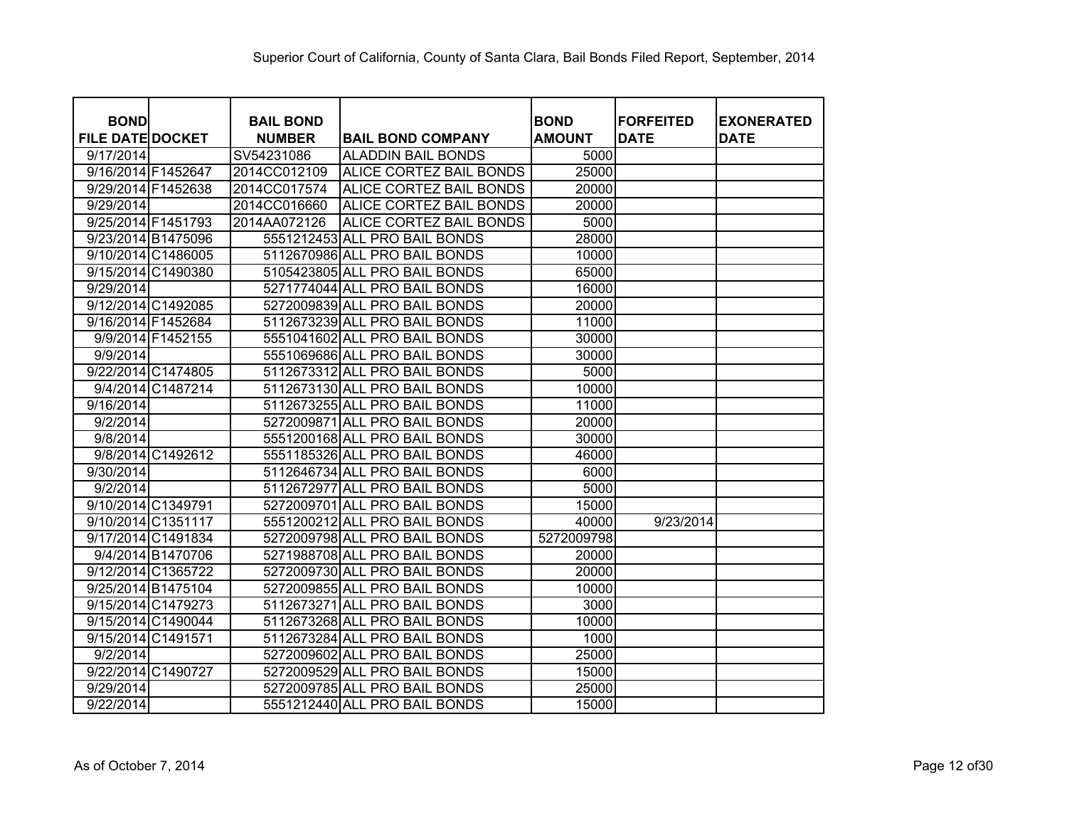| <b>BOND</b>             | <b>BAIL BOND</b> |                                | <b>BOND</b>   | <b>FORFEITED</b> | <b>EXONERATED</b> |
|-------------------------|------------------|--------------------------------|---------------|------------------|-------------------|
| <b>FILE DATE DOCKET</b> | <b>NUMBER</b>    | <b>BAIL BOND COMPANY</b>       | <b>AMOUNT</b> | <b>DATE</b>      | <b>DATE</b>       |
| 9/17/2014               | SV54231086       | <b>ALADDIN BAIL BONDS</b>      | 5000          |                  |                   |
| 9/16/2014 F1452647      | 2014CC012109     | ALICE CORTEZ BAIL BONDS        | 25000         |                  |                   |
| 9/29/2014 F1452638      | 2014CC017574     | ALICE CORTEZ BAIL BONDS        | 20000         |                  |                   |
| 9/29/2014               | 2014CC016660     | ALICE CORTEZ BAIL BONDS        | 20000         |                  |                   |
| 9/25/2014 F1451793      | 2014AA072126     | <b>ALICE CORTEZ BAIL BONDS</b> | 5000          |                  |                   |
| 9/23/2014 B1475096      |                  | 5551212453 ALL PRO BAIL BONDS  | 28000         |                  |                   |
| 9/10/2014 C1486005      |                  | 5112670986 ALL PRO BAIL BONDS  | 10000         |                  |                   |
| 9/15/2014 C1490380      |                  | 5105423805 ALL PRO BAIL BONDS  | 65000         |                  |                   |
| 9/29/2014               |                  | 5271774044 ALL PRO BAIL BONDS  | 16000         |                  |                   |
| 9/12/2014 C1492085      |                  | 5272009839 ALL PRO BAIL BONDS  | 20000         |                  |                   |
| 9/16/2014 F1452684      |                  | 5112673239 ALL PRO BAIL BONDS  | 11000         |                  |                   |
| 9/9/2014 F1452155       |                  | 5551041602 ALL PRO BAIL BONDS  | 30000         |                  |                   |
| 9/9/2014                |                  | 5551069686 ALL PRO BAIL BONDS  | 30000         |                  |                   |
| 9/22/2014 C1474805      |                  | 5112673312 ALL PRO BAIL BONDS  | 5000          |                  |                   |
| 9/4/2014 C1487214       |                  | 5112673130 ALL PRO BAIL BONDS  | 10000         |                  |                   |
| 9/16/2014               |                  | 5112673255 ALL PRO BAIL BONDS  | 11000         |                  |                   |
| 9/2/2014                |                  | 5272009871 ALL PRO BAIL BONDS  | 20000         |                  |                   |
| 9/8/2014                |                  | 5551200168 ALL PRO BAIL BONDS  | 30000         |                  |                   |
| 9/8/2014 C1492612       |                  | 5551185326 ALL PRO BAIL BONDS  | 46000         |                  |                   |
| 9/30/2014               |                  | 5112646734 ALL PRO BAIL BONDS  | 6000          |                  |                   |
| 9/2/2014                |                  | 5112672977 ALL PRO BAIL BONDS  | 5000          |                  |                   |
| 9/10/2014 C1349791      |                  | 5272009701 ALL PRO BAIL BONDS  | 15000         |                  |                   |
| 9/10/2014 C1351117      |                  | 5551200212 ALL PRO BAIL BONDS  | 40000         | 9/23/2014        |                   |
| 9/17/2014 C1491834      |                  | 5272009798 ALL PRO BAIL BONDS  | 5272009798    |                  |                   |
| 9/4/2014 B1470706       |                  | 5271988708 ALL PRO BAIL BONDS  | 20000         |                  |                   |
| 9/12/2014 C1365722      |                  | 5272009730 ALL PRO BAIL BONDS  | 20000         |                  |                   |
| 9/25/2014 B1475104      |                  | 5272009855 ALL PRO BAIL BONDS  | 10000         |                  |                   |
| 9/15/2014 C1479273      |                  | 5112673271 ALL PRO BAIL BONDS  | 3000          |                  |                   |
| 9/15/2014 C1490044      |                  | 5112673268 ALL PRO BAIL BONDS  | 10000         |                  |                   |
| 9/15/2014 C1491571      |                  | 5112673284 ALL PRO BAIL BONDS  | 1000          |                  |                   |
| 9/2/2014                |                  | 5272009602 ALL PRO BAIL BONDS  | 25000         |                  |                   |
| 9/22/2014 C1490727      |                  | 5272009529 ALL PRO BAIL BONDS  | 15000         |                  |                   |
| 9/29/2014               |                  | 5272009785 ALL PRO BAIL BONDS  | 25000         |                  |                   |
| $\overline{9}/22/2014$  |                  | 5551212440 ALL PRO BAIL BONDS  | 15000         |                  |                   |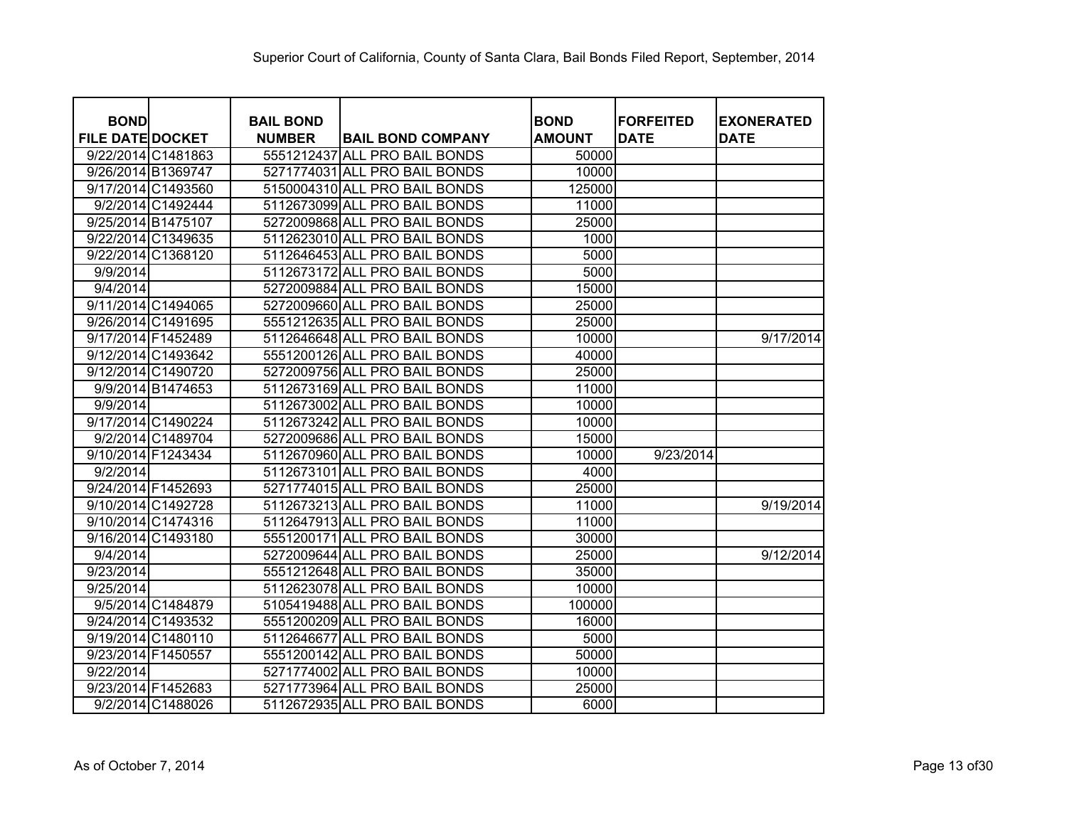| <b>BOND</b>             |                   | <b>BAIL BOND</b> |                               | <b>BOND</b>   | <b>FORFEITED</b> | <b>EXONERATED</b> |
|-------------------------|-------------------|------------------|-------------------------------|---------------|------------------|-------------------|
| <b>FILE DATE DOCKET</b> |                   | <b>NUMBER</b>    | <b>BAIL BOND COMPANY</b>      | <b>AMOUNT</b> | <b>DATE</b>      | <b>DATE</b>       |
| 9/22/2014 C1481863      |                   |                  | 5551212437 ALL PRO BAIL BONDS | 50000         |                  |                   |
| 9/26/2014 B1369747      |                   |                  | 5271774031 ALL PRO BAIL BONDS | 10000         |                  |                   |
| 9/17/2014 C1493560      |                   |                  | 5150004310 ALL PRO BAIL BONDS | 125000        |                  |                   |
|                         | 9/2/2014 C1492444 |                  | 5112673099 ALL PRO BAIL BONDS | 11000         |                  |                   |
| 9/25/2014 B1475107      |                   |                  | 5272009868 ALL PRO BAIL BONDS | 25000         |                  |                   |
| 9/22/2014 C1349635      |                   |                  | 5112623010 ALL PRO BAIL BONDS | 1000          |                  |                   |
| 9/22/2014 C1368120      |                   |                  | 5112646453 ALL PRO BAIL BONDS | 5000          |                  |                   |
| 9/9/2014                |                   |                  | 5112673172 ALL PRO BAIL BONDS | 5000          |                  |                   |
| 9/4/2014                |                   |                  | 5272009884 ALL PRO BAIL BONDS | 15000         |                  |                   |
| 9/11/2014 C1494065      |                   |                  | 5272009660 ALL PRO BAIL BONDS | 25000         |                  |                   |
| 9/26/2014 C1491695      |                   |                  | 5551212635 ALL PRO BAIL BONDS | 25000         |                  |                   |
| 9/17/2014 F1452489      |                   |                  | 5112646648 ALL PRO BAIL BONDS | 10000         |                  | 9/17/2014         |
| 9/12/2014 C1493642      |                   |                  | 5551200126 ALL PRO BAIL BONDS | 40000         |                  |                   |
| 9/12/2014 C1490720      |                   |                  | 5272009756 ALL PRO BAIL BONDS | 25000         |                  |                   |
|                         | 9/9/2014 B1474653 |                  | 5112673169 ALL PRO BAIL BONDS | 11000         |                  |                   |
| 9/9/2014                |                   |                  | 5112673002 ALL PRO BAIL BONDS | 10000         |                  |                   |
| 9/17/2014 C1490224      |                   |                  | 5112673242 ALL PRO BAIL BONDS | 10000         |                  |                   |
|                         | 9/2/2014 C1489704 |                  | 5272009686 ALL PRO BAIL BONDS | 15000         |                  |                   |
| 9/10/2014 F1243434      |                   |                  | 5112670960 ALL PRO BAIL BONDS | 10000         | 9/23/2014        |                   |
| 9/2/2014                |                   |                  | 5112673101 ALL PRO BAIL BONDS | 4000          |                  |                   |
| 9/24/2014 F1452693      |                   |                  | 5271774015 ALL PRO BAIL BONDS | 25000         |                  |                   |
| 9/10/2014 C1492728      |                   |                  | 5112673213 ALL PRO BAIL BONDS | 11000         |                  | 9/19/2014         |
| 9/10/2014 C1474316      |                   |                  | 5112647913 ALL PRO BAIL BONDS | 11000         |                  |                   |
| 9/16/2014 C1493180      |                   |                  | 5551200171 ALL PRO BAIL BONDS | 30000         |                  |                   |
| 9/4/2014                |                   |                  | 5272009644 ALL PRO BAIL BONDS | 25000         |                  | 9/12/2014         |
| 9/23/2014               |                   |                  | 5551212648 ALL PRO BAIL BONDS | 35000         |                  |                   |
| 9/25/2014               |                   |                  | 5112623078 ALL PRO BAIL BONDS | 10000         |                  |                   |
|                         | 9/5/2014 C1484879 |                  | 5105419488 ALL PRO BAIL BONDS | 100000        |                  |                   |
| 9/24/2014 C1493532      |                   |                  | 5551200209 ALL PRO BAIL BONDS | 16000         |                  |                   |
| 9/19/2014 C1480110      |                   |                  | 5112646677 ALL PRO BAIL BONDS | 5000          |                  |                   |
| 9/23/2014 F1450557      |                   |                  | 5551200142 ALL PRO BAIL BONDS | 50000         |                  |                   |
| 9/22/2014               |                   |                  | 5271774002 ALL PRO BAIL BONDS | 10000         |                  |                   |
| 9/23/2014 F1452683      |                   |                  | 5271773964 ALL PRO BAIL BONDS | 25000         |                  |                   |
|                         | 9/2/2014 C1488026 |                  | 5112672935 ALL PRO BAIL BONDS | 6000          |                  |                   |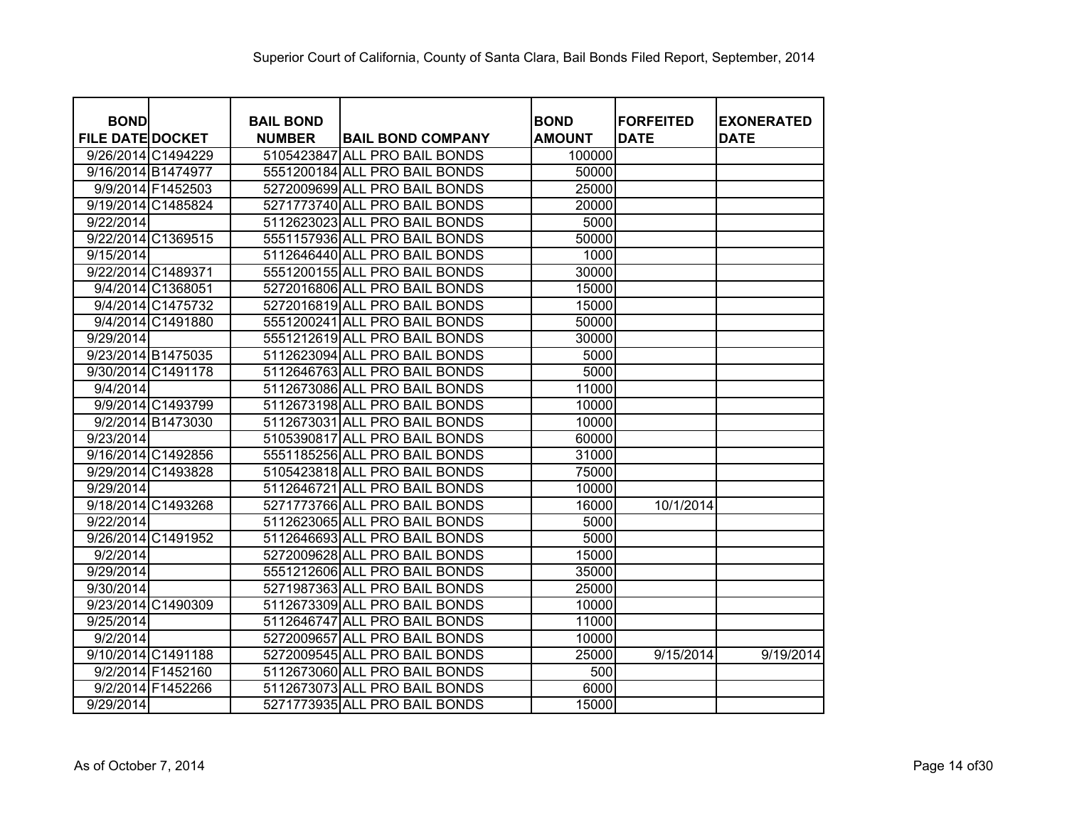| <b>BOND</b>             |                    | <b>BAIL BOND</b> |                               | <b>BOND</b>   | <b>IFORFEITED</b> | <b>EXONERATED</b> |
|-------------------------|--------------------|------------------|-------------------------------|---------------|-------------------|-------------------|
| <b>FILE DATE DOCKET</b> |                    | <b>NUMBER</b>    | <b>BAIL BOND COMPANY</b>      | <b>AMOUNT</b> | <b>DATE</b>       | <b>DATE</b>       |
| 9/26/2014 C1494229      |                    |                  | 5105423847 ALL PRO BAIL BONDS | 100000        |                   |                   |
| 9/16/2014 B1474977      |                    |                  | 5551200184 ALL PRO BAIL BONDS | 50000         |                   |                   |
|                         | 9/9/2014 F1452503  |                  | 5272009699 ALL PRO BAIL BONDS | 25000         |                   |                   |
| 9/19/2014 C1485824      |                    |                  | 5271773740 ALL PRO BAIL BONDS | 20000         |                   |                   |
| 9/22/2014               |                    |                  | 5112623023 ALL PRO BAIL BONDS | 5000          |                   |                   |
| 9/22/2014 C1369515      |                    |                  | 5551157936 ALL PRO BAIL BONDS | 50000         |                   |                   |
| 9/15/2014               |                    |                  | 5112646440 ALL PRO BAIL BONDS | 1000          |                   |                   |
| 9/22/2014 C1489371      |                    |                  | 5551200155 ALL PRO BAIL BONDS | 30000         |                   |                   |
|                         | 9/4/2014 C1368051  |                  | 5272016806 ALL PRO BAIL BONDS | 15000         |                   |                   |
|                         | 9/4/2014 C1475732  |                  | 5272016819 ALL PRO BAIL BONDS | 15000         |                   |                   |
|                         | 9/4/2014 C1491880  |                  | 5551200241 ALL PRO BAIL BONDS | 50000         |                   |                   |
| 9/29/2014               |                    |                  | 5551212619 ALL PRO BAIL BONDS | 30000         |                   |                   |
| 9/23/2014 B1475035      |                    |                  | 5112623094 ALL PRO BAIL BONDS | 5000          |                   |                   |
| 9/30/2014 C1491178      |                    |                  | 5112646763 ALL PRO BAIL BONDS | 5000          |                   |                   |
| 9/4/2014                |                    |                  | 5112673086 ALL PRO BAIL BONDS | 11000         |                   |                   |
|                         | 9/9/2014 C1493799  |                  | 5112673198 ALL PRO BAIL BONDS | 10000         |                   |                   |
|                         | 9/2/2014 B1473030  |                  | 5112673031 ALL PRO BAIL BONDS | 10000         |                   |                   |
| 9/23/2014               |                    |                  | 5105390817 ALL PRO BAIL BONDS | 60000         |                   |                   |
| 9/16/2014 C1492856      |                    |                  | 5551185256 ALL PRO BAIL BONDS | 31000         |                   |                   |
| 9/29/2014 C1493828      |                    |                  | 5105423818 ALL PRO BAIL BONDS | 75000         |                   |                   |
| 9/29/2014               |                    |                  | 5112646721 ALL PRO BAIL BONDS | 10000         |                   |                   |
| 9/18/2014 C1493268      |                    |                  | 5271773766 ALL PRO BAIL BONDS | 16000         | 10/1/2014         |                   |
| 9/22/2014               |                    |                  | 5112623065 ALL PRO BAIL BONDS | 5000          |                   |                   |
| 9/26/2014 C1491952      |                    |                  | 5112646693 ALL PRO BAIL BONDS | 5000          |                   |                   |
| 9/2/2014                |                    |                  | 5272009628 ALL PRO BAIL BONDS | 15000         |                   |                   |
| 9/29/2014               |                    |                  | 5551212606 ALL PRO BAIL BONDS | 35000         |                   |                   |
| 9/30/2014               |                    |                  | 5271987363 ALL PRO BAIL BONDS | 25000         |                   |                   |
| 9/23/2014 C1490309      |                    |                  | 5112673309 ALL PRO BAIL BONDS | 10000         |                   |                   |
| 9/25/2014               |                    |                  | 5112646747 ALL PRO BAIL BONDS | 11000         |                   |                   |
| 9/2/2014                |                    |                  | 5272009657 ALL PRO BAIL BONDS | 10000         |                   |                   |
|                         | 9/10/2014 C1491188 |                  | 5272009545 ALL PRO BAIL BONDS | 25000         | 9/15/2014         | 9/19/2014         |
|                         | 9/2/2014 F1452160  |                  | 5112673060 ALL PRO BAIL BONDS | 500           |                   |                   |
|                         | 9/2/2014 F1452266  |                  | 5112673073 ALL PRO BAIL BONDS | 6000          |                   |                   |
| 9/29/2014               |                    |                  | 5271773935 ALL PRO BAIL BONDS | 15000         |                   |                   |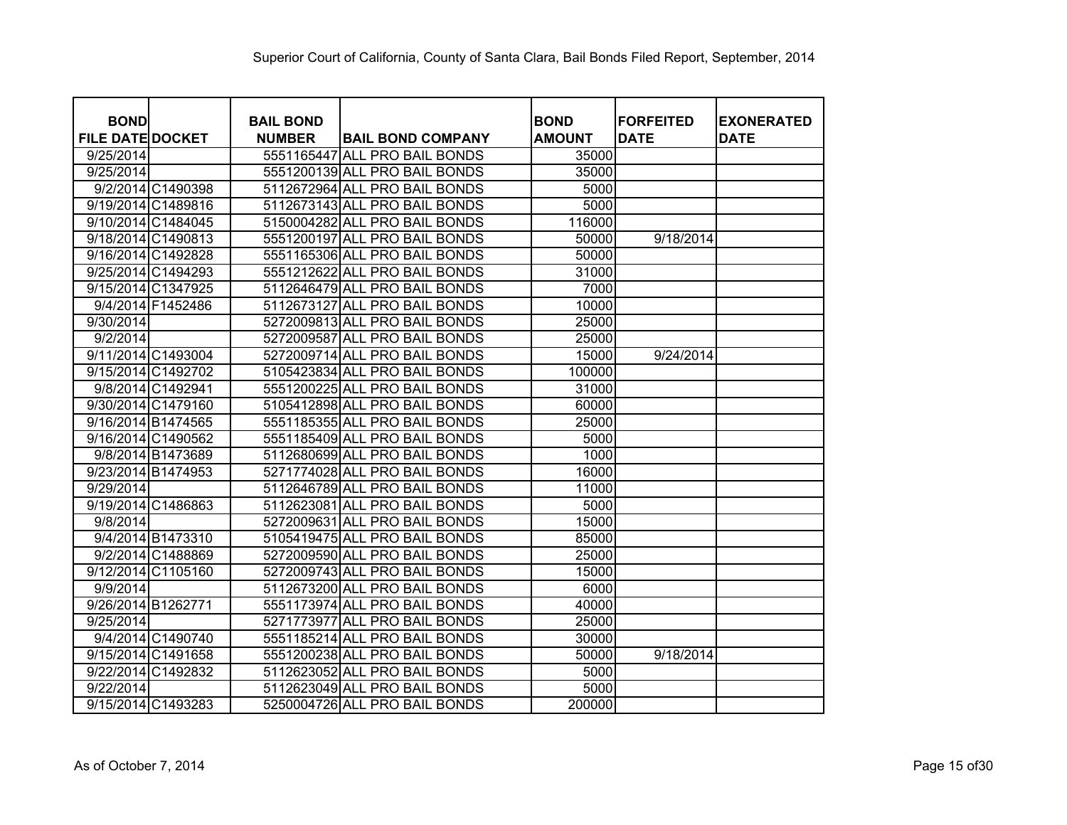| <b>BOND</b>             | <b>BAIL BOND</b> |                               | <b>BOND</b>   | <b>FORFEITED</b> | <b>EXONERATED</b> |
|-------------------------|------------------|-------------------------------|---------------|------------------|-------------------|
| <b>FILE DATE DOCKET</b> | <b>NUMBER</b>    | <b>BAIL BOND COMPANY</b>      | <b>AMOUNT</b> | <b>DATE</b>      | <b>DATE</b>       |
| 9/25/2014               |                  | 5551165447 ALL PRO BAIL BONDS | 35000         |                  |                   |
| 9/25/2014               |                  | 5551200139 ALL PRO BAIL BONDS | 35000         |                  |                   |
| 9/2/2014 C1490398       |                  | 5112672964 ALL PRO BAIL BONDS | 5000          |                  |                   |
| 9/19/2014 C1489816      |                  | 5112673143 ALL PRO BAIL BONDS | 5000          |                  |                   |
| 9/10/2014 C1484045      |                  | 5150004282 ALL PRO BAIL BONDS | 116000        |                  |                   |
| 9/18/2014 C1490813      |                  | 5551200197 ALL PRO BAIL BONDS | 50000         | 9/18/2014        |                   |
| 9/16/2014 C1492828      |                  | 5551165306 ALL PRO BAIL BONDS | 50000         |                  |                   |
| 9/25/2014 C1494293      |                  | 5551212622 ALL PRO BAIL BONDS | 31000         |                  |                   |
| 9/15/2014 C1347925      |                  | 5112646479 ALL PRO BAIL BONDS | 7000          |                  |                   |
| 9/4/2014 F1452486       |                  | 5112673127 ALL PRO BAIL BONDS | 10000         |                  |                   |
| 9/30/2014               |                  | 5272009813 ALL PRO BAIL BONDS | 25000         |                  |                   |
| 9/2/2014                |                  | 5272009587 ALL PRO BAIL BONDS | 25000         |                  |                   |
| 9/11/2014 C1493004      |                  | 5272009714 ALL PRO BAIL BONDS | 15000         | 9/24/2014        |                   |
| 9/15/2014 C1492702      |                  | 5105423834 ALL PRO BAIL BONDS | 100000        |                  |                   |
| 9/8/2014 C1492941       |                  | 5551200225 ALL PRO BAIL BONDS | 31000         |                  |                   |
| 9/30/2014 C1479160      |                  | 5105412898 ALL PRO BAIL BONDS | 60000         |                  |                   |
| 9/16/2014 B1474565      |                  | 5551185355 ALL PRO BAIL BONDS | 25000         |                  |                   |
| 9/16/2014 C1490562      |                  | 5551185409 ALL PRO BAIL BONDS | 5000          |                  |                   |
| 9/8/2014 B1473689       |                  | 5112680699 ALL PRO BAIL BONDS | 1000          |                  |                   |
| 9/23/2014 B1474953      |                  | 5271774028 ALL PRO BAIL BONDS | 16000         |                  |                   |
| 9/29/2014               |                  | 5112646789 ALL PRO BAIL BONDS | 11000         |                  |                   |
| 9/19/2014 C1486863      |                  | 5112623081 ALL PRO BAIL BONDS | 5000          |                  |                   |
| 9/8/2014                |                  | 5272009631 ALL PRO BAIL BONDS | 15000         |                  |                   |
| 9/4/2014 B1473310       |                  | 5105419475 ALL PRO BAIL BONDS | 85000         |                  |                   |
| 9/2/2014 C1488869       |                  | 5272009590 ALL PRO BAIL BONDS | 25000         |                  |                   |
| 9/12/2014 C1105160      |                  | 5272009743 ALL PRO BAIL BONDS | 15000         |                  |                   |
| 9/9/2014                |                  | 5112673200 ALL PRO BAIL BONDS | 6000          |                  |                   |
| 9/26/2014 B1262771      |                  | 5551173974 ALL PRO BAIL BONDS | 40000         |                  |                   |
| 9/25/2014               |                  | 5271773977 ALL PRO BAIL BONDS | 25000         |                  |                   |
| 9/4/2014 C1490740       |                  | 5551185214 ALL PRO BAIL BONDS | 30000         |                  |                   |
| 9/15/2014 C1491658      |                  | 5551200238 ALL PRO BAIL BONDS | 50000         | 9/18/2014        |                   |
| 9/22/2014 C1492832      |                  | 5112623052 ALL PRO BAIL BONDS | 5000          |                  |                   |
| 9/22/2014               |                  | 5112623049 ALL PRO BAIL BONDS | 5000          |                  |                   |
| 9/15/2014 C1493283      |                  | 5250004726 ALL PRO BAIL BONDS | 200000        |                  |                   |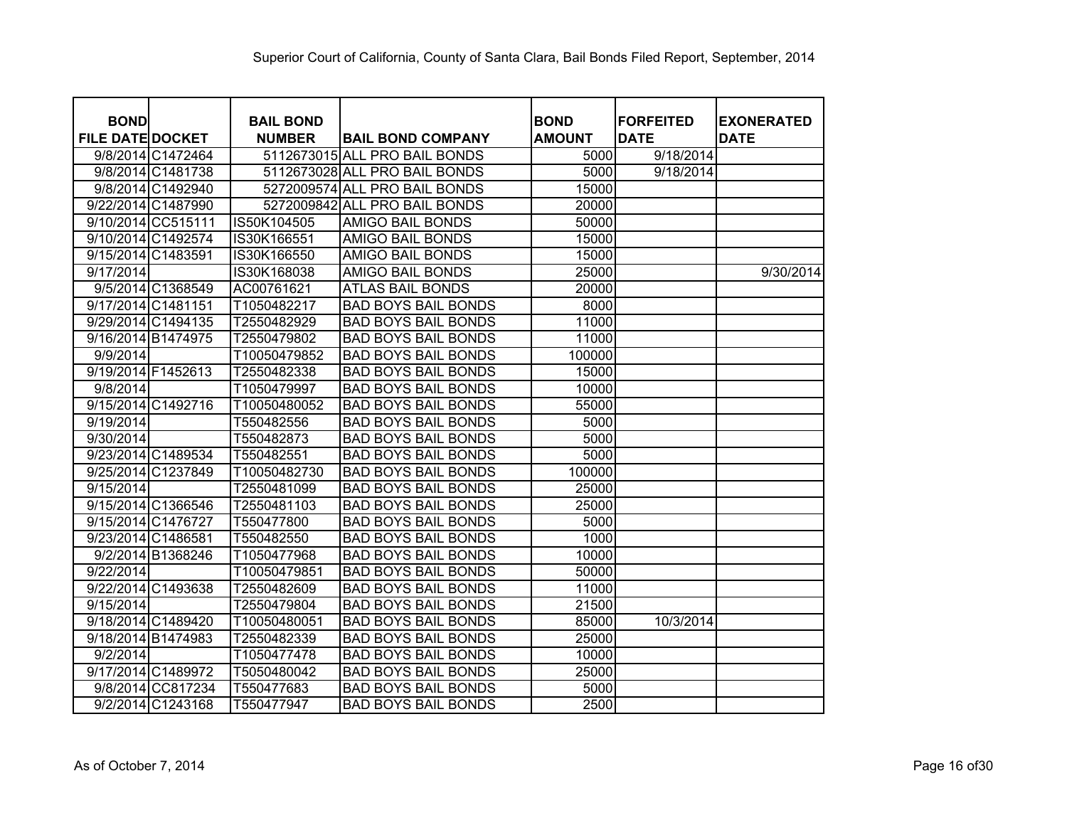| <b>BOND</b>             |                    | <b>BAIL BOND</b> |                               | <b>BOND</b>   | <b>FORFEITED</b> | <b>EXONERATED</b> |
|-------------------------|--------------------|------------------|-------------------------------|---------------|------------------|-------------------|
| <b>FILE DATE DOCKET</b> |                    | <b>NUMBER</b>    | <b>BAIL BOND COMPANY</b>      | <b>AMOUNT</b> | <b>DATE</b>      | <b>DATE</b>       |
|                         | 9/8/2014 C1472464  |                  | 5112673015 ALL PRO BAIL BONDS | 5000          | 9/18/2014        |                   |
|                         | 9/8/2014 C1481738  |                  | 5112673028 ALL PRO BAIL BONDS | 5000          | 9/18/2014        |                   |
|                         | 9/8/2014 C1492940  |                  | 5272009574 ALL PRO BAIL BONDS | 15000         |                  |                   |
| 9/22/2014 C1487990      |                    |                  | 5272009842 ALL PRO BAIL BONDS | 20000         |                  |                   |
| 9/10/2014 CC515111      |                    | IS50K104505      | <b>AMIGO BAIL BONDS</b>       | 50000         |                  |                   |
| 9/10/2014 C1492574      |                    | IS30K166551      | <b>AMIGO BAIL BONDS</b>       | 15000         |                  |                   |
| 9/15/2014 C1483591      |                    | IS30K166550      | AMIGO BAIL BONDS              | 15000         |                  |                   |
| 9/17/2014               |                    | IS30K168038      | <b>AMIGO BAIL BONDS</b>       | 25000         |                  | 9/30/2014         |
|                         | 9/5/2014 C1368549  | AC00761621       | <b>ATLAS BAIL BONDS</b>       | 20000         |                  |                   |
| 9/17/2014 C1481151      |                    | T1050482217      | <b>BAD BOYS BAIL BONDS</b>    | 8000          |                  |                   |
| 9/29/2014 C1494135      |                    | T2550482929      | <b>BAD BOYS BAIL BONDS</b>    | 11000         |                  |                   |
| 9/16/2014 B1474975      |                    | T2550479802      | <b>BAD BOYS BAIL BONDS</b>    | 11000         |                  |                   |
| 9/9/2014                |                    | T10050479852     | <b>BAD BOYS BAIL BONDS</b>    | 100000        |                  |                   |
| 9/19/2014 F1452613      |                    | T2550482338      | <b>BAD BOYS BAIL BONDS</b>    | 15000         |                  |                   |
| 9/8/2014                |                    | T1050479997      | <b>BAD BOYS BAIL BONDS</b>    | 10000         |                  |                   |
| 9/15/2014 C1492716      |                    | T10050480052     | <b>BAD BOYS BAIL BONDS</b>    | 55000         |                  |                   |
| 9/19/2014               |                    | T550482556       | <b>BAD BOYS BAIL BONDS</b>    | 5000          |                  |                   |
| 9/30/2014               |                    | T550482873       | <b>BAD BOYS BAIL BONDS</b>    | 5000          |                  |                   |
| 9/23/2014 C1489534      |                    | T550482551       | <b>BAD BOYS BAIL BONDS</b>    | 5000          |                  |                   |
| 9/25/2014 C1237849      |                    | T10050482730     | <b>BAD BOYS BAIL BONDS</b>    | 100000        |                  |                   |
| 9/15/2014               |                    | T2550481099      | <b>BAD BOYS BAIL BONDS</b>    | 25000         |                  |                   |
| 9/15/2014 C1366546      |                    | T2550481103      | <b>BAD BOYS BAIL BONDS</b>    | 25000         |                  |                   |
| 9/15/2014 C1476727      |                    | T550477800       | <b>BAD BOYS BAIL BONDS</b>    | 5000          |                  |                   |
| 9/23/2014 C1486581      |                    | T550482550       | <b>BAD BOYS BAIL BONDS</b>    | 1000          |                  |                   |
|                         | 9/2/2014 B1368246  | T1050477968      | <b>BAD BOYS BAIL BONDS</b>    | 10000         |                  |                   |
| 9/22/2014               |                    | T10050479851     | <b>BAD BOYS BAIL BONDS</b>    | 50000         |                  |                   |
| 9/22/2014 C1493638      |                    | T2550482609      | <b>BAD BOYS BAIL BONDS</b>    | 11000         |                  |                   |
| 9/15/2014               |                    | T2550479804      | <b>BAD BOYS BAIL BONDS</b>    | 21500         |                  |                   |
| 9/18/2014 C1489420      |                    | T10050480051     | <b>BAD BOYS BAIL BONDS</b>    | 85000         | 10/3/2014        |                   |
| 9/18/2014 B1474983      |                    | T2550482339      | <b>BAD BOYS BAIL BONDS</b>    | 25000         |                  |                   |
| 9/2/2014                |                    | T1050477478      | <b>BAD BOYS BAIL BONDS</b>    | 10000         |                  |                   |
|                         | 9/17/2014 C1489972 | T5050480042      | <b>BAD BOYS BAIL BONDS</b>    | 25000         |                  |                   |
|                         | 9/8/2014 CC817234  | T550477683       | <b>BAD BOYS BAIL BONDS</b>    | 5000          |                  |                   |
|                         | 9/2/2014 C1243168  | T550477947       | <b>BAD BOYS BAIL BONDS</b>    | 2500          |                  |                   |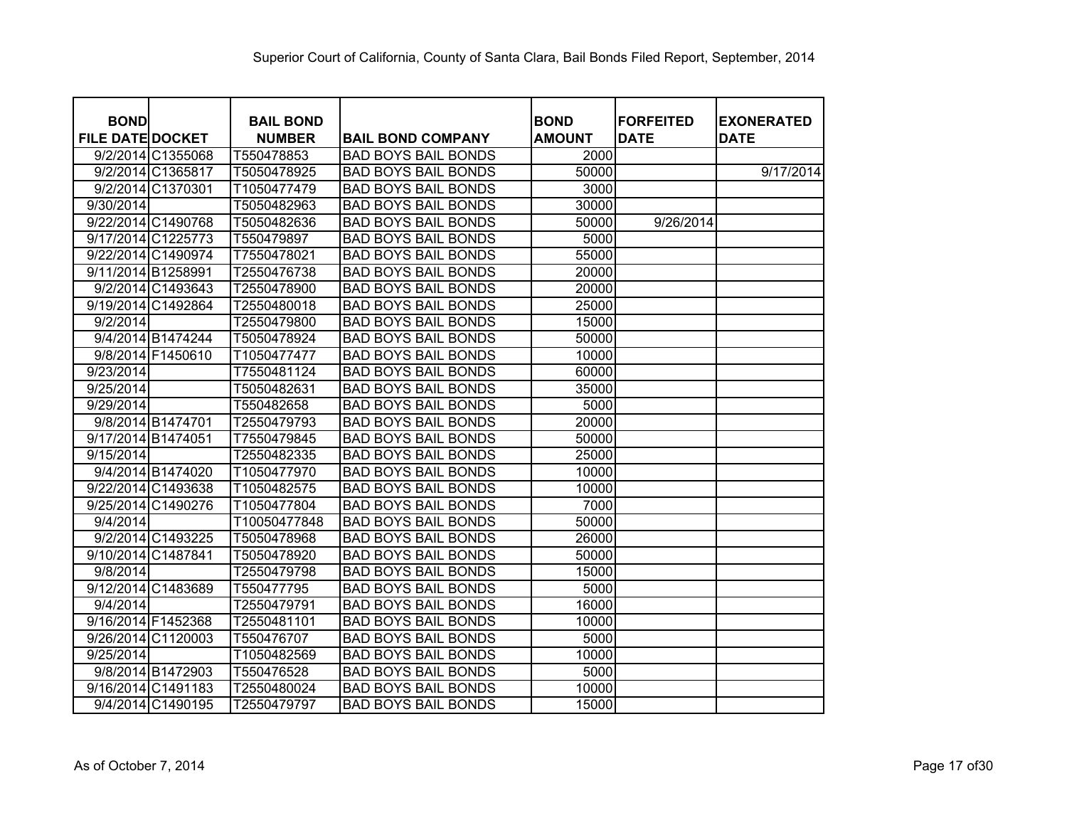| <b>BOND</b>             | <b>BAIL BOND</b> |                            | <b>BOND</b>   | <b>FORFEITED</b> | <b>EXONERATED</b> |
|-------------------------|------------------|----------------------------|---------------|------------------|-------------------|
| <b>FILE DATE DOCKET</b> | <b>NUMBER</b>    | <b>BAIL BOND COMPANY</b>   | <b>AMOUNT</b> | <b>DATE</b>      | <b>DATE</b>       |
| 9/2/2014 C1355068       | T550478853       | <b>BAD BOYS BAIL BONDS</b> | 2000          |                  |                   |
| 9/2/2014 C1365817       | T5050478925      | <b>BAD BOYS BAIL BONDS</b> | 50000         |                  | 9/17/2014         |
| 9/2/2014 C1370301       | T1050477479      | <b>BAD BOYS BAIL BONDS</b> | 3000          |                  |                   |
| 9/30/2014               | T5050482963      | <b>BAD BOYS BAIL BONDS</b> | 30000         |                  |                   |
| 9/22/2014 C1490768      | T5050482636      | <b>BAD BOYS BAIL BONDS</b> | 50000         | 9/26/2014        |                   |
| 9/17/2014 C1225773      | T550479897       | <b>BAD BOYS BAIL BONDS</b> | 5000          |                  |                   |
| 9/22/2014 C1490974      | T7550478021      | <b>BAD BOYS BAIL BONDS</b> | 55000         |                  |                   |
| 9/11/2014 B1258991      | T2550476738      | <b>BAD BOYS BAIL BONDS</b> | 20000         |                  |                   |
| 9/2/2014 C1493643       | T2550478900      | <b>BAD BOYS BAIL BONDS</b> | 20000         |                  |                   |
| 9/19/2014 C1492864      | T2550480018      | <b>BAD BOYS BAIL BONDS</b> | 25000         |                  |                   |
| 9/2/2014                | T2550479800      | <b>BAD BOYS BAIL BONDS</b> | 15000         |                  |                   |
| 9/4/2014 B1474244       | T5050478924      | <b>BAD BOYS BAIL BONDS</b> | 50000         |                  |                   |
| 9/8/2014 F1450610       | T1050477477      | <b>BAD BOYS BAIL BONDS</b> | 10000         |                  |                   |
| 9/23/2014               | T7550481124      | <b>BAD BOYS BAIL BONDS</b> | 60000         |                  |                   |
| 9/25/2014               | T5050482631      | <b>BAD BOYS BAIL BONDS</b> | 35000         |                  |                   |
| 9/29/2014               | T550482658       | <b>BAD BOYS BAIL BONDS</b> | 5000          |                  |                   |
| 9/8/2014 B1474701       | T2550479793      | <b>BAD BOYS BAIL BONDS</b> | 20000         |                  |                   |
| 9/17/2014 B1474051      | T7550479845      | <b>BAD BOYS BAIL BONDS</b> | 50000         |                  |                   |
| 9/15/2014               | T2550482335      | <b>BAD BOYS BAIL BONDS</b> | 25000         |                  |                   |
| 9/4/2014 B1474020       | T1050477970      | <b>BAD BOYS BAIL BONDS</b> | 10000         |                  |                   |
| 9/22/2014 C1493638      | T1050482575      | <b>BAD BOYS BAIL BONDS</b> | 10000         |                  |                   |
| 9/25/2014 C1490276      | T1050477804      | <b>BAD BOYS BAIL BONDS</b> | 7000          |                  |                   |
| 9/4/2014                | T10050477848     | <b>BAD BOYS BAIL BONDS</b> | 50000         |                  |                   |
| 9/2/2014 C1493225       | T5050478968      | <b>BAD BOYS BAIL BONDS</b> | 26000         |                  |                   |
| 9/10/2014 C1487841      | T5050478920      | <b>BAD BOYS BAIL BONDS</b> | 50000         |                  |                   |
| 9/8/2014                | T2550479798      | <b>BAD BOYS BAIL BONDS</b> | 15000         |                  |                   |
| 9/12/2014 C1483689      | T550477795       | <b>BAD BOYS BAIL BONDS</b> | 5000          |                  |                   |
| 9/4/2014                | T2550479791      | <b>BAD BOYS BAIL BONDS</b> | 16000         |                  |                   |
| 9/16/2014 F1452368      | T2550481101      | <b>BAD BOYS BAIL BONDS</b> | 10000         |                  |                   |
| 9/26/2014 C1120003      | T550476707       | <b>BAD BOYS BAIL BONDS</b> | 5000          |                  |                   |
| 9/25/2014               | T1050482569      | <b>BAD BOYS BAIL BONDS</b> | 10000         |                  |                   |
| 9/8/2014 B1472903       | T550476528       | <b>BAD BOYS BAIL BONDS</b> | 5000          |                  |                   |
| 9/16/2014 C1491183      | T2550480024      | <b>BAD BOYS BAIL BONDS</b> | 10000         |                  |                   |
| 9/4/2014 C1490195       | T2550479797      | <b>BAD BOYS BAIL BONDS</b> | 15000         |                  |                   |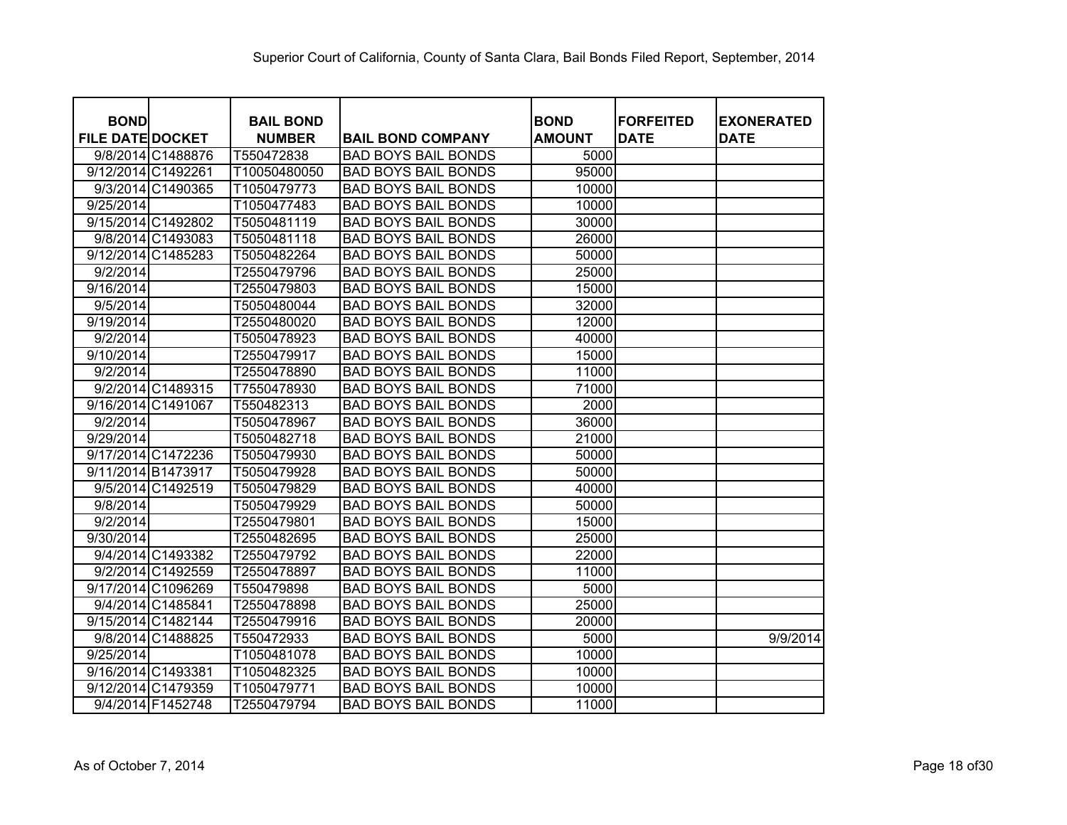| <b>BOND</b>             | <b>BAIL BOND</b> |                            | <b>BOND</b>   | <b>FORFEITED</b> | <b>EXONERATED</b> |
|-------------------------|------------------|----------------------------|---------------|------------------|-------------------|
| <b>FILE DATE DOCKET</b> | <b>NUMBER</b>    | <b>BAIL BOND COMPANY</b>   | <b>AMOUNT</b> | <b>DATE</b>      | <b>DATE</b>       |
| 9/8/2014 C1488876       | T550472838       | <b>BAD BOYS BAIL BONDS</b> | 5000          |                  |                   |
| 9/12/2014 C1492261      | T10050480050     | <b>BAD BOYS BAIL BONDS</b> | 95000         |                  |                   |
| 9/3/2014 C1490365       | T1050479773      | <b>BAD BOYS BAIL BONDS</b> | 10000         |                  |                   |
| 9/25/2014               | T1050477483      | <b>BAD BOYS BAIL BONDS</b> | 10000         |                  |                   |
| 9/15/2014 C1492802      | T5050481119      | <b>BAD BOYS BAIL BONDS</b> | 30000         |                  |                   |
| 9/8/2014 C1493083       | T5050481118      | <b>BAD BOYS BAIL BONDS</b> | 26000         |                  |                   |
| 9/12/2014 C1485283      | T5050482264      | <b>BAD BOYS BAIL BONDS</b> | 50000         |                  |                   |
| 9/2/2014                | T2550479796      | <b>BAD BOYS BAIL BONDS</b> | 25000         |                  |                   |
| 9/16/2014               | T2550479803      | <b>BAD BOYS BAIL BONDS</b> | 15000         |                  |                   |
| 9/5/2014                | T5050480044      | <b>BAD BOYS BAIL BONDS</b> | 32000         |                  |                   |
| 9/19/2014               | T2550480020      | <b>BAD BOYS BAIL BONDS</b> | 12000         |                  |                   |
| 9/2/2014                | T5050478923      | <b>BAD BOYS BAIL BONDS</b> | 40000         |                  |                   |
| 9/10/2014               | T2550479917      | <b>BAD BOYS BAIL BONDS</b> | 15000         |                  |                   |
| 9/2/2014                | T2550478890      | <b>BAD BOYS BAIL BONDS</b> | 11000         |                  |                   |
| 9/2/2014 C1489315       | T7550478930      | <b>BAD BOYS BAIL BONDS</b> | 71000         |                  |                   |
| 9/16/2014 C1491067      | T550482313       | <b>BAD BOYS BAIL BONDS</b> | 2000          |                  |                   |
| 9/2/2014                | T5050478967      | <b>BAD BOYS BAIL BONDS</b> | 36000         |                  |                   |
| 9/29/2014               | T5050482718      | <b>BAD BOYS BAIL BONDS</b> | 21000         |                  |                   |
| 9/17/2014 C1472236      | T5050479930      | <b>BAD BOYS BAIL BONDS</b> | 50000         |                  |                   |
| 9/11/2014 B1473917      | T5050479928      | <b>BAD BOYS BAIL BONDS</b> | 50000         |                  |                   |
| 9/5/2014 C1492519       | T5050479829      | <b>BAD BOYS BAIL BONDS</b> | 40000         |                  |                   |
| 9/8/2014                | T5050479929      | <b>BAD BOYS BAIL BONDS</b> | 50000         |                  |                   |
| 9/2/2014                | T2550479801      | <b>BAD BOYS BAIL BONDS</b> | 15000         |                  |                   |
| 9/30/2014               | T2550482695      | <b>BAD BOYS BAIL BONDS</b> | 25000         |                  |                   |
| 9/4/2014 C1493382       | T2550479792      | <b>BAD BOYS BAIL BONDS</b> | 22000         |                  |                   |
| 9/2/2014 C1492559       | T2550478897      | <b>BAD BOYS BAIL BONDS</b> | 11000         |                  |                   |
| 9/17/2014 C1096269      | T550479898       | <b>BAD BOYS BAIL BONDS</b> | 5000          |                  |                   |
| 9/4/2014 C1485841       | T2550478898      | <b>BAD BOYS BAIL BONDS</b> | 25000         |                  |                   |
| 9/15/2014 C1482144      | T2550479916      | <b>BAD BOYS BAIL BONDS</b> | 20000         |                  |                   |
| 9/8/2014 C1488825       | T550472933       | <b>BAD BOYS BAIL BONDS</b> | 5000          |                  | 9/9/2014          |
| 9/25/2014               | T1050481078      | <b>BAD BOYS BAIL BONDS</b> | 10000         |                  |                   |
| 9/16/2014 C1493381      | T1050482325      | <b>BAD BOYS BAIL BONDS</b> | 10000         |                  |                   |
| 9/12/2014 C1479359      | T1050479771      | <b>BAD BOYS BAIL BONDS</b> | 10000         |                  |                   |
| 9/4/2014 F1452748       | T2550479794      | <b>BAD BOYS BAIL BONDS</b> | 11000         |                  |                   |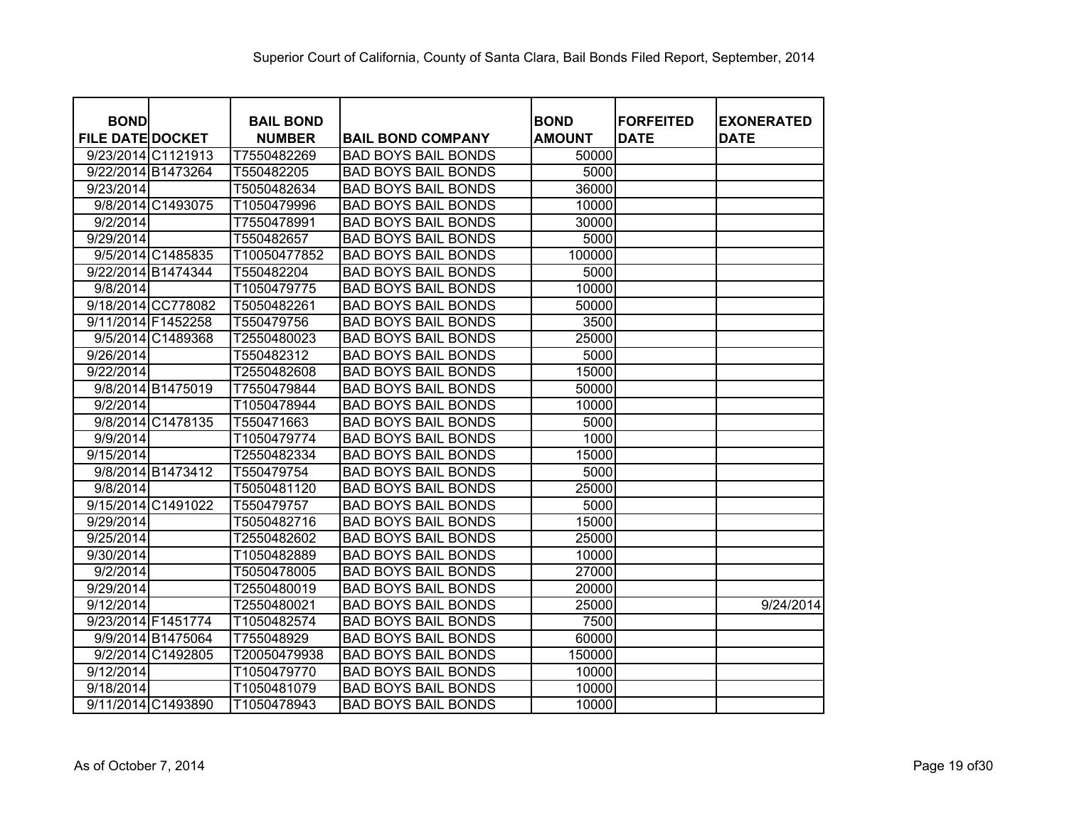| <b>BOND</b>             |                    | <b>BAIL BOND</b> |                            | <b>BOND</b>   | <b>FORFEITED</b> | <b>EXONERATED</b> |
|-------------------------|--------------------|------------------|----------------------------|---------------|------------------|-------------------|
| <b>FILE DATE DOCKET</b> |                    | <b>NUMBER</b>    | <b>BAIL BOND COMPANY</b>   | <b>AMOUNT</b> | <b>DATE</b>      | <b>DATE</b>       |
| 9/23/2014 C1121913      |                    | T7550482269      | <b>BAD BOYS BAIL BONDS</b> | 50000         |                  |                   |
| 9/22/2014 B1473264      |                    | T550482205       | <b>BAD BOYS BAIL BONDS</b> | 5000          |                  |                   |
| 9/23/2014               |                    | T5050482634      | <b>BAD BOYS BAIL BONDS</b> | 36000         |                  |                   |
|                         | 9/8/2014 C1493075  | T1050479996      | <b>BAD BOYS BAIL BONDS</b> | 10000         |                  |                   |
| 9/2/2014                |                    | T7550478991      | <b>BAD BOYS BAIL BONDS</b> | 30000         |                  |                   |
| 9/29/2014               |                    | T550482657       | <b>BAD BOYS BAIL BONDS</b> | 5000          |                  |                   |
|                         | 9/5/2014 C1485835  | T10050477852     | <b>BAD BOYS BAIL BONDS</b> | 100000        |                  |                   |
| 9/22/2014 B1474344      |                    | T550482204       | <b>BAD BOYS BAIL BONDS</b> | 5000          |                  |                   |
| 9/8/2014                |                    | T1050479775      | <b>BAD BOYS BAIL BONDS</b> | 10000         |                  |                   |
|                         | 9/18/2014 CC778082 | T5050482261      | <b>BAD BOYS BAIL BONDS</b> | 50000         |                  |                   |
| 9/11/2014 F1452258      |                    | T550479756       | <b>BAD BOYS BAIL BONDS</b> | 3500          |                  |                   |
|                         | 9/5/2014 C1489368  | T2550480023      | <b>BAD BOYS BAIL BONDS</b> | 25000         |                  |                   |
| 9/26/2014               |                    | T550482312       | <b>BAD BOYS BAIL BONDS</b> | 5000          |                  |                   |
| 9/22/2014               |                    | T2550482608      | <b>BAD BOYS BAIL BONDS</b> | 15000         |                  |                   |
|                         | 9/8/2014 B1475019  | T7550479844      | <b>BAD BOYS BAIL BONDS</b> | 50000         |                  |                   |
| 9/2/2014                |                    | T1050478944      | <b>BAD BOYS BAIL BONDS</b> | 10000         |                  |                   |
|                         | 9/8/2014 C1478135  | T550471663       | <b>BAD BOYS BAIL BONDS</b> | 5000          |                  |                   |
| 9/9/2014                |                    | T1050479774      | <b>BAD BOYS BAIL BONDS</b> | 1000          |                  |                   |
| 9/15/2014               |                    | T2550482334      | <b>BAD BOYS BAIL BONDS</b> | 15000         |                  |                   |
|                         | 9/8/2014 B1473412  | T550479754       | <b>BAD BOYS BAIL BONDS</b> | 5000          |                  |                   |
| 9/8/2014                |                    | T5050481120      | <b>BAD BOYS BAIL BONDS</b> | 25000         |                  |                   |
| 9/15/2014 C1491022      |                    | T550479757       | <b>BAD BOYS BAIL BONDS</b> | 5000          |                  |                   |
| 9/29/2014               |                    | T5050482716      | <b>BAD BOYS BAIL BONDS</b> | 15000         |                  |                   |
| 9/25/2014               |                    | T2550482602      | <b>BAD BOYS BAIL BONDS</b> | 25000         |                  |                   |
| 9/30/2014               |                    | T1050482889      | <b>BAD BOYS BAIL BONDS</b> | 10000         |                  |                   |
| 9/2/2014                |                    | T5050478005      | <b>BAD BOYS BAIL BONDS</b> | 27000         |                  |                   |
| 9/29/2014               |                    | T2550480019      | <b>BAD BOYS BAIL BONDS</b> | 20000         |                  |                   |
| 9/12/2014               |                    | T2550480021      | <b>BAD BOYS BAIL BONDS</b> | 25000         |                  | 9/24/2014         |
| 9/23/2014 F1451774      |                    | T1050482574      | <b>BAD BOYS BAIL BONDS</b> | 7500          |                  |                   |
|                         | 9/9/2014 B1475064  | T755048929       | <b>BAD BOYS BAIL BONDS</b> | 60000         |                  |                   |
|                         | 9/2/2014 C1492805  | T20050479938     | <b>BAD BOYS BAIL BONDS</b> | 150000        |                  |                   |
| 9/12/2014               |                    | T1050479770      | <b>BAD BOYS BAIL BONDS</b> | 10000         |                  |                   |
| 9/18/2014               |                    | T1050481079      | <b>BAD BOYS BAIL BONDS</b> | 10000         |                  |                   |
| 9/11/2014 C1493890      |                    | T1050478943      | <b>BAD BOYS BAIL BONDS</b> | 10000         |                  |                   |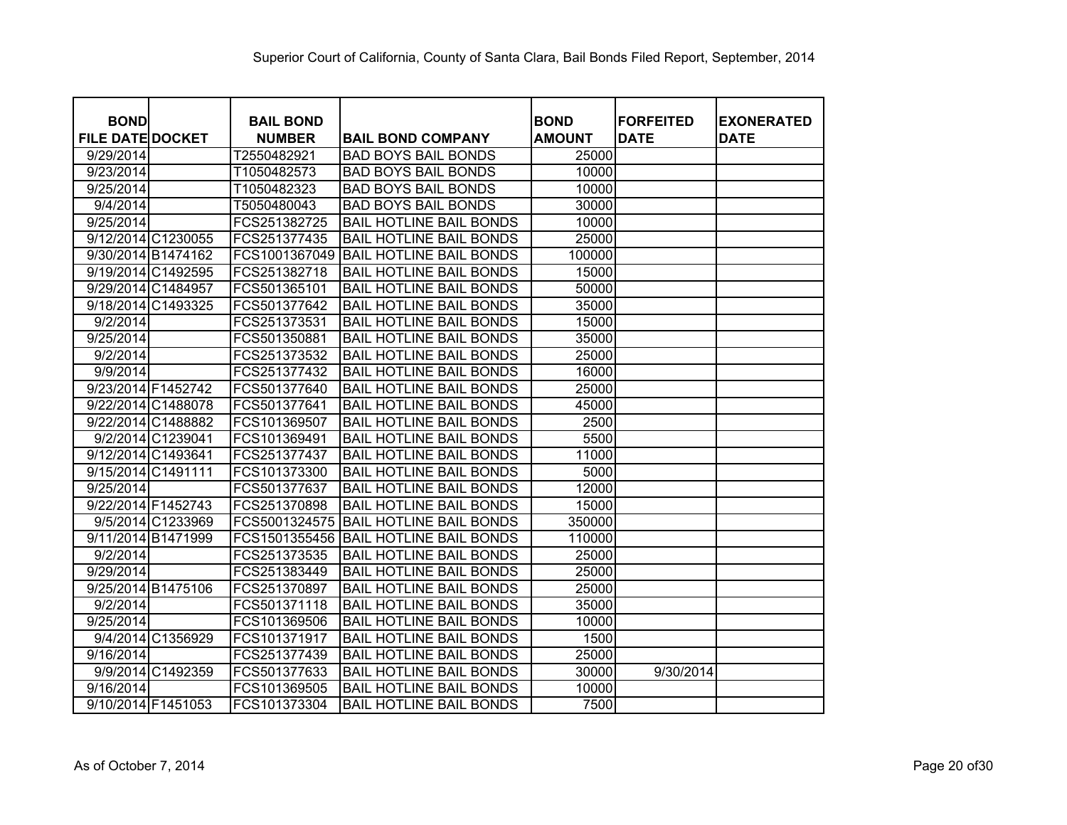| <b>BOND</b><br><b>FILE DATE DOCKET</b> | <b>BAIL BOND</b><br><b>NUMBER</b> | <b>BAIL BOND COMPANY</b>       | <b>BOND</b><br><b>AMOUNT</b> | <b>FORFEITED</b><br><b>DATE</b> | <b>EXONERATED</b><br><b>DATE</b> |
|----------------------------------------|-----------------------------------|--------------------------------|------------------------------|---------------------------------|----------------------------------|
| 9/29/2014                              | T2550482921                       | <b>BAD BOYS BAIL BONDS</b>     | 25000                        |                                 |                                  |
| 9/23/2014                              | T1050482573                       | <b>BAD BOYS BAIL BONDS</b>     | 10000                        |                                 |                                  |
| 9/25/2014                              | T1050482323                       | <b>BAD BOYS BAIL BONDS</b>     | 10000                        |                                 |                                  |
| 9/4/2014                               | T5050480043                       | <b>BAD BOYS BAIL BONDS</b>     | 30000                        |                                 |                                  |
| 9/25/2014                              | FCS251382725                      | <b>BAIL HOTLINE BAIL BONDS</b> | 10000                        |                                 |                                  |
| 9/12/2014 C1230055                     | FCS251377435                      | <b>BAIL HOTLINE BAIL BONDS</b> | 25000                        |                                 |                                  |
| 9/30/2014 B1474162                     | FCS1001367049                     | <b>BAIL HOTLINE BAIL BONDS</b> | 100000                       |                                 |                                  |
| 9/19/2014 C1492595                     | FCS251382718                      | <b>BAIL HOTLINE BAIL BONDS</b> | 15000                        |                                 |                                  |
| 9/29/2014 C1484957                     | FCS501365101                      | <b>BAIL HOTLINE BAIL BONDS</b> | 50000                        |                                 |                                  |
| 9/18/2014 C1493325                     | FCS501377642                      | <b>BAIL HOTLINE BAIL BONDS</b> | 35000                        |                                 |                                  |
| 9/2/2014                               | FCS251373531                      | <b>BAIL HOTLINE BAIL BONDS</b> | 15000                        |                                 |                                  |
| 9/25/2014                              | FCS501350881                      | <b>BAIL HOTLINE BAIL BONDS</b> | 35000                        |                                 |                                  |
| 9/2/2014                               | FCS251373532                      | <b>BAIL HOTLINE BAIL BONDS</b> | 25000                        |                                 |                                  |
| 9/9/2014                               | FCS251377432                      | <b>BAIL HOTLINE BAIL BONDS</b> | 16000                        |                                 |                                  |
| 9/23/2014 F1452742                     | FCS501377640                      | <b>BAIL HOTLINE BAIL BONDS</b> | 25000                        |                                 |                                  |
| 9/22/2014 C1488078                     | FCS501377641                      | <b>BAIL HOTLINE BAIL BONDS</b> | 45000                        |                                 |                                  |
| 9/22/2014 C1488882                     | FCS101369507                      | <b>BAIL HOTLINE BAIL BONDS</b> | 2500                         |                                 |                                  |
| 9/2/2014 C1239041                      | FCS101369491                      | <b>BAIL HOTLINE BAIL BONDS</b> | 5500                         |                                 |                                  |
| 9/12/2014 C1493641                     | FCS251377437                      | <b>BAIL HOTLINE BAIL BONDS</b> | 11000                        |                                 |                                  |
| 9/15/2014 C1491111                     | FCS101373300                      | <b>BAIL HOTLINE BAIL BONDS</b> | 5000                         |                                 |                                  |
| 9/25/2014                              | FCS501377637                      | <b>BAIL HOTLINE BAIL BONDS</b> | 12000                        |                                 |                                  |
| 9/22/2014 F1452743                     | FCS251370898                      | <b>BAIL HOTLINE BAIL BONDS</b> | 15000                        |                                 |                                  |
| 9/5/2014 C1233969                      | FCS5001324575                     | <b>BAIL HOTLINE BAIL BONDS</b> | 350000                       |                                 |                                  |
| 9/11/2014 B1471999                     | FCS1501355456                     | <b>BAIL HOTLINE BAIL BONDS</b> | 110000                       |                                 |                                  |
| 9/2/2014                               | FCS251373535                      | <b>BAIL HOTLINE BAIL BONDS</b> | 25000                        |                                 |                                  |
| 9/29/2014                              | FCS251383449                      | <b>BAIL HOTLINE BAIL BONDS</b> | 25000                        |                                 |                                  |
| 9/25/2014 B1475106                     | FCS251370897                      | <b>BAIL HOTLINE BAIL BONDS</b> | 25000                        |                                 |                                  |
| 9/2/2014                               | FCS501371118                      | <b>BAIL HOTLINE BAIL BONDS</b> | 35000                        |                                 |                                  |
| 9/25/2014                              | FCS101369506                      | <b>BAIL HOTLINE BAIL BONDS</b> | 10000                        |                                 |                                  |
| 9/4/2014 C1356929                      | FCS101371917                      | <b>BAIL HOTLINE BAIL BONDS</b> | 1500                         |                                 |                                  |
| 9/16/2014                              | FCS251377439                      | <b>BAIL HOTLINE BAIL BONDS</b> | 25000                        |                                 |                                  |
| 9/9/2014 C1492359                      | FCS501377633                      | <b>BAIL HOTLINE BAIL BONDS</b> | 30000                        | 9/30/2014                       |                                  |
| 9/16/2014                              | FCS101369505                      | <b>BAIL HOTLINE BAIL BONDS</b> | 10000                        |                                 |                                  |
| 9/10/2014 F1451053                     | FCS101373304                      | <b>BAIL HOTLINE BAIL BONDS</b> | 7500                         |                                 |                                  |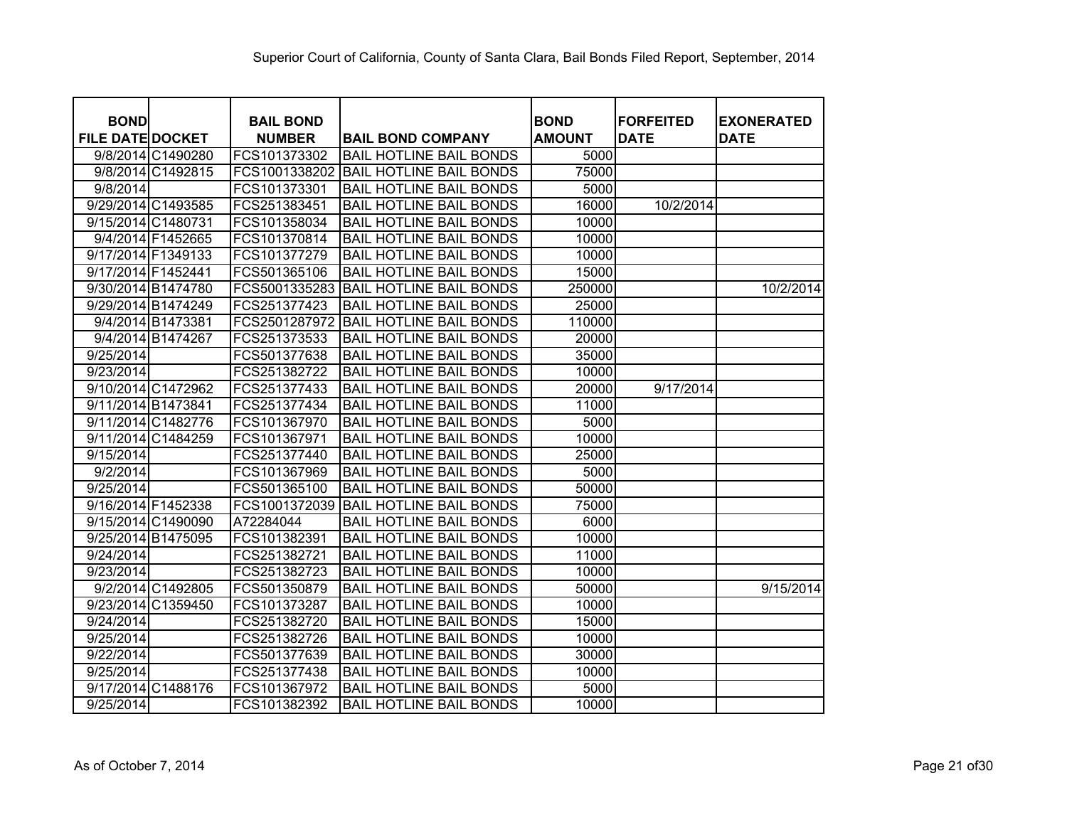| <b>BOND</b>             |                   | <b>BAIL BOND</b> |                                | <b>BOND</b>   | <b>FORFEITED</b> | <b>EXONERATED</b> |
|-------------------------|-------------------|------------------|--------------------------------|---------------|------------------|-------------------|
| <b>FILE DATE DOCKET</b> |                   | <b>NUMBER</b>    | <b>BAIL BOND COMPANY</b>       | <b>AMOUNT</b> | <b>DATE</b>      | <b>DATE</b>       |
|                         | 9/8/2014 C1490280 | FCS101373302     | <b>BAIL HOTLINE BAIL BONDS</b> | 5000          |                  |                   |
|                         | 9/8/2014 C1492815 | FCS1001338202    | <b>BAIL HOTLINE BAIL BONDS</b> | 75000         |                  |                   |
| 9/8/2014                |                   | FCS101373301     | <b>BAIL HOTLINE BAIL BONDS</b> | 5000          |                  |                   |
| 9/29/2014 C1493585      |                   | FCS251383451     | <b>BAIL HOTLINE BAIL BONDS</b> | 16000         | 10/2/2014        |                   |
| 9/15/2014 C1480731      |                   | FCS101358034     | <b>BAIL HOTLINE BAIL BONDS</b> | 10000         |                  |                   |
|                         | 9/4/2014 F1452665 | FCS101370814     | <b>BAIL HOTLINE BAIL BONDS</b> | 10000         |                  |                   |
| 9/17/2014 F1349133      |                   | FCS101377279     | <b>BAIL HOTLINE BAIL BONDS</b> | 10000         |                  |                   |
| 9/17/2014 F1452441      |                   | FCS501365106     | <b>BAIL HOTLINE BAIL BONDS</b> | 15000         |                  |                   |
| 9/30/2014 B1474780      |                   | FCS5001335283    | <b>BAIL HOTLINE BAIL BONDS</b> | 250000        |                  | 10/2/2014         |
| 9/29/2014 B1474249      |                   | FCS251377423     | <b>BAIL HOTLINE BAIL BONDS</b> | 25000         |                  |                   |
|                         | 9/4/2014 B1473381 | FCS2501287972    | <b>BAIL HOTLINE BAIL BONDS</b> | 110000        |                  |                   |
|                         | 9/4/2014 B1474267 | FCS251373533     | <b>BAIL HOTLINE BAIL BONDS</b> | 20000         |                  |                   |
| 9/25/2014               |                   | FCS501377638     | <b>BAIL HOTLINE BAIL BONDS</b> | 35000         |                  |                   |
| 9/23/2014               |                   | FCS251382722     | <b>BAIL HOTLINE BAIL BONDS</b> | 10000         |                  |                   |
| 9/10/2014 C1472962      |                   | FCS251377433     | <b>BAIL HOTLINE BAIL BONDS</b> | 20000         | 9/17/2014        |                   |
| 9/11/2014 B1473841      |                   | FCS251377434     | <b>BAIL HOTLINE BAIL BONDS</b> | 11000         |                  |                   |
| 9/11/2014 C1482776      |                   | FCS101367970     | <b>BAIL HOTLINE BAIL BONDS</b> | 5000          |                  |                   |
| 9/11/2014 C1484259      |                   | FCS101367971     | <b>BAIL HOTLINE BAIL BONDS</b> | 10000         |                  |                   |
| 9/15/2014               |                   | FCS251377440     | <b>BAIL HOTLINE BAIL BONDS</b> | 25000         |                  |                   |
| 9/2/2014                |                   | FCS101367969     | <b>BAIL HOTLINE BAIL BONDS</b> | 5000          |                  |                   |
| 9/25/2014               |                   | FCS501365100     | <b>BAIL HOTLINE BAIL BONDS</b> | 50000         |                  |                   |
| 9/16/2014 F1452338      |                   | FCS1001372039    | <b>BAIL HOTLINE BAIL BONDS</b> | 75000         |                  |                   |
| 9/15/2014 C1490090      |                   | A72284044        | <b>BAIL HOTLINE BAIL BONDS</b> | 6000          |                  |                   |
| 9/25/2014 B1475095      |                   | FCS101382391     | <b>BAIL HOTLINE BAIL BONDS</b> | 10000         |                  |                   |
| 9/24/2014               |                   | FCS251382721     | <b>BAIL HOTLINE BAIL BONDS</b> | 11000         |                  |                   |
| 9/23/2014               |                   | FCS251382723     | <b>BAIL HOTLINE BAIL BONDS</b> | 10000         |                  |                   |
|                         | 9/2/2014 C1492805 | FCS501350879     | <b>BAIL HOTLINE BAIL BONDS</b> | 50000         |                  | 9/15/2014         |
| 9/23/2014 C1359450      |                   | FCS101373287     | <b>BAIL HOTLINE BAIL BONDS</b> | 10000         |                  |                   |
| 9/24/2014               |                   | FCS251382720     | <b>BAIL HOTLINE BAIL BONDS</b> | 15000         |                  |                   |
| 9/25/2014               |                   | FCS251382726     | <b>BAIL HOTLINE BAIL BONDS</b> | 10000         |                  |                   |
| 9/22/2014               |                   | FCS501377639     | <b>BAIL HOTLINE BAIL BONDS</b> | 30000         |                  |                   |
| 9/25/2014               |                   | FCS251377438     | <b>BAIL HOTLINE BAIL BONDS</b> | 10000         |                  |                   |
| 9/17/2014 C1488176      |                   | FCS101367972     | <b>BAIL HOTLINE BAIL BONDS</b> | 5000          |                  |                   |
| 9/25/2014               |                   | FCS101382392     | <b>BAIL HOTLINE BAIL BONDS</b> | 10000         |                  |                   |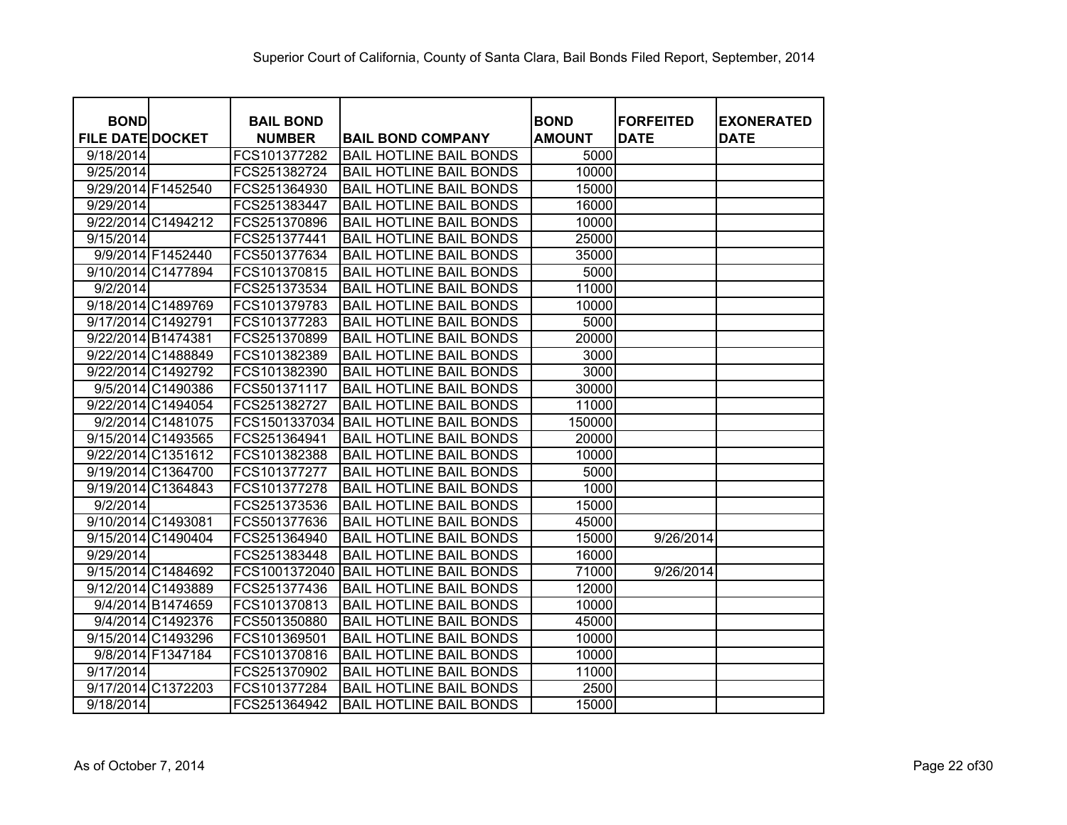| <b>BOND</b>             | <b>BAIL BOND</b> |                                | <b>BOND</b>   | <b>FORFEITED</b> | <b>EXONERATED</b> |
|-------------------------|------------------|--------------------------------|---------------|------------------|-------------------|
| <b>FILE DATE DOCKET</b> | <b>NUMBER</b>    | <b>BAIL BOND COMPANY</b>       | <b>AMOUNT</b> | <b>DATE</b>      | <b>DATE</b>       |
| 9/18/2014               | FCS101377282     | <b>BAIL HOTLINE BAIL BONDS</b> | 5000          |                  |                   |
| 9/25/2014               | FCS251382724     | <b>BAIL HOTLINE BAIL BONDS</b> | 10000         |                  |                   |
| 9/29/2014 F1452540      | FCS251364930     | <b>BAIL HOTLINE BAIL BONDS</b> | 15000         |                  |                   |
| 9/29/2014               | FCS251383447     | <b>BAIL HOTLINE BAIL BONDS</b> | 16000         |                  |                   |
| 9/22/2014 C1494212      | FCS251370896     | <b>BAIL HOTLINE BAIL BONDS</b> | 10000         |                  |                   |
| $\frac{9}{15/2014}$     | FCS251377441     | <b>BAIL HOTLINE BAIL BONDS</b> | 25000         |                  |                   |
| 9/9/2014 F1452440       | FCS501377634     | <b>BAIL HOTLINE BAIL BONDS</b> | 35000         |                  |                   |
| 9/10/2014 C1477894      | FCS101370815     | <b>BAIL HOTLINE BAIL BONDS</b> | 5000          |                  |                   |
| 9/2/2014                | FCS251373534     | <b>BAIL HOTLINE BAIL BONDS</b> | 11000         |                  |                   |
| 9/18/2014 C1489769      | FCS101379783     | <b>BAIL HOTLINE BAIL BONDS</b> | 10000         |                  |                   |
| 9/17/2014 C1492791      | FCS101377283     | <b>BAIL HOTLINE BAIL BONDS</b> | 5000          |                  |                   |
| 9/22/2014 B1474381      | FCS251370899     | <b>BAIL HOTLINE BAIL BONDS</b> | 20000         |                  |                   |
| 9/22/2014 C1488849      | FCS101382389     | <b>BAIL HOTLINE BAIL BONDS</b> | 3000          |                  |                   |
| 9/22/2014 C1492792      | FCS101382390     | <b>BAIL HOTLINE BAIL BONDS</b> | 3000          |                  |                   |
| 9/5/2014 C1490386       | FCS501371117     | <b>BAIL HOTLINE BAIL BONDS</b> | 30000         |                  |                   |
| 9/22/2014 C1494054      | FCS251382727     | <b>BAIL HOTLINE BAIL BONDS</b> | 11000         |                  |                   |
| 9/2/2014 C1481075       | FCS1501337034    | <b>BAIL HOTLINE BAIL BONDS</b> | 150000        |                  |                   |
| 9/15/2014 C1493565      | FCS251364941     | <b>BAIL HOTLINE BAIL BONDS</b> | 20000         |                  |                   |
| 9/22/2014 C1351612      | FCS101382388     | <b>BAIL HOTLINE BAIL BONDS</b> | 10000         |                  |                   |
| 9/19/2014 C1364700      | FCS101377277     | <b>BAIL HOTLINE BAIL BONDS</b> | 5000          |                  |                   |
| 9/19/2014 C1364843      | FCS101377278     | <b>BAIL HOTLINE BAIL BONDS</b> | 1000          |                  |                   |
| 9/2/2014                | FCS251373536     | <b>BAIL HOTLINE BAIL BONDS</b> | 15000         |                  |                   |
| 9/10/2014 C1493081      | FCS501377636     | <b>BAIL HOTLINE BAIL BONDS</b> | 45000         |                  |                   |
| 9/15/2014 C1490404      | FCS251364940     | <b>BAIL HOTLINE BAIL BONDS</b> | 15000         | 9/26/2014        |                   |
| 9/29/2014               | FCS251383448     | <b>BAIL HOTLINE BAIL BONDS</b> | 16000         |                  |                   |
| 9/15/2014 C1484692      | FCS1001372040    | <b>BAIL HOTLINE BAIL BONDS</b> | 71000         | 9/26/2014        |                   |
| 9/12/2014 C1493889      | FCS251377436     | <b>BAIL HOTLINE BAIL BONDS</b> | 12000         |                  |                   |
| 9/4/2014 B1474659       | FCS101370813     | <b>BAIL HOTLINE BAIL BONDS</b> | 10000         |                  |                   |
| 9/4/2014 C1492376       | FCS501350880     | <b>BAIL HOTLINE BAIL BONDS</b> | 45000         |                  |                   |
| 9/15/2014 C1493296      | FCS101369501     | <b>BAIL HOTLINE BAIL BONDS</b> | 10000         |                  |                   |
| 9/8/2014 F1347184       | FCS101370816     | <b>BAIL HOTLINE BAIL BONDS</b> | 10000         |                  |                   |
| 9/17/2014               | FCS251370902     | <b>BAIL HOTLINE BAIL BONDS</b> | 11000         |                  |                   |
| 9/17/2014 C1372203      | FCS101377284     | <b>BAIL HOTLINE BAIL BONDS</b> | 2500          |                  |                   |
| 9/18/2014               | FCS251364942     | <b>BAIL HOTLINE BAIL BONDS</b> | 15000         |                  |                   |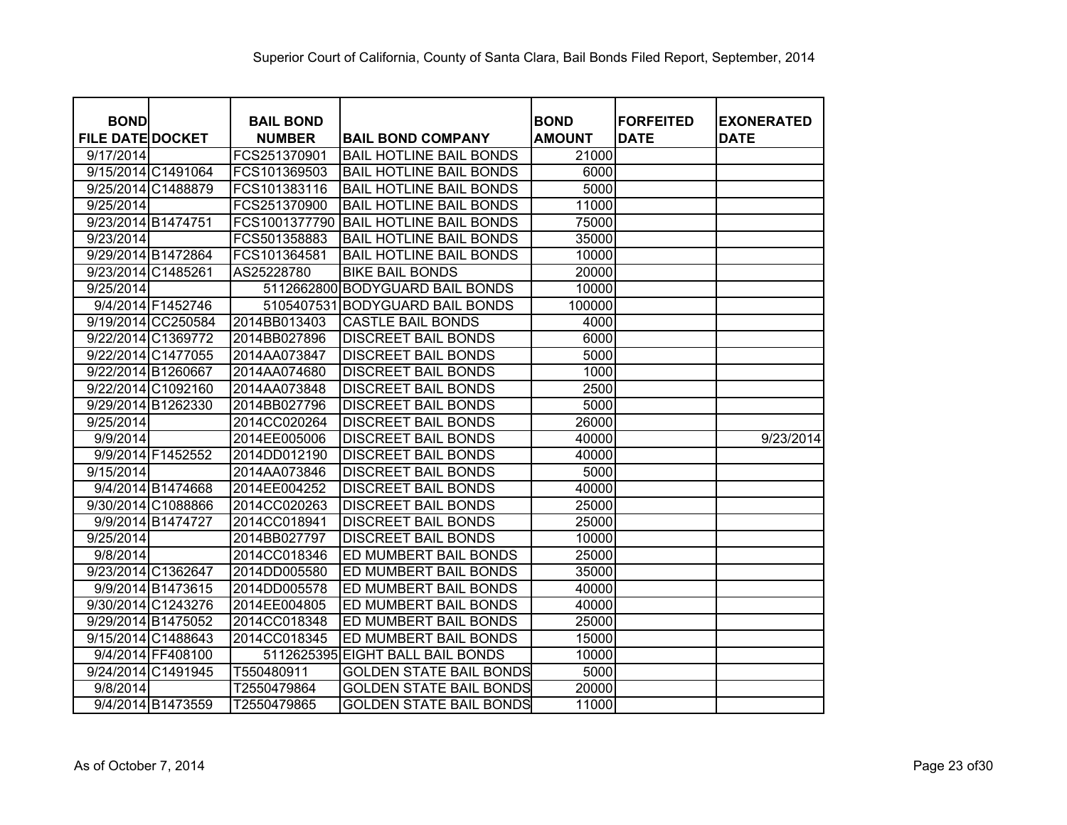| <b>BOND</b>             | <b>BAIL BOND</b> |                                  | <b>BOND</b>   | <b>FORFEITED</b> | <b>EXONERATED</b> |
|-------------------------|------------------|----------------------------------|---------------|------------------|-------------------|
| <b>FILE DATE DOCKET</b> | <b>NUMBER</b>    | <b>BAIL BOND COMPANY</b>         | <b>AMOUNT</b> | <b>DATE</b>      | <b>DATE</b>       |
| 9/17/2014               | FCS251370901     | <b>BAIL HOTLINE BAIL BONDS</b>   | 21000         |                  |                   |
| 9/15/2014 C1491064      | FCS101369503     | <b>BAIL HOTLINE BAIL BONDS</b>   | 6000          |                  |                   |
| 9/25/2014 C1488879      | FCS101383116     | <b>BAIL HOTLINE BAIL BONDS</b>   | 5000          |                  |                   |
| 9/25/2014               | FCS251370900     | <b>BAIL HOTLINE BAIL BONDS</b>   | 11000         |                  |                   |
| 9/23/2014 B1474751      | FCS1001377790    | <b>BAIL HOTLINE BAIL BONDS</b>   | 75000         |                  |                   |
| 9/23/2014               | FCS501358883     | <b>BAIL HOTLINE BAIL BONDS</b>   | 35000         |                  |                   |
| 9/29/2014 B1472864      | FCS101364581     | <b>BAIL HOTLINE BAIL BONDS</b>   | 10000         |                  |                   |
| 9/23/2014 C1485261      | AS25228780       | <b>BIKE BAIL BONDS</b>           | 20000         |                  |                   |
| $\overline{9}/25/2014$  |                  | 5112662800 BODYGUARD BAIL BONDS  | 10000         |                  |                   |
| 9/4/2014 F1452746       | 5105407531       | <b>BODYGUARD BAIL BONDS</b>      | 100000        |                  |                   |
| 9/19/2014 CC250584      | 2014BB013403     | <b>CASTLE BAIL BONDS</b>         | 4000          |                  |                   |
| 9/22/2014 C1369772      | 2014BB027896     | <b>DISCREET BAIL BONDS</b>       | 6000          |                  |                   |
| 9/22/2014 C1477055      | 2014AA073847     | <b>DISCREET BAIL BONDS</b>       | 5000          |                  |                   |
| 9/22/2014 B1260667      | 2014AA074680     | <b>DISCREET BAIL BONDS</b>       | 1000          |                  |                   |
| 9/22/2014 C1092160      | 2014AA073848     | <b>DISCREET BAIL BONDS</b>       | 2500          |                  |                   |
| 9/29/2014 B1262330      | 2014BB027796     | <b>DISCREET BAIL BONDS</b>       | 5000          |                  |                   |
| 9/25/2014               | 2014CC020264     | <b>DISCREET BAIL BONDS</b>       | 26000         |                  |                   |
| 9/9/2014                | 2014EE005006     | <b>DISCREET BAIL BONDS</b>       | 40000         |                  | 9/23/2014         |
| 9/9/2014 F1452552       | 2014DD012190     | <b>DISCREET BAIL BONDS</b>       | 40000         |                  |                   |
| 9/15/2014               | 2014AA073846     | <b>DISCREET BAIL BONDS</b>       | 5000          |                  |                   |
| 9/4/2014 B1474668       | 2014EE004252     | <b>DISCREET BAIL BONDS</b>       | 40000         |                  |                   |
| 9/30/2014 C1088866      | 2014CC020263     | <b>DISCREET BAIL BONDS</b>       | 25000         |                  |                   |
| 9/9/2014 B1474727       | 2014CC018941     | <b>DISCREET BAIL BONDS</b>       | 25000         |                  |                   |
| 9/25/2014               | 2014BB027797     | <b>DISCREET BAIL BONDS</b>       | 10000         |                  |                   |
| 9/8/2014                | 2014CC018346     | ED MUMBERT BAIL BONDS            | 25000         |                  |                   |
| 9/23/2014 C1362647      | 2014DD005580     | ED MUMBERT BAIL BONDS            | 35000         |                  |                   |
| 9/9/2014 B1473615       | 2014DD005578     | ED MUMBERT BAIL BONDS            | 40000         |                  |                   |
| 9/30/2014 C1243276      | 2014EE004805     | ED MUMBERT BAIL BONDS            | 40000         |                  |                   |
| 9/29/2014 B1475052      | 2014CC018348     | ED MUMBERT BAIL BONDS            | 25000         |                  |                   |
| 9/15/2014 C1488643      | 2014CC018345     | ED MUMBERT BAIL BONDS            | 15000         |                  |                   |
| 9/4/2014 FF408100       |                  | 5112625395 EIGHT BALL BAIL BONDS | 10000         |                  |                   |
| 9/24/2014 C1491945      | T550480911       | <b>GOLDEN STATE BAIL BONDS</b>   | 5000          |                  |                   |
| 9/8/2014                | T2550479864      | <b>GOLDEN STATE BAIL BONDS</b>   | 20000         |                  |                   |
| 9/4/2014 B1473559       | T2550479865      | <b>GOLDEN STATE BAIL BONDS</b>   | 11000         |                  |                   |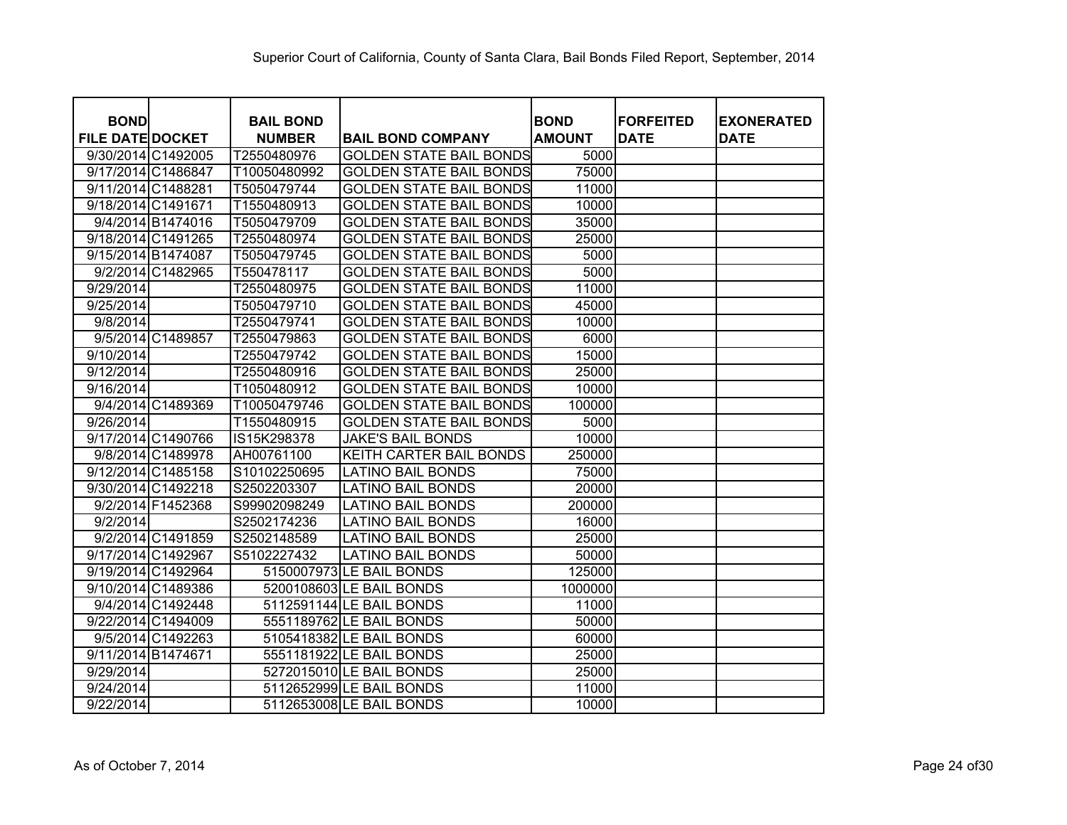| <b>BOND</b><br><b>FILE DATE DOCKET</b> |                   | <b>BAIL BOND</b>             |                                                            | <b>BOND</b>           | <b>FORFEITED</b><br><b>DATE</b> | <b>EXONERATED</b><br><b>DATE</b> |
|----------------------------------------|-------------------|------------------------------|------------------------------------------------------------|-----------------------|---------------------------------|----------------------------------|
| 9/30/2014 C1492005                     |                   | <b>NUMBER</b><br>T2550480976 | <b>BAIL BOND COMPANY</b><br><b>GOLDEN STATE BAIL BONDS</b> | <b>AMOUNT</b><br>5000 |                                 |                                  |
| 9/17/2014 C1486847                     |                   | T10050480992                 | <b>GOLDEN STATE BAIL BONDS</b>                             | 75000                 |                                 |                                  |
| 9/11/2014 C1488281                     |                   | T5050479744                  | <b>GOLDEN STATE BAIL BONDS</b>                             | 11000                 |                                 |                                  |
| 9/18/2014 C1491671                     |                   | T1550480913                  | <b>GOLDEN STATE BAIL BONDS</b>                             | 10000                 |                                 |                                  |
|                                        | 9/4/2014 B1474016 | T5050479709                  | <b>GOLDEN STATE BAIL BONDS</b>                             | 35000                 |                                 |                                  |
| 9/18/2014 C1491265                     |                   |                              |                                                            | 25000                 |                                 |                                  |
|                                        |                   | T2550480974                  | <b>GOLDEN STATE BAIL BONDS</b>                             |                       |                                 |                                  |
| 9/15/2014 B1474087                     |                   | T5050479745                  | <b>GOLDEN STATE BAIL BONDS</b>                             | 5000                  |                                 |                                  |
|                                        | 9/2/2014 C1482965 | T550478117                   | <b>GOLDEN STATE BAIL BONDS</b>                             | 5000                  |                                 |                                  |
| 9/29/2014                              |                   | T2550480975                  | <b>GOLDEN STATE BAIL BONDS</b>                             | 11000                 |                                 |                                  |
| 9/25/2014                              |                   | T5050479710                  | <b>GOLDEN STATE BAIL BONDS</b>                             | 45000                 |                                 |                                  |
| 9/8/2014                               |                   | T2550479741                  | <b>GOLDEN STATE BAIL BONDS</b>                             | 10000                 |                                 |                                  |
|                                        | 9/5/2014 C1489857 | T2550479863                  | <b>GOLDEN STATE BAIL BONDS</b>                             | 6000                  |                                 |                                  |
| 9/10/2014                              |                   | T2550479742                  | <b>GOLDEN STATE BAIL BONDS</b>                             | 15000                 |                                 |                                  |
| 9/12/2014                              |                   | T2550480916                  | <b>GOLDEN STATE BAIL BONDS</b>                             | 25000                 |                                 |                                  |
| 9/16/2014                              |                   | T1050480912                  | <b>GOLDEN STATE BAIL BONDS</b>                             | 10000                 |                                 |                                  |
|                                        | 9/4/2014 C1489369 | T10050479746                 | <b>GOLDEN STATE BAIL BONDS</b>                             | 100000                |                                 |                                  |
| 9/26/2014                              |                   | T1550480915                  | <b>GOLDEN STATE BAIL BONDS</b>                             | 5000                  |                                 |                                  |
| 9/17/2014 C1490766                     |                   | IS15K298378                  | <b>JAKE'S BAIL BONDS</b>                                   | 10000                 |                                 |                                  |
|                                        | 9/8/2014 C1489978 | AH00761100                   | KEITH CARTER BAIL BONDS                                    | 250000                |                                 |                                  |
| 9/12/2014 C1485158                     |                   | S10102250695                 | <b>LATINO BAIL BONDS</b>                                   | 75000                 |                                 |                                  |
| 9/30/2014 C1492218                     |                   | S2502203307                  | <b>LATINO BAIL BONDS</b>                                   | 20000                 |                                 |                                  |
|                                        | 9/2/2014 F1452368 | S99902098249                 | <b>LATINO BAIL BONDS</b>                                   | 200000                |                                 |                                  |
| 9/2/2014                               |                   | S2502174236                  | <b>LATINO BAIL BONDS</b>                                   | 16000                 |                                 |                                  |
|                                        | 9/2/2014 C1491859 | S2502148589                  | <b>LATINO BAIL BONDS</b>                                   | 25000                 |                                 |                                  |
| 9/17/2014 C1492967                     |                   | S5102227432                  | <b>LATINO BAIL BONDS</b>                                   | 50000                 |                                 |                                  |
| 9/19/2014 C1492964                     |                   |                              | 5150007973 LE BAIL BONDS                                   | 125000                |                                 |                                  |
| 9/10/2014 C1489386                     |                   |                              | 5200108603 LE BAIL BONDS                                   | 1000000               |                                 |                                  |
|                                        | 9/4/2014 C1492448 |                              | 5112591144 LE BAIL BONDS                                   | 11000                 |                                 |                                  |
| 9/22/2014 C1494009                     |                   |                              | 5551189762 LE BAIL BONDS                                   | 50000                 |                                 |                                  |
|                                        | 9/5/2014 C1492263 |                              | 5105418382 LE BAIL BONDS                                   | 60000                 |                                 |                                  |
| 9/11/2014 B1474671                     |                   |                              | 5551181922 LE BAIL BONDS                                   | 25000                 |                                 |                                  |
| 9/29/2014                              |                   |                              | 5272015010 LE BAIL BONDS                                   | 25000                 |                                 |                                  |
| 9/24/2014                              |                   |                              | 5112652999 LE BAIL BONDS                                   | 11000                 |                                 |                                  |
| 9/22/2014                              |                   |                              | 5112653008 LE BAIL BONDS                                   | 10000                 |                                 |                                  |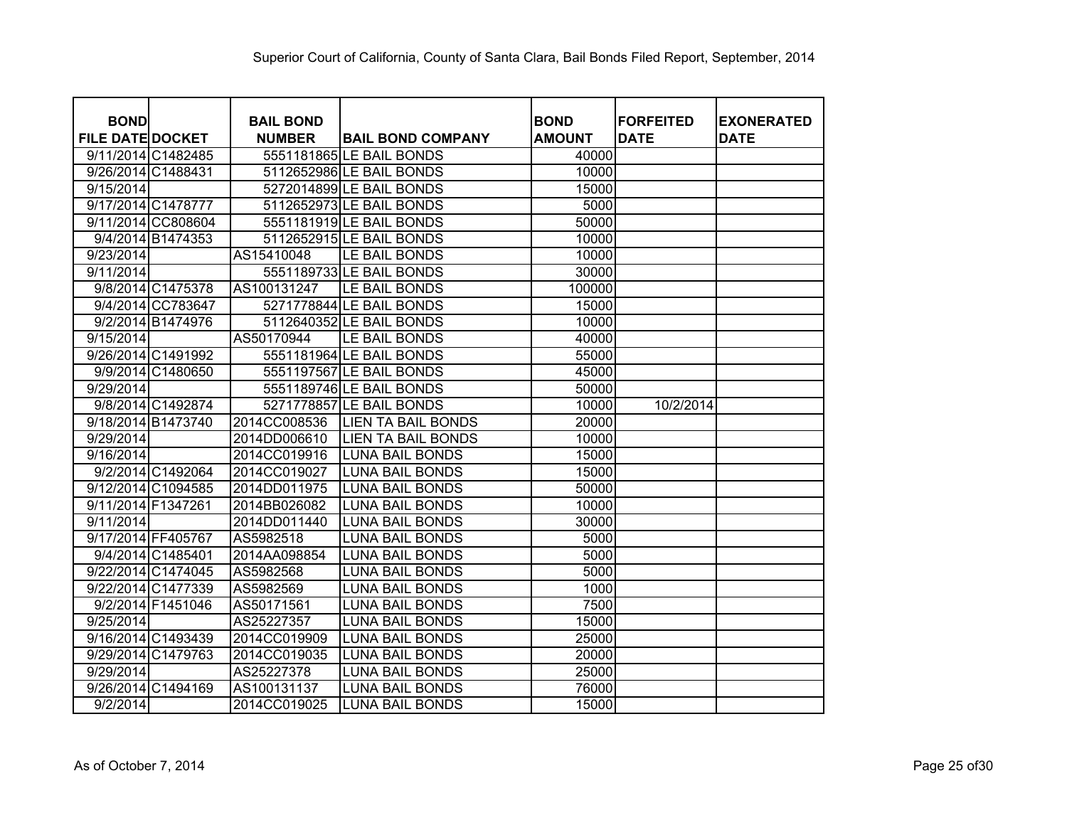| <b>BOND</b>             |                   | <b>BAIL BOND</b> |                           | <b>BOND</b>   | <b>FORFEITED</b> | <b>EXONERATED</b> |
|-------------------------|-------------------|------------------|---------------------------|---------------|------------------|-------------------|
| <b>FILE DATE DOCKET</b> |                   | <b>NUMBER</b>    | <b>BAIL BOND COMPANY</b>  | <b>AMOUNT</b> | <b>DATE</b>      | <b>DATE</b>       |
| 9/11/2014 C1482485      |                   |                  | 5551181865 LE BAIL BONDS  | 40000         |                  |                   |
| 9/26/2014 C1488431      |                   |                  | 5112652986 LE BAIL BONDS  | 10000         |                  |                   |
| 9/15/2014               |                   |                  | 5272014899 LE BAIL BONDS  | 15000         |                  |                   |
| 9/17/2014 C1478777      |                   |                  | 5112652973 LE BAIL BONDS  | 5000          |                  |                   |
| 9/11/2014 CC808604      |                   |                  | 5551181919 LE BAIL BONDS  | 50000         |                  |                   |
|                         | 9/4/2014 B1474353 |                  | 5112652915 LE BAIL BONDS  | 10000         |                  |                   |
| 9/23/2014               |                   | AS15410048       | LE BAIL BONDS             | 10000         |                  |                   |
| 9/11/2014               |                   |                  | 5551189733 LE BAIL BONDS  | 30000         |                  |                   |
|                         | 9/8/2014 C1475378 | AS100131247      | LE BAIL BONDS             | 100000        |                  |                   |
|                         | 9/4/2014 CC783647 |                  | 5271778844 LE BAIL BONDS  | 15000         |                  |                   |
|                         | 9/2/2014 B1474976 |                  | 5112640352 LE BAIL BONDS  |               |                  |                   |
|                         |                   |                  |                           | 10000         |                  |                   |
| 9/15/2014               |                   | AS50170944       | LE BAIL BONDS             | 40000         |                  |                   |
| 9/26/2014 C1491992      |                   |                  | 5551181964 LE BAIL BONDS  | 55000         |                  |                   |
|                         | 9/9/2014 C1480650 |                  | 5551197567 LE BAIL BONDS  | 45000         |                  |                   |
| 9/29/2014               |                   |                  | 5551189746 LE BAIL BONDS  | 50000         |                  |                   |
|                         | 9/8/2014 C1492874 |                  | 5271778857 LE BAIL BONDS  | 10000         | 10/2/2014        |                   |
| 9/18/2014 B1473740      |                   | 2014CC008536     | <b>LIEN TA BAIL BONDS</b> | 20000         |                  |                   |
| 9/29/2014               |                   | 2014DD006610     | <b>LIEN TA BAIL BONDS</b> | 10000         |                  |                   |
| 9/16/2014               |                   | 2014CC019916     | <b>LUNA BAIL BONDS</b>    | 15000         |                  |                   |
|                         | 9/2/2014 C1492064 | 2014CC019027     | <b>LUNA BAIL BONDS</b>    | 15000         |                  |                   |
| 9/12/2014 C1094585      |                   | 2014DD011975     | <b>LUNA BAIL BONDS</b>    | 50000         |                  |                   |
| 9/11/2014 F1347261      |                   | 2014BB026082     | <b>LUNA BAIL BONDS</b>    | 10000         |                  |                   |
| 9/11/2014               |                   | 2014DD011440     | <b>LUNA BAIL BONDS</b>    | 30000         |                  |                   |
| 9/17/2014 FF405767      |                   | AS5982518        | <b>LUNA BAIL BONDS</b>    | 5000          |                  |                   |
|                         | 9/4/2014 C1485401 | 2014AA098854     | LUNA BAIL BONDS           | 5000          |                  |                   |
| 9/22/2014 C1474045      |                   | AS5982568        | <b>LUNA BAIL BONDS</b>    | 5000          |                  |                   |
| 9/22/2014 C1477339      |                   | AS5982569        | <b>LUNA BAIL BONDS</b>    | 1000          |                  |                   |
|                         | 9/2/2014 F1451046 | AS50171561       | LUNA BAIL BONDS           | 7500          |                  |                   |
| 9/25/2014               |                   | AS25227357       | <b>LUNA BAIL BONDS</b>    | 15000         |                  |                   |
| 9/16/2014 C1493439      |                   | 2014CC019909     | <b>LUNA BAIL BONDS</b>    | 25000         |                  |                   |
| 9/29/2014 C1479763      |                   | 2014CC019035     | <b>LUNA BAIL BONDS</b>    | 20000         |                  |                   |
| 9/29/2014               |                   | AS25227378       | <b>LUNA BAIL BONDS</b>    | 25000         |                  |                   |
| 9/26/2014 C1494169      |                   | AS100131137      | <b>LUNA BAIL BONDS</b>    | 76000         |                  |                   |
| 9/2/2014                |                   | 2014CC019025     | <b>LUNA BAIL BONDS</b>    | 15000         |                  |                   |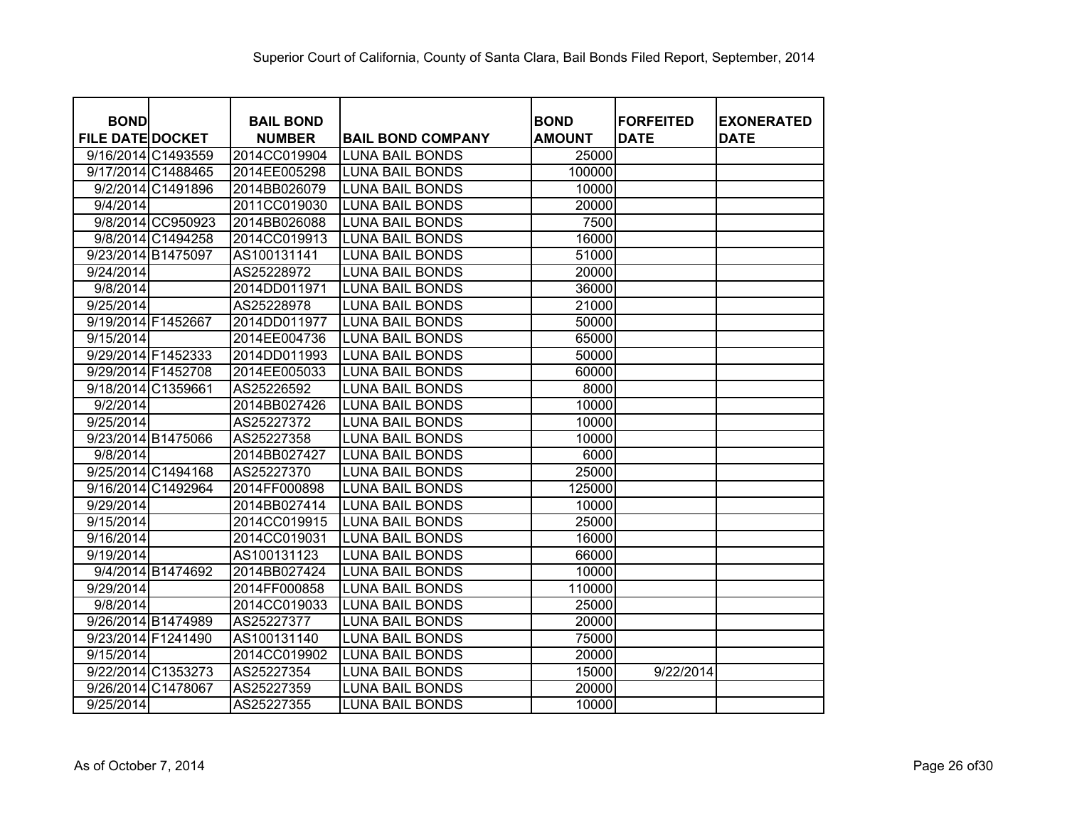| <b>BOND</b>             | <b>BAIL BOND</b> |                          | <b>BOND</b>   | <b>FORFEITED</b> | <b>EXONERATED</b> |
|-------------------------|------------------|--------------------------|---------------|------------------|-------------------|
| <b>FILE DATE DOCKET</b> | <b>NUMBER</b>    | <b>BAIL BOND COMPANY</b> | <b>AMOUNT</b> | <b>DATE</b>      | <b>DATE</b>       |
| 9/16/2014 C1493559      | 2014CC019904     | <b>LUNA BAIL BONDS</b>   | 25000         |                  |                   |
| 9/17/2014 C1488465      | 2014EE005298     | <b>LUNA BAIL BONDS</b>   | 100000        |                  |                   |
| 9/2/2014 C1491896       | 2014BB026079     | <b>LUNA BAIL BONDS</b>   | 10000         |                  |                   |
| 9/4/2014                | 2011CC019030     | <b>LUNA BAIL BONDS</b>   | 20000         |                  |                   |
| 9/8/2014 CC950923       | 2014BB026088     | <b>LUNA BAIL BONDS</b>   | 7500          |                  |                   |
| 9/8/2014 C1494258       | 2014CC019913     | <b>LUNA BAIL BONDS</b>   | 16000         |                  |                   |
| 9/23/2014 B1475097      | AS100131141      | <b>LUNA BAIL BONDS</b>   | 51000         |                  |                   |
| 9/24/2014               | AS25228972       | <b>LUNA BAIL BONDS</b>   | 20000         |                  |                   |
| 9/8/2014                | 2014DD011971     | <b>LUNA BAIL BONDS</b>   | 36000         |                  |                   |
| 9/25/2014               | AS25228978       | <b>LUNA BAIL BONDS</b>   | 21000         |                  |                   |
| 9/19/2014 F1452667      | 2014DD011977     | <b>LUNA BAIL BONDS</b>   | 50000         |                  |                   |
| 9/15/2014               | 2014EE004736     | <b>LUNA BAIL BONDS</b>   | 65000         |                  |                   |
| 9/29/2014 F1452333      | 2014DD011993     | <b>LUNA BAIL BONDS</b>   | 50000         |                  |                   |
| 9/29/2014 F1452708      | 2014EE005033     | <b>LUNA BAIL BONDS</b>   | 60000         |                  |                   |
| 9/18/2014 C1359661      | AS25226592       | <b>LUNA BAIL BONDS</b>   | 8000          |                  |                   |
| 9/2/2014                | 2014BB027426     | <b>LUNA BAIL BONDS</b>   | 10000         |                  |                   |
| 9/25/2014               | AS25227372       | <b>LUNA BAIL BONDS</b>   | 10000         |                  |                   |
| 9/23/2014 B1475066      | AS25227358       | <b>LUNA BAIL BONDS</b>   | 10000         |                  |                   |
| 9/8/2014                | 2014BB027427     | <b>LUNA BAIL BONDS</b>   | 6000          |                  |                   |
| 9/25/2014 C1494168      | AS25227370       | <b>LUNA BAIL BONDS</b>   | 25000         |                  |                   |
| 9/16/2014 C1492964      | 2014FF000898     | <b>LUNA BAIL BONDS</b>   | 125000        |                  |                   |
| 9/29/2014               | 2014BB027414     | <b>LUNA BAIL BONDS</b>   | 10000         |                  |                   |
| 9/15/2014               | 2014CC019915     | <b>LUNA BAIL BONDS</b>   | 25000         |                  |                   |
| 9/16/2014               | 2014CC019031     | <b>LUNA BAIL BONDS</b>   | 16000         |                  |                   |
| 9/19/2014               | AS100131123      | <b>LUNA BAIL BONDS</b>   | 66000         |                  |                   |
| 9/4/2014 B1474692       | 2014BB027424     | <b>LUNA BAIL BONDS</b>   | 10000         |                  |                   |
| 9/29/2014               | 2014FF000858     | <b>LUNA BAIL BONDS</b>   | 110000        |                  |                   |
| 9/8/2014                | 2014CC019033     | <b>LUNA BAIL BONDS</b>   | 25000         |                  |                   |
| 9/26/2014 B1474989      | AS25227377       | <b>LUNA BAIL BONDS</b>   | 20000         |                  |                   |
| 9/23/2014 F1241490      | AS100131140      | <b>LUNA BAIL BONDS</b>   | 75000         |                  |                   |
| 9/15/2014               | 2014CC019902     | <b>LUNA BAIL BONDS</b>   | 20000         |                  |                   |
| 9/22/2014 C1353273      | AS25227354       | <b>LUNA BAIL BONDS</b>   | 15000         | 9/22/2014        |                   |
| 9/26/2014 C1478067      | AS25227359       | <b>LUNA BAIL BONDS</b>   | 20000         |                  |                   |
| 9/25/2014               | AS25227355       | <b>LUNA BAIL BONDS</b>   | 10000         |                  |                   |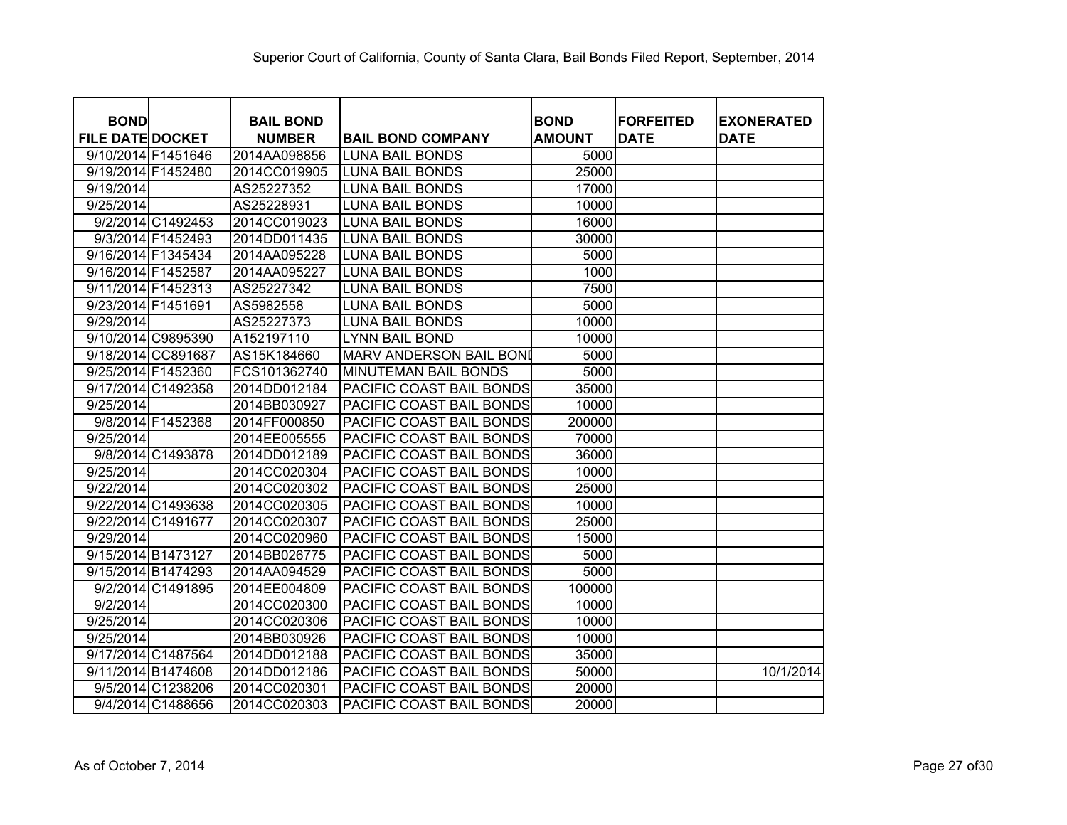| <b>BOND</b>             |                    | <b>BAIL BOND</b> |                          | <b>BOND</b>   | <b>FORFEITED</b> | <b>EXONERATED</b> |
|-------------------------|--------------------|------------------|--------------------------|---------------|------------------|-------------------|
| <b>FILE DATE DOCKET</b> |                    | <b>NUMBER</b>    | <b>BAIL BOND COMPANY</b> | <b>AMOUNT</b> | <b>DATE</b>      | <b>DATE</b>       |
| 9/10/2014 F1451646      |                    | 2014AA098856     | <b>LUNA BAIL BONDS</b>   | 5000          |                  |                   |
| 9/19/2014 F1452480      |                    | 2014CC019905     | <b>LUNA BAIL BONDS</b>   | 25000         |                  |                   |
| 9/19/2014               |                    | AS25227352       | <b>LUNA BAIL BONDS</b>   | 17000         |                  |                   |
| 9/25/2014               |                    | AS25228931       | <b>LUNA BAIL BONDS</b>   | 10000         |                  |                   |
|                         | 9/2/2014 C1492453  | 2014CC019023     | <b>LUNA BAIL BONDS</b>   | 16000         |                  |                   |
|                         | 9/3/2014 F1452493  | 2014DD011435     | <b>LUNA BAIL BONDS</b>   | 30000         |                  |                   |
| 9/16/2014 F1345434      |                    | 2014AA095228     | <b>LUNA BAIL BONDS</b>   | 5000          |                  |                   |
| 9/16/2014 F1452587      |                    | 2014AA095227     | <b>LUNA BAIL BONDS</b>   | 1000          |                  |                   |
| 9/11/2014 F1452313      |                    | AS25227342       | <b>LUNA BAIL BONDS</b>   | 7500          |                  |                   |
| 9/23/2014 F1451691      |                    | AS5982558        | <b>LUNA BAIL BONDS</b>   | 5000          |                  |                   |
| 9/29/2014               |                    | AS25227373       | <b>LUNA BAIL BONDS</b>   | 10000         |                  |                   |
| 9/10/2014 C9895390      |                    | A152197110       | <b>LYNN BAIL BOND</b>    | 10000         |                  |                   |
|                         | 9/18/2014 CC891687 | AS15K184660      | MARV ANDERSON BAIL BONI  | 5000          |                  |                   |
| 9/25/2014 F1452360      |                    | FCS101362740     | MINUTEMAN BAIL BONDS     | 5000          |                  |                   |
| 9/17/2014 C1492358      |                    | 2014DD012184     | PACIFIC COAST BAIL BONDS | 35000         |                  |                   |
| 9/25/2014               |                    | 2014BB030927     | PACIFIC COAST BAIL BONDS | 10000         |                  |                   |
|                         | 9/8/2014 F1452368  | 2014FF000850     | PACIFIC COAST BAIL BONDS | 200000        |                  |                   |
| 9/25/2014               |                    | 2014EE005555     | PACIFIC COAST BAIL BONDS | 70000         |                  |                   |
|                         | 9/8/2014 C1493878  | 2014DD012189     | PACIFIC COAST BAIL BONDS | 36000         |                  |                   |
| 9/25/2014               |                    | 2014CC020304     | PACIFIC COAST BAIL BONDS | 10000         |                  |                   |
| 9/22/2014               |                    | 2014CC020302     | PACIFIC COAST BAIL BONDS | 25000         |                  |                   |
| 9/22/2014 C1493638      |                    | 2014CC020305     | PACIFIC COAST BAIL BONDS | 10000         |                  |                   |
| 9/22/2014 C1491677      |                    | 2014CC020307     | PACIFIC COAST BAIL BONDS | 25000         |                  |                   |
| 9/29/2014               |                    | 2014CC020960     | PACIFIC COAST BAIL BONDS | 15000         |                  |                   |
| 9/15/2014 B1473127      |                    | 2014BB026775     | PACIFIC COAST BAIL BONDS | 5000          |                  |                   |
| 9/15/2014 B1474293      |                    | 2014AA094529     | PACIFIC COAST BAIL BONDS | 5000          |                  |                   |
|                         | 9/2/2014 C1491895  | 2014EE004809     | PACIFIC COAST BAIL BONDS | 100000        |                  |                   |
| 9/2/2014                |                    | 2014CC020300     | PACIFIC COAST BAIL BONDS | 10000         |                  |                   |
| 9/25/2014               |                    | 2014CC020306     | PACIFIC COAST BAIL BONDS | 10000         |                  |                   |
| 9/25/2014               |                    | 2014BB030926     | PACIFIC COAST BAIL BONDS | 10000         |                  |                   |
| 9/17/2014 C1487564      |                    | 2014DD012188     | PACIFIC COAST BAIL BONDS | 35000         |                  |                   |
| 9/11/2014 B1474608      |                    | 2014DD012186     | PACIFIC COAST BAIL BONDS | 50000         |                  | 10/1/2014         |
|                         | 9/5/2014 C1238206  | 2014CC020301     | PACIFIC COAST BAIL BONDS | 20000         |                  |                   |
|                         | 9/4/2014 C1488656  | 2014CC020303     | PACIFIC COAST BAIL BONDS | 20000         |                  |                   |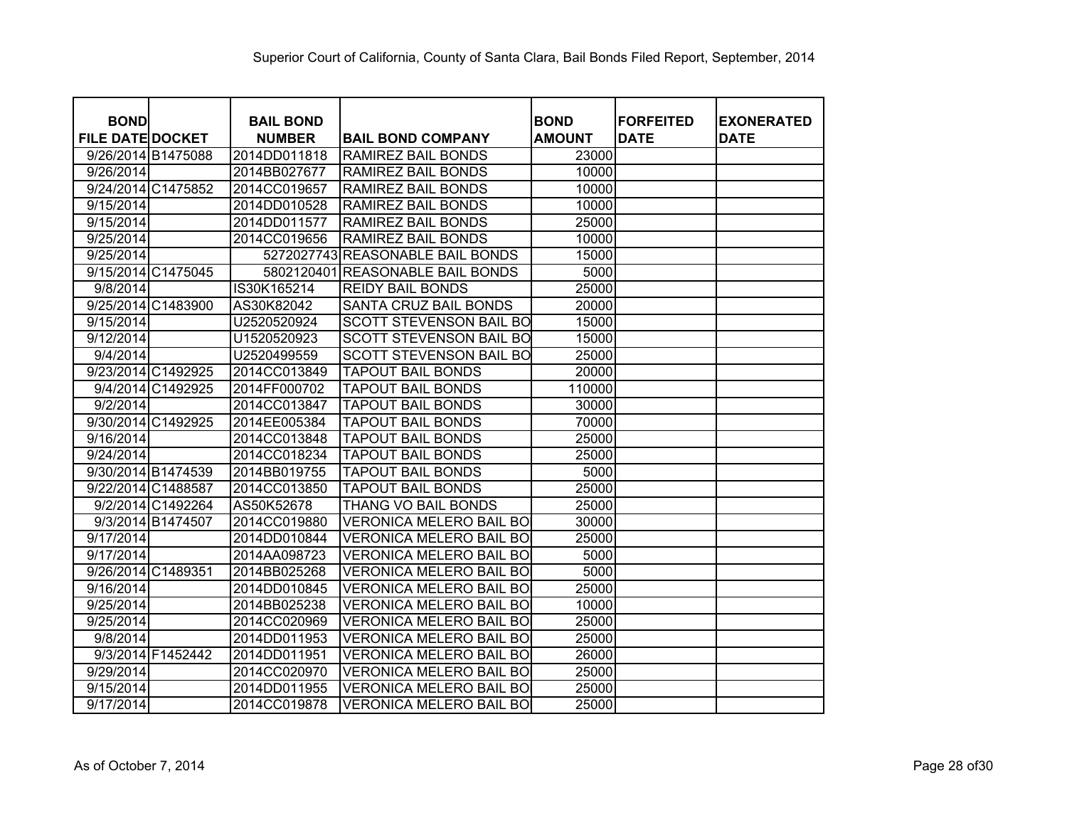| <b>BOND</b>             |                   | <b>BAIL BOND</b> |                                  | <b>BOND</b>   | <b>FORFEITED</b> | <b>EXONERATED</b> |
|-------------------------|-------------------|------------------|----------------------------------|---------------|------------------|-------------------|
| <b>FILE DATE DOCKET</b> |                   | <b>NUMBER</b>    | <b>BAIL BOND COMPANY</b>         | <b>AMOUNT</b> | <b>DATE</b>      | <b>DATE</b>       |
| 9/26/2014 B1475088      |                   | 2014DD011818     | RAMIREZ BAIL BONDS               | 23000         |                  |                   |
| 9/26/2014               |                   | 2014BB027677     | RAMIREZ BAIL BONDS               | 10000         |                  |                   |
| 9/24/2014 C1475852      |                   | 2014CC019657     | RAMIREZ BAIL BONDS               | 10000         |                  |                   |
| 9/15/2014               |                   | 2014DD010528     | RAMIREZ BAIL BONDS               | 10000         |                  |                   |
| 9/15/2014               |                   | 2014DD011577     | RAMIREZ BAIL BONDS               | 25000         |                  |                   |
| 9/25/2014               |                   | 2014CC019656     | RAMIREZ BAIL BONDS               | 10000         |                  |                   |
| 9/25/2014               |                   |                  | 5272027743 REASONABLE BAIL BONDS | 15000         |                  |                   |
| 9/15/2014 C1475045      |                   | 5802120401       | <b>REASONABLE BAIL BONDS</b>     | 5000          |                  |                   |
| 9/8/2014                |                   | IS30K165214      | <b>REIDY BAIL BONDS</b>          | 25000         |                  |                   |
| 9/25/2014 C1483900      |                   | AS30K82042       | SANTA CRUZ BAIL BONDS            | 20000         |                  |                   |
| 9/15/2014               |                   | U2520520924      | <b>SCOTT STEVENSON BAIL BO</b>   | 15000         |                  |                   |
| 9/12/2014               |                   | U1520520923      | <b>SCOTT STEVENSON BAIL BO</b>   | 15000         |                  |                   |
| 9/4/2014                |                   | U2520499559      | <b>SCOTT STEVENSON BAIL BO</b>   | 25000         |                  |                   |
| 9/23/2014 C1492925      |                   | 2014CC013849     | <b>TAPOUT BAIL BONDS</b>         | 20000         |                  |                   |
|                         | 9/4/2014 C1492925 | 2014FF000702     | <b>TAPOUT BAIL BONDS</b>         | 110000        |                  |                   |
| 9/2/2014                |                   | 2014CC013847     | <b>TAPOUT BAIL BONDS</b>         | 30000         |                  |                   |
| 9/30/2014 C1492925      |                   | 2014EE005384     | <b>TAPOUT BAIL BONDS</b>         | 70000         |                  |                   |
| 9/16/2014               |                   | 2014CC013848     | <b>TAPOUT BAIL BONDS</b>         | 25000         |                  |                   |
| 9/24/2014               |                   | 2014CC018234     | <b>TAPOUT BAIL BONDS</b>         | 25000         |                  |                   |
| 9/30/2014 B1474539      |                   | 2014BB019755     | <b>TAPOUT BAIL BONDS</b>         | 5000          |                  |                   |
| 9/22/2014 C1488587      |                   | 2014CC013850     | <b>TAPOUT BAIL BONDS</b>         | 25000         |                  |                   |
|                         | 9/2/2014 C1492264 | AS50K52678       | THANG VO BAIL BONDS              | 25000         |                  |                   |
|                         | 9/3/2014 B1474507 | 2014CC019880     | <b>VERONICA MELERO BAIL BO</b>   | 30000         |                  |                   |
| 9/17/2014               |                   | 2014DD010844     | <b>VERONICA MELERO BAIL BO</b>   | 25000         |                  |                   |
| 9/17/2014               |                   | 2014AA098723     | <b>VERONICA MELERO BAIL BO</b>   | 5000          |                  |                   |
| 9/26/2014 C1489351      |                   | 2014BB025268     | <b>VERONICA MELERO BAIL BO</b>   | 5000          |                  |                   |
| 9/16/2014               |                   | 2014DD010845     | <b>VERONICA MELERO BAIL BO</b>   | 25000         |                  |                   |
| 9/25/2014               |                   | 2014BB025238     | <b>VERONICA MELERO BAIL BO</b>   | 10000         |                  |                   |
| 9/25/2014               |                   | 2014CC020969     | <b>VERONICA MELERO BAIL BO</b>   | 25000         |                  |                   |
| 9/8/2014                |                   | 2014DD011953     | <b>VERONICA MELERO BAIL BO</b>   | 25000         |                  |                   |
|                         | 9/3/2014 F1452442 | 2014DD011951     | <b>VERONICA MELERO BAIL BO</b>   | 26000         |                  |                   |
| 9/29/2014               |                   | 2014CC020970     | <b>VERONICA MELERO BAIL BO</b>   | 25000         |                  |                   |
| 9/15/2014               |                   | 2014DD011955     | <b>VERONICA MELERO BAIL BO</b>   | 25000         |                  |                   |
| 9/17/2014               |                   | 2014CC019878     | <b>VERONICA MELERO BAIL BO</b>   | 25000         |                  |                   |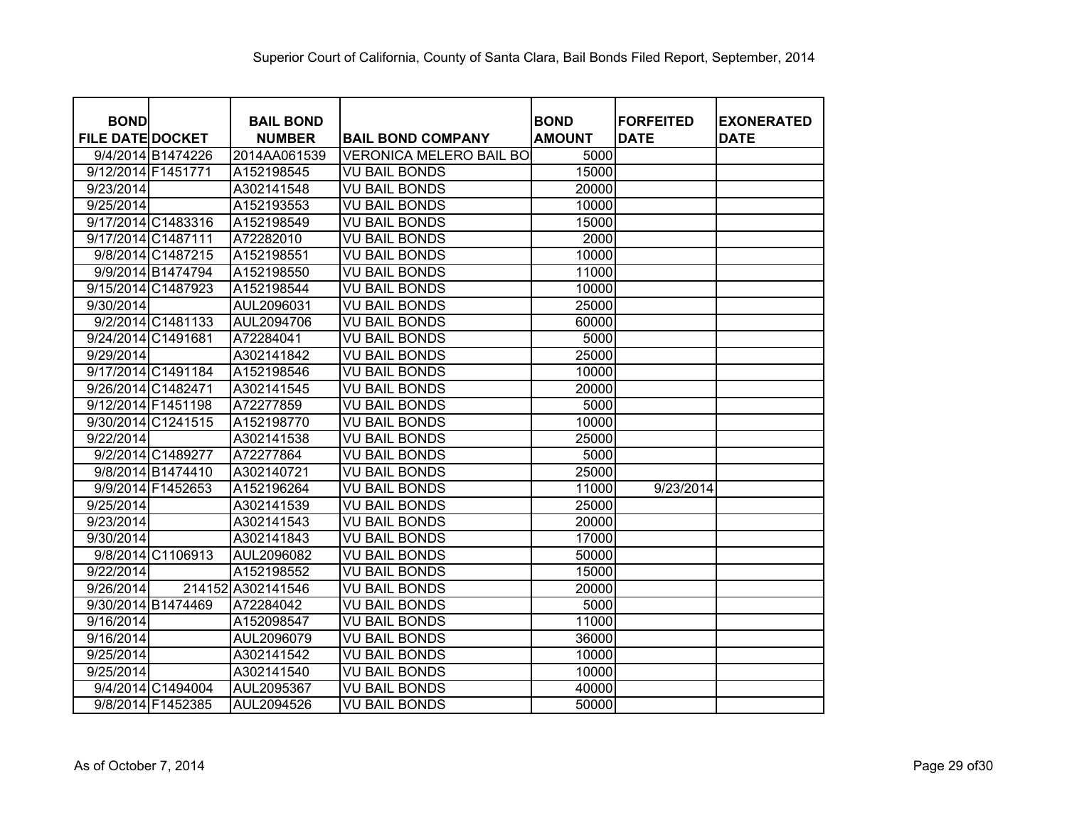| <b>BOND</b><br><b>FILE DATE DOCKET</b> |                    | <b>BAIL BOND</b><br><b>NUMBER</b> | <b>BAIL BOND COMPANY</b>       | <b>BOND</b><br><b>AMOUNT</b> | <b>IFORFEITED</b><br><b>DATE</b> | <b>EXONERATED</b><br><b>DATE</b> |
|----------------------------------------|--------------------|-----------------------------------|--------------------------------|------------------------------|----------------------------------|----------------------------------|
|                                        | 9/4/2014 B1474226  | 2014AA061539                      | <b>VERONICA MELERO BAIL BO</b> | 5000                         |                                  |                                  |
| 9/12/2014 F1451771                     |                    | A152198545                        | <b>VU BAIL BONDS</b>           | 15000                        |                                  |                                  |
| 9/23/2014                              |                    | A302141548                        | <b>VU BAIL BONDS</b>           | 20000                        |                                  |                                  |
| 9/25/2014                              |                    | A152193553                        | <b>VU BAIL BONDS</b>           | 10000                        |                                  |                                  |
|                                        | 9/17/2014 C1483316 | A152198549                        | <b>VU BAIL BONDS</b>           | 15000                        |                                  |                                  |
| 9/17/2014 C1487111                     |                    | A72282010                         | <b>VU BAIL BONDS</b>           | 2000                         |                                  |                                  |
|                                        | 9/8/2014 C1487215  | A152198551                        | <b>VU BAIL BONDS</b>           | 10000                        |                                  |                                  |
|                                        | 9/9/2014 B1474794  | A152198550                        | <b>VU BAIL BONDS</b>           | 11000                        |                                  |                                  |
|                                        | 9/15/2014 C1487923 | A152198544                        | <b>VU BAIL BONDS</b>           | 10000                        |                                  |                                  |
| 9/30/2014                              |                    | AUL2096031                        | <b>VU BAIL BONDS</b>           | 25000                        |                                  |                                  |
|                                        | 9/2/2014 C1481133  | AUL2094706                        | <b>VU BAIL BONDS</b>           | 60000                        |                                  |                                  |
| 9/24/2014 C1491681                     |                    | A72284041                         | <b>VU BAIL BONDS</b>           | 5000                         |                                  |                                  |
| 9/29/2014                              |                    | A302141842                        | <b>VU BAIL BONDS</b>           | 25000                        |                                  |                                  |
|                                        | 9/17/2014 C1491184 | A152198546                        | <b>VU BAIL BONDS</b>           | 10000                        |                                  |                                  |
| 9/26/2014 C1482471                     |                    | A302141545                        | <b>VU BAIL BONDS</b>           | 20000                        |                                  |                                  |
| 9/12/2014 F1451198                     |                    | A72277859                         | <b>VU BAIL BONDS</b>           | 5000                         |                                  |                                  |
|                                        | 9/30/2014 C1241515 | A152198770                        | <b>VU BAIL BONDS</b>           | 10000                        |                                  |                                  |
| 9/22/2014                              |                    | A302141538                        | <b>VU BAIL BONDS</b>           | 25000                        |                                  |                                  |
|                                        | 9/2/2014 C1489277  | A72277864                         | <b>VU BAIL BONDS</b>           | 5000                         |                                  |                                  |
|                                        | 9/8/2014 B1474410  | A302140721                        | <b>VU BAIL BONDS</b>           | 25000                        |                                  |                                  |
|                                        | 9/9/2014 F1452653  | A152196264                        | <b>VU BAIL BONDS</b>           | 11000                        | 9/23/2014                        |                                  |
| 9/25/2014                              |                    | A302141539                        | <b>VU BAIL BONDS</b>           | 25000                        |                                  |                                  |
| 9/23/2014                              |                    | A302141543                        | <b>VU BAIL BONDS</b>           | 20000                        |                                  |                                  |
| 9/30/2014                              |                    | A302141843                        | <b>VU BAIL BONDS</b>           | 17000                        |                                  |                                  |
|                                        | 9/8/2014 C1106913  | AUL2096082                        | <b>VU BAIL BONDS</b>           | 50000                        |                                  |                                  |
| 9/22/2014                              |                    | A152198552                        | <b>VU BAIL BONDS</b>           | 15000                        |                                  |                                  |
| 9/26/2014                              |                    | 214152 A302141546                 | <b>VU BAIL BONDS</b>           | 20000                        |                                  |                                  |
|                                        | 9/30/2014 B1474469 | A72284042                         | <b>VU BAIL BONDS</b>           | 5000                         |                                  |                                  |
| 9/16/2014                              |                    | A152098547                        | <b>VU BAIL BONDS</b>           | 11000                        |                                  |                                  |
| 9/16/2014                              |                    | AUL2096079                        | <b>VU BAIL BONDS</b>           | 36000                        |                                  |                                  |
| 9/25/2014                              |                    | A302141542                        | <b>VU BAIL BONDS</b>           | 10000                        |                                  |                                  |
| 9/25/2014                              |                    | A302141540                        | <b>VU BAIL BONDS</b>           | 10000                        |                                  |                                  |
|                                        | 9/4/2014 C1494004  | AUL2095367                        | <b>VU BAIL BONDS</b>           | 40000                        |                                  |                                  |
|                                        | 9/8/2014 F1452385  | AUL2094526                        | <b>VU BAIL BONDS</b>           | 50000                        |                                  |                                  |